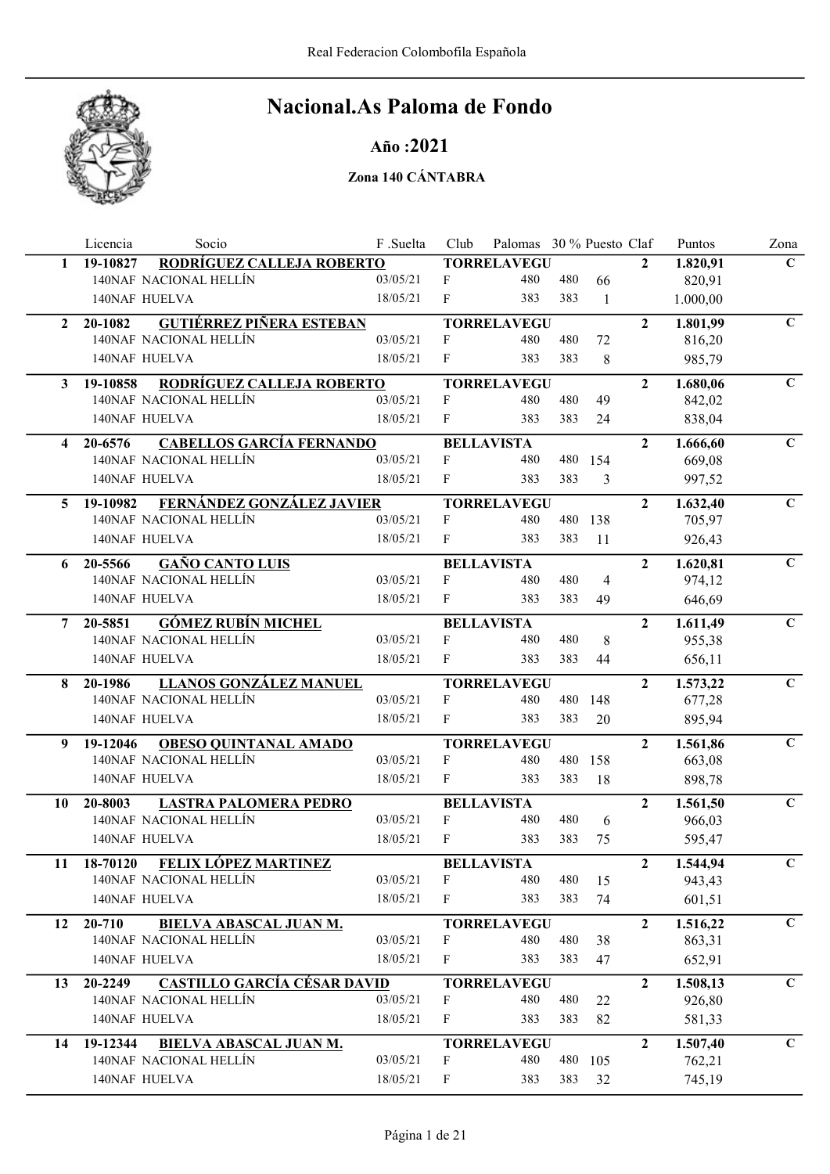

### Año :2021

|              | Licencia<br>Socio                                 | F .Suelta | Club         | Palomas 30 % Puesto Claf |     |         |                | Puntos   | Zona         |
|--------------|---------------------------------------------------|-----------|--------------|--------------------------|-----|---------|----------------|----------|--------------|
| 1            | RODRÍGUEZ CALLEJA ROBERTO<br>19-10827             |           |              | <b>TORRELAVEGU</b>       |     |         | $\mathbf{2}$   | 1.820,91 | $\mathbf{C}$ |
|              | 140NAF NACIONAL HELLÍN                            | 03/05/21  | F            | 480                      | 480 | 66      |                | 820,91   |              |
|              | 140NAF HUELVA                                     | 18/05/21  | F            | 383                      | 383 | 1       |                | 1.000,00 |              |
| $\mathbf{2}$ | <b>GUTIÉRREZ PIÑERA ESTEBAN</b><br>20-1082        |           |              | <b>TORRELAVEGU</b>       |     |         | $\overline{2}$ | 1.801,99 | $\mathbf C$  |
|              | 140NAF NACIONAL HELLÍN                            | 03/05/21  | F            | 480                      | 480 | 72      |                | 816,20   |              |
|              | 140NAF HUELVA                                     | 18/05/21  | F            | 383                      | 383 | 8       |                | 985,79   |              |
| 3            | RODRÍGUEZ CALLEJA ROBERTO<br>19-10858             |           |              | <b>TORRELAVEGU</b>       |     |         | $\overline{2}$ | 1.680,06 | $\mathbf C$  |
|              | 140NAF NACIONAL HELLÍN                            | 03/05/21  | F            | 480                      | 480 | 49      |                | 842,02   |              |
|              | 140NAF HUELVA                                     | 18/05/21  | F            | 383                      | 383 | 24      |                | 838,04   |              |
| 4            | <b>CABELLOS GARCÍA FERNANDO</b><br>20-6576        |           |              | <b>BELLAVISTA</b>        |     |         | $\overline{2}$ | 1.666,60 | $\mathbf{C}$ |
|              | 140NAF NACIONAL HELLÍN                            | 03/05/21  | F            | 480                      |     | 480 154 |                | 669,08   |              |
|              | 140NAF HUELVA                                     | 18/05/21  | F            | 383                      | 383 | 3       |                | 997,52   |              |
| 5.           | FERNÁNDEZ GONZÁLEZ JAVIER<br>19-10982             |           |              | <b>TORRELAVEGU</b>       |     |         | $\overline{2}$ | 1.632,40 | $\mathbf C$  |
|              | 140NAF NACIONAL HELLÍN                            | 03/05/21  | F            | 480                      | 480 | 138     |                | 705,97   |              |
|              | 140NAF HUELVA                                     | 18/05/21  | F            | 383                      | 383 | 11      |                | 926,43   |              |
| 6            | <b>GAÑO CANTO LUIS</b><br>20-5566                 |           |              | <b>BELLAVISTA</b>        |     |         | $\mathbf{2}$   | 1.620,81 | $\mathbf C$  |
|              | 140NAF NACIONAL HELLÍN                            | 03/05/21  | F            | 480                      | 480 | 4       |                | 974,12   |              |
|              | 140NAF HUELVA                                     | 18/05/21  | F            | 383                      | 383 | 49      |                | 646,69   |              |
| 7            | <b>GÓMEZ RUBÍN MICHEL</b><br>20-5851              |           |              | <b>BELLAVISTA</b>        |     |         | $\overline{2}$ | 1.611,49 | $\mathbf C$  |
|              | 140NAF NACIONAL HELLÍN                            | 03/05/21  | F            | 480                      | 480 | 8       |                | 955,38   |              |
|              | 140NAF HUELVA                                     | 18/05/21  | F            | 383                      | 383 | 44      |                | 656,11   |              |
| 8            | LLANOS GONZÁLEZ MANUEL<br>20-1986                 |           |              | <b>TORRELAVEGU</b>       |     |         | $\overline{2}$ | 1.573,22 | $\mathbf C$  |
|              | 140NAF NACIONAL HELLÍN                            | 03/05/21  | F            | 480                      | 480 | 148     |                | 677,28   |              |
|              | 140NAF HUELVA                                     | 18/05/21  | F            | 383                      | 383 | 20      |                | 895,94   |              |
| 9            | <b>OBESO QUINTANAL AMADO</b><br>19-12046          |           |              | <b>TORRELAVEGU</b>       |     |         | $\overline{2}$ | 1.561,86 | $\mathbf C$  |
|              | 140NAF NACIONAL HELLÍN                            | 03/05/21  | F            | 480                      | 480 | 158     |                | 663,08   |              |
|              | <b>140NAF HUELVA</b>                              | 18/05/21  | F            | 383                      | 383 | 18      |                | 898,78   |              |
| 10           | <b>LASTRA PALOMERA PEDRO</b><br>20-8003           |           |              | <b>BELLAVISTA</b>        |     |         | $\overline{2}$ | 1.561,50 | $\mathbf C$  |
|              | 140NAF NACIONAL HELLÍN                            | 03/05/21  | $\mathbf{F}$ | 480                      | 480 | 6       |                | 966,03   |              |
|              | 140NAF HUELVA                                     | 18/05/21  | F            | 383                      | 383 | 75      |                | 595,47   |              |
| 11           | <b>FELIX LÓPEZ MARTINEZ</b><br>18-70120           |           |              | <b>BELLAVISTA</b>        |     |         | $\mathbf{2}$   | 1.544,94 | $\mathbf C$  |
|              | 140NAF NACIONAL HELLÍN                            | 03/05/21  | F            | 480                      | 480 | 15      |                | 943,43   |              |
|              | 140NAF HUELVA                                     | 18/05/21  | F            | 383                      | 383 | 74      |                | 601,51   |              |
| 12           | 20-710<br><b>BIELVA ABASCAL JUAN M.</b>           |           |              | <b>TORRELAVEGU</b>       |     |         | $\mathbf{2}$   | 1.516,22 | $\mathbf C$  |
|              | 140NAF NACIONAL HELLÍN                            | 03/05/21  | F            | 480                      | 480 | 38      |                | 863,31   |              |
|              | 140NAF HUELVA                                     | 18/05/21  | F            | 383                      | 383 | 47      |                | 652,91   |              |
| 13           | <b>CASTILLO GARCÍA CÉSAR DAVID</b><br>$20 - 2249$ |           |              | <b>TORRELAVEGU</b>       |     |         | $\overline{2}$ | 1.508,13 | $\mathbf C$  |
|              | 140NAF NACIONAL HELLÍN                            | 03/05/21  | F            | 480                      | 480 | 22      |                | 926,80   |              |
|              | 140NAF HUELVA                                     | 18/05/21  | F            | 383                      | 383 | 82      |                | 581,33   |              |
| 14           | 19-12344<br><b>BIELVA ABASCAL JUAN M.</b>         |           |              | <b>TORRELAVEGU</b>       |     |         | $\overline{2}$ | 1.507,40 | $\mathbf C$  |
|              | 140NAF NACIONAL HELLÍN                            | 03/05/21  | F            | 480                      | 480 | 105     |                | 762,21   |              |
|              | 140NAF HUELVA                                     | 18/05/21  | F            | 383                      | 383 | 32      |                | 745,19   |              |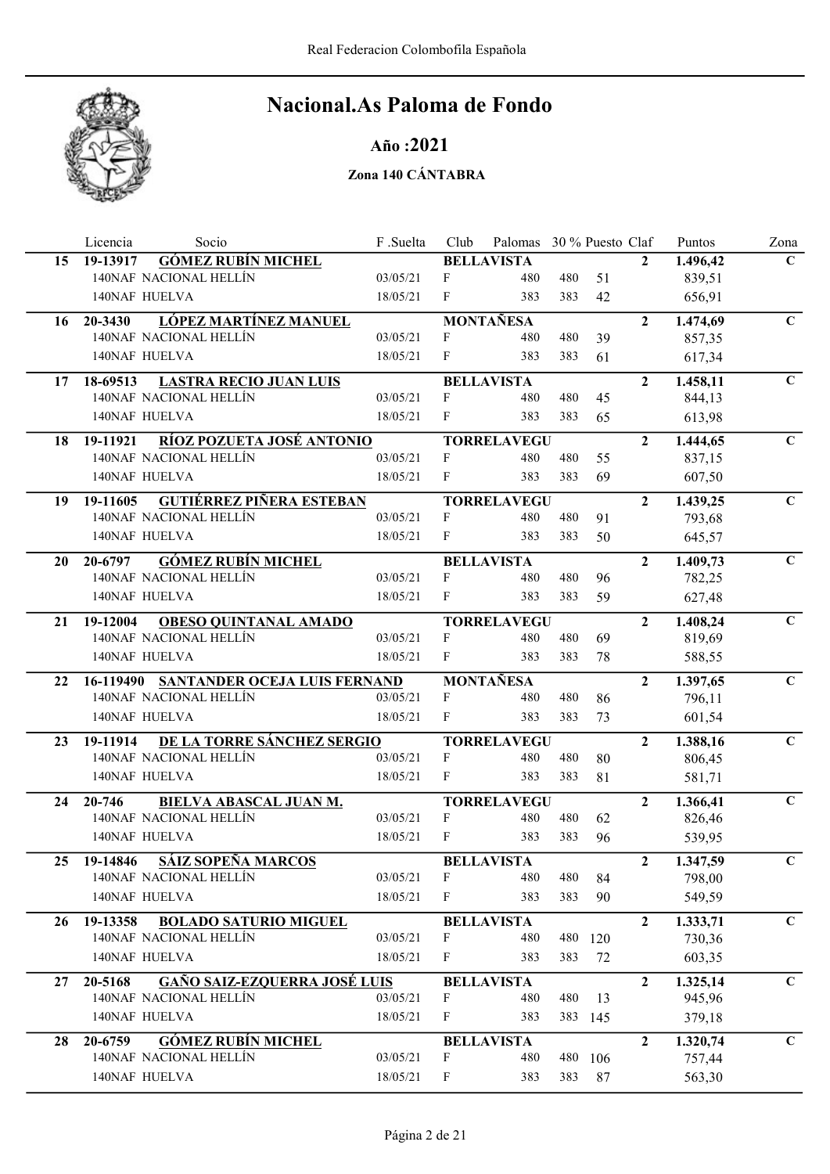

Año :2021

|    | Licencia<br>Socio                              | F.Suelta | Club                      | Palomas 30 % Puesto Claf |     |         |                | Puntos   | Zona         |
|----|------------------------------------------------|----------|---------------------------|--------------------------|-----|---------|----------------|----------|--------------|
| 15 | <b>GÓMEZ RUBÍN MICHEL</b><br>19-13917          |          |                           | <b>BELLAVISTA</b>        |     |         | $\mathbf{2}$   | 1.496,42 | $\mathbf{C}$ |
|    | 140NAF NACIONAL HELLÍN                         | 03/05/21 | F                         | 480                      | 480 | 51      |                | 839,51   |              |
|    | 140NAF HUELVA                                  | 18/05/21 | F                         | 383                      | 383 | 42      |                | 656,91   |              |
| 16 | <b>LÓPEZ MARTÍNEZ MANUEL</b><br>20-3430        |          |                           | <b>MONTAÑESA</b>         |     |         | $\overline{2}$ | 1.474,69 | $\mathbf C$  |
|    | 140NAF NACIONAL HELLÍN                         | 03/05/21 | F                         | 480                      | 480 | 39      |                | 857,35   |              |
|    | 140NAF HUELVA                                  | 18/05/21 | $\mathbf{F}$              | 383                      | 383 | 61      |                | 617,34   |              |
| 17 | <b>LASTRA RECIO JUAN LUIS</b><br>18-69513      |          |                           | <b>BELLAVISTA</b>        |     |         | $\overline{2}$ | 1.458,11 | $\mathbf C$  |
|    | 140NAF NACIONAL HELLÍN                         | 03/05/21 | F                         | 480                      | 480 | 45      |                | 844,13   |              |
|    | 140NAF HUELVA                                  | 18/05/21 | $\mathbf{F}$              | 383                      | 383 | 65      |                | 613,98   |              |
| 18 | RÍOZ POZUETA JOSÉ ANTONIO<br>19-11921          |          |                           | <b>TORRELAVEGU</b>       |     |         | $\overline{2}$ | 1.444,65 | $\mathbf C$  |
|    | 140NAF NACIONAL HELLÍN                         | 03/05/21 | F                         | 480                      | 480 | 55      |                | 837,15   |              |
|    | 140NAF HUELVA                                  | 18/05/21 | $\mathbf{F}$              | 383                      | 383 | 69      |                | 607,50   |              |
| 19 | <b>GUTIÉRREZ PIÑERA ESTEBAN</b><br>19-11605    |          |                           | <b>TORRELAVEGU</b>       |     |         | $\overline{2}$ | 1.439,25 | $\mathbf C$  |
|    | 140NAF NACIONAL HELLÍN                         | 03/05/21 | F                         | 480                      | 480 | 91      |                | 793,68   |              |
|    | 140NAF HUELVA                                  | 18/05/21 | F                         | 383                      | 383 | 50      |                | 645,57   |              |
| 20 | <b>GÓMEZ RUBÍN MICHEL</b><br>20-6797           |          |                           | <b>BELLAVISTA</b>        |     |         | $\overline{2}$ | 1.409,73 | $\mathbf{C}$ |
|    | 140NAF NACIONAL HELLÍN                         | 03/05/21 | F                         | 480                      | 480 | 96      |                | 782,25   |              |
|    | 140NAF HUELVA                                  | 18/05/21 | F                         | 383                      | 383 | 59      |                | 627,48   |              |
| 21 | <b>OBESO QUINTANAL AMADO</b><br>19-12004       |          |                           | <b>TORRELAVEGU</b>       |     |         | $\overline{2}$ | 1.408,24 | $\mathbf C$  |
|    | 140NAF NACIONAL HELLÍN                         | 03/05/21 | F                         | 480                      | 480 | 69      |                | 819,69   |              |
|    | 140NAF HUELVA                                  | 18/05/21 | $\mathbf{F}$              | 383                      | 383 | 78      |                | 588,55   |              |
| 22 | 16-119490 SANTANDER OCEJA LUIS FERNAND         |          |                           | <b>MONTAÑESA</b>         |     |         | $\overline{2}$ | 1.397,65 | $\mathbf C$  |
|    | 140NAF NACIONAL HELLÍN                         | 03/05/21 | F                         | 480                      | 480 | 86      |                | 796,11   |              |
|    | 140NAF HUELVA                                  | 18/05/21 | $\mathbf{F}$              | 383                      | 383 | 73      |                | 601,54   |              |
| 23 | DE LA TORRE SÁNCHEZ SERGIO<br>19-11914         |          |                           | <b>TORRELAVEGU</b>       |     |         | $\overline{2}$ | 1.388,16 | $\mathbf C$  |
|    | 140NAF NACIONAL HELLÍN                         | 03/05/21 | F                         | 480                      | 480 | 80      |                | 806,45   |              |
|    | 140NAF HUELVA                                  | 18/05/21 | F                         | 383                      | 383 | 81      |                | 581,71   |              |
| 24 | BIELVA ABASCAL JUAN M.<br>20-746               |          |                           | <b>TORRELAVEGU</b>       |     |         | $\overline{2}$ | 1.366,41 | $\mathbf C$  |
|    | 140NAF NACIONAL HELLÍN                         | 03/05/21 | $\mathbf{F}$              | 480                      | 480 | 62      |                | 826,46   |              |
|    | 140NAF HUELVA                                  | 18/05/21 | $\boldsymbol{\mathrm{F}}$ | 383                      | 383 | 96      |                | 539,95   |              |
| 25 | 19-14846 SÁIZ SOPEÑA MARCOS                    |          |                           | <b>BELLAVISTA</b>        |     |         | $\mathbf{2}$   | 1.347,59 | $\mathbf C$  |
|    | 140NAF NACIONAL HELLÍN                         | 03/05/21 | F                         | 480                      | 480 | 84      |                | 798,00   |              |
|    | 140NAF HUELVA                                  | 18/05/21 | F                         | 383                      | 383 | 90      |                | 549,59   |              |
| 26 | 19-13358<br><b>BOLADO SATURIO MIGUEL</b>       |          |                           | <b>BELLAVISTA</b>        |     |         | $\mathbf{2}$   | 1.333,71 | $\mathbf C$  |
|    | 140NAF NACIONAL HELLÍN                         | 03/05/21 | F                         | 480                      | 480 | 120     |                | 730,36   |              |
|    | 140NAF HUELVA                                  | 18/05/21 | F                         | 383                      | 383 | 72      |                | 603,35   |              |
| 27 | <b>GAÑO SAIZ-EZQUERRA JOSÉ LUIS</b><br>20-5168 |          |                           | <b>BELLAVISTA</b>        |     |         | $\overline{2}$ | 1.325,14 | $\mathbf C$  |
|    | 140NAF NACIONAL HELLÍN                         | 03/05/21 | F                         | 480                      | 480 | 13      |                | 945,96   |              |
|    | 140NAF HUELVA                                  | 18/05/21 | $\mathbf F$               | 383                      |     | 383 145 |                | 379,18   |              |
| 28 | <b>GÓMEZ RUBÍN MICHEL</b><br>20-6759           |          |                           | <b>BELLAVISTA</b>        |     |         | $\overline{2}$ | 1.320,74 | $\mathbf C$  |
|    | 140NAF NACIONAL HELLÍN                         | 03/05/21 | $\boldsymbol{F}$          | 480                      | 480 | 106     |                | 757,44   |              |
|    | 140NAF HUELVA                                  | 18/05/21 | F                         | 383                      | 383 | 87      |                | 563,30   |              |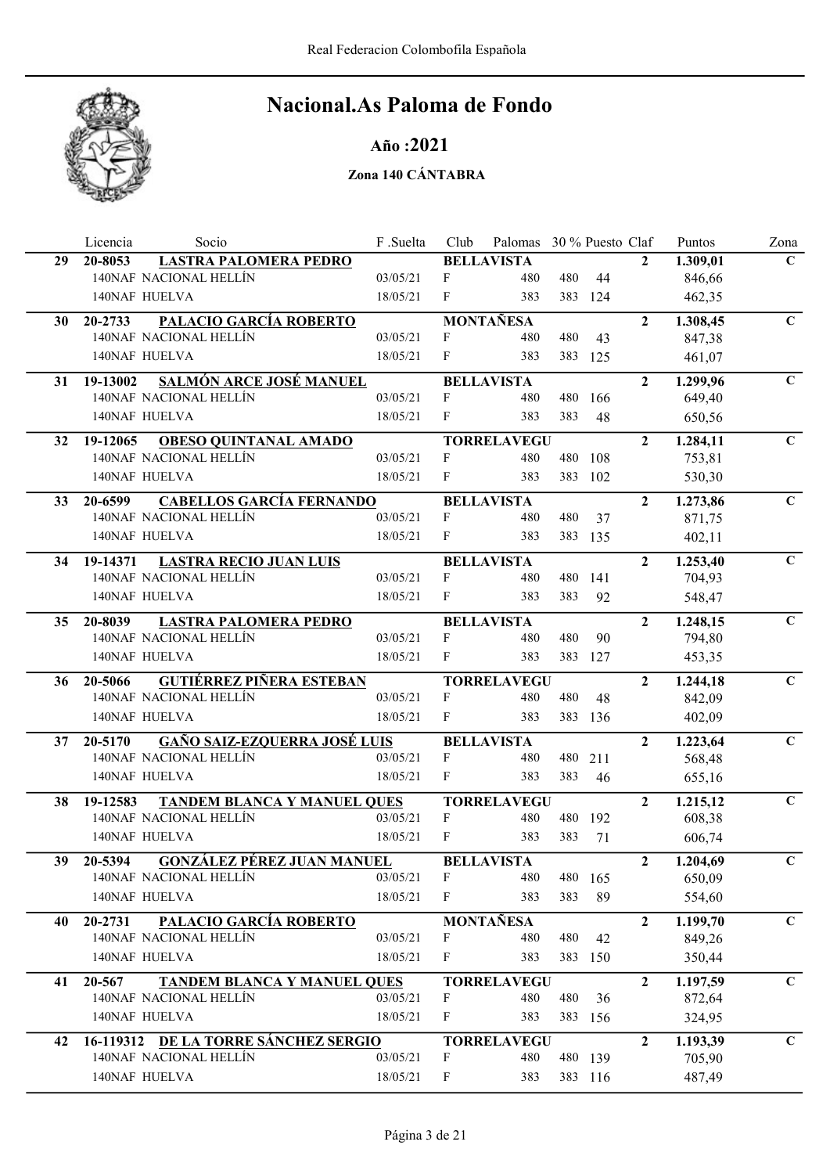

### Año :2021

|    | Licencia             | Socio                                | F.Suelta | Club         | Palomas 30 % Puesto Claf |     |         |                | Puntos   | Zona         |
|----|----------------------|--------------------------------------|----------|--------------|--------------------------|-----|---------|----------------|----------|--------------|
| 29 | 20-8053              | <b>LASTRA PALOMERA PEDRO</b>         |          |              | <b>BELLAVISTA</b>        |     |         | $\mathbf{2}$   | 1.309,01 | $\mathbf{C}$ |
|    |                      | 140NAF NACIONAL HELLÍN               | 03/05/21 | F            | 480                      | 480 | 44      |                | 846,66   |              |
|    | 140NAF HUELVA        |                                      | 18/05/21 | F            | 383                      | 383 | 124     |                | 462,35   |              |
| 30 | 20-2733              | PALACIO GARCÍA ROBERTO               |          |              | <b>MONTAÑESA</b>         |     |         | $\overline{2}$ | 1.308,45 | $\mathbf C$  |
|    |                      | 140NAF NACIONAL HELLÍN               | 03/05/21 | F            | 480                      | 480 | 43      |                | 847,38   |              |
|    | 140NAF HUELVA        |                                      | 18/05/21 | F            | 383                      |     | 383 125 |                | 461,07   |              |
| 31 | 19-13002             | SALMÓN ARCE JOSÉ MANUEL              |          |              | <b>BELLAVISTA</b>        |     |         | $\overline{2}$ | 1.299,96 | $\mathbf C$  |
|    |                      | 140NAF NACIONAL HELLÍN               | 03/05/21 | F            | 480                      | 480 | 166     |                | 649,40   |              |
|    | 140NAF HUELVA        |                                      | 18/05/21 | F            | 383                      | 383 | 48      |                | 650,56   |              |
| 32 | 19-12065             | <b>OBESO QUINTANAL AMADO</b>         |          |              | <b>TORRELAVEGU</b>       |     |         | $\overline{2}$ | 1.284,11 | $\mathbf C$  |
|    |                      | 140NAF NACIONAL HELLÍN               | 03/05/21 | $\mathbf{F}$ | 480                      | 480 | 108     |                | 753,81   |              |
|    | 140NAF HUELVA        |                                      | 18/05/21 | F            | 383                      | 383 | 102     |                | 530,30   |              |
| 33 | 20-6599              | <b>CABELLOS GARCÍA FERNANDO</b>      |          |              | <b>BELLAVISTA</b>        |     |         | $\overline{2}$ | 1.273,86 | $\mathbf C$  |
|    |                      | 140NAF NACIONAL HELLÍN               | 03/05/21 | F            | 480                      | 480 | 37      |                | 871,75   |              |
|    | 140NAF HUELVA        |                                      | 18/05/21 | F            | 383                      |     | 383 135 |                | 402,11   |              |
| 34 | 19-14371             | <b>LASTRA RECIO JUAN LUIS</b>        |          |              | <b>BELLAVISTA</b>        |     |         | $\overline{2}$ | 1.253,40 | $\mathbf C$  |
|    |                      | 140NAF NACIONAL HELLÍN               | 03/05/21 | F            | 480                      |     | 480 141 |                | 704,93   |              |
|    | 140NAF HUELVA        |                                      | 18/05/21 | F            | 383                      | 383 | 92      |                | 548,47   |              |
| 35 | 20-8039              | <b>LASTRA PALOMERA PEDRO</b>         |          |              | <b>BELLAVISTA</b>        |     |         | $\overline{2}$ | 1.248,15 | $\mathbf C$  |
|    |                      | 140NAF NACIONAL HELLÍN               | 03/05/21 | F            | 480                      | 480 | 90      |                | 794,80   |              |
|    | 140NAF HUELVA        |                                      | 18/05/21 | F            | 383                      | 383 | 127     |                | 453,35   |              |
| 36 | 20-5066              | <b>GUTIÉRREZ PIÑERA ESTEBAN</b>      |          |              | <b>TORRELAVEGU</b>       |     |         | $\overline{2}$ | 1.244,18 | $\mathbf C$  |
|    |                      | 140NAF NACIONAL HELLÍN               | 03/05/21 | F            | 480                      | 480 | 48      |                | 842,09   |              |
|    | 140NAF HUELVA        |                                      | 18/05/21 | F            | 383                      |     | 383 136 |                | 402,09   |              |
| 37 | 20-5170              | <b>GAÑO SAIZ-EZQUERRA JOSÉ LUIS</b>  |          |              | <b>BELLAVISTA</b>        |     |         | $\overline{2}$ | 1.223,64 | $\mathbf C$  |
|    |                      | 140NAF NACIONAL HELLÍN               | 03/05/21 | F            | 480                      | 480 | 211     |                | 568,48   |              |
|    | <b>140NAF HUELVA</b> |                                      | 18/05/21 | F            | 383                      | 383 | 46      |                | 655,16   |              |
| 38 | 19-12583             | TANDEM BLANCA Y MANUEL QUES          |          |              | <b>TORRELAVEGU</b>       |     |         | $\overline{2}$ | 1.215,12 | $\mathbf C$  |
|    |                      | 140NAF NACIONAL HELLÍN               | 03/05/21 | F            | 480                      |     | 480 192 |                | 608,38   |              |
|    | 140NAF HUELVA        |                                      | 18/05/21 | F            | 383                      | 383 | 71      |                | 606,74   |              |
| 39 | 20-5394              | <b>GONZÁLEZ PÉREZ JUAN MANUEL</b>    |          |              | <b>BELLAVISTA</b>        |     |         | $\overline{2}$ | 1.204,69 | $\mathbf C$  |
|    |                      | 140NAF NACIONAL HELLÍN               | 03/05/21 | F            | 480                      |     | 480 165 |                | 650,09   |              |
|    | 140NAF HUELVA        |                                      | 18/05/21 | F            | 383                      | 383 | 89      |                | 554,60   |              |
| 40 | 20-2731              | PALACIO GARCÍA ROBERTO               |          |              | <b>MONTAÑESA</b>         |     |         | $\mathbf{2}$   | 1.199,70 | $\mathbf{C}$ |
|    |                      | 140NAF NACIONAL HELLÍN               | 03/05/21 | F            | 480                      | 480 | 42      |                | 849,26   |              |
|    | 140NAF HUELVA        |                                      | 18/05/21 | F            | 383                      | 383 | 150     |                | 350,44   |              |
| 41 | 20-567               | <b>TANDEM BLANCA Y MANUEL QUES</b>   |          |              | <b>TORRELAVEGU</b>       |     |         | $\overline{2}$ | 1.197,59 | $\mathbf{C}$ |
|    |                      | 140NAF NACIONAL HELLÍN               | 03/05/21 | F            | 480                      | 480 | 36      |                | 872,64   |              |
|    | 140NAF HUELVA        |                                      | 18/05/21 | F            | 383                      |     | 383 156 |                | 324,95   |              |
| 42 |                      | 16-119312 DE LA TORRE SÁNCHEZ SERGIO |          |              | <b>TORRELAVEGU</b>       |     |         | $\overline{2}$ | 1.193,39 | $\mathbf C$  |
|    |                      | 140NAF NACIONAL HELLÍN               | 03/05/21 | F            | 480                      |     | 480 139 |                | 705,90   |              |
|    | 140NAF HUELVA        |                                      | 18/05/21 | F            | 383                      |     | 383 116 |                | 487,49   |              |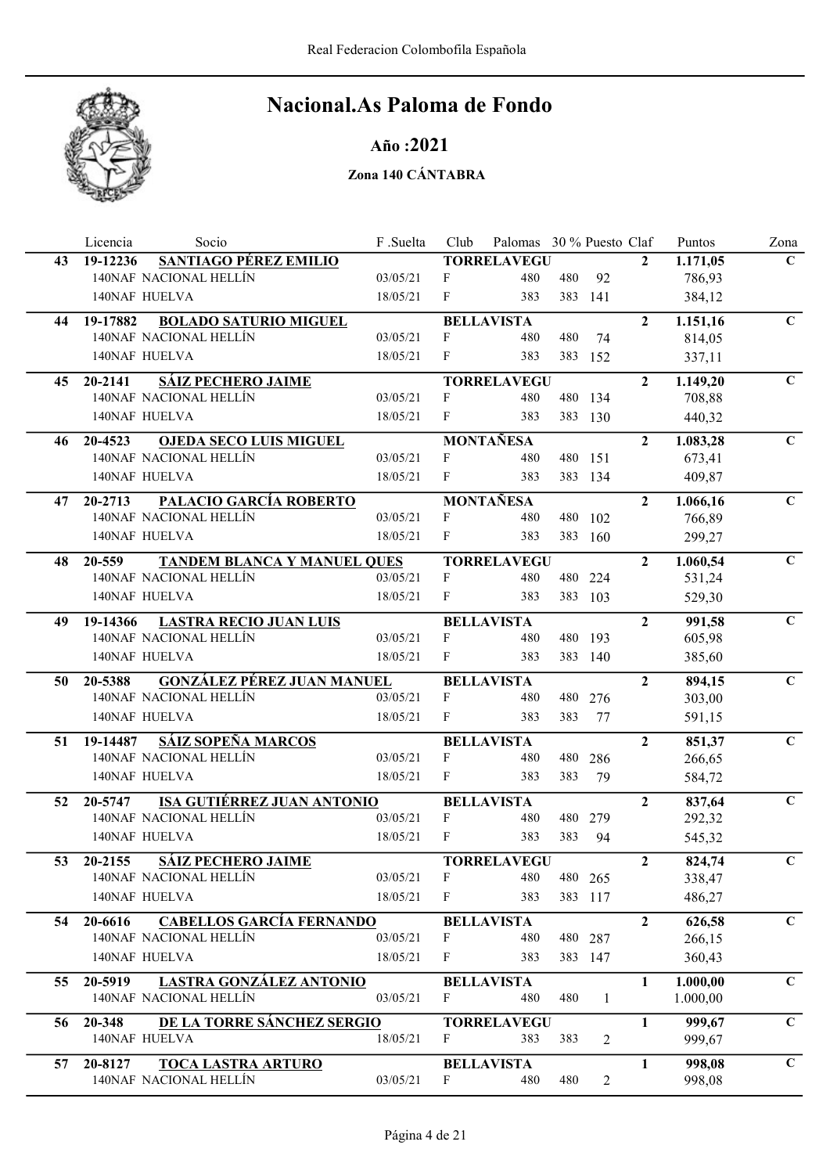

### Año :2021

|                 | Socio<br>Licencia                            | F .Suelta | Club         | Palomas 30 % Puesto Claf |     |         |                | Puntos   | Zona         |
|-----------------|----------------------------------------------|-----------|--------------|--------------------------|-----|---------|----------------|----------|--------------|
| 43              | SANTIAGO PÉREZ EMILIO<br>19-12236            |           |              | <b>TORRELAVEGU</b>       |     |         | $\mathbf{2}$   | 1.171,05 | $\mathbf{C}$ |
|                 | 140NAF NACIONAL HELLÍN                       | 03/05/21  | F            | 480                      | 480 | 92      |                | 786,93   |              |
|                 | 140NAF HUELVA                                | 18/05/21  | F            | 383                      |     | 383 141 |                | 384,12   |              |
| 44              | <b>BOLADO SATURIO MIGUEL</b><br>19-17882     |           |              | <b>BELLAVISTA</b>        |     |         | $\overline{2}$ | 1.151,16 | $\mathbf C$  |
|                 | 140NAF NACIONAL HELLÍN                       | 03/05/21  | F            | 480                      | 480 | 74      |                | 814,05   |              |
|                 | 140NAF HUELVA                                | 18/05/21  | F            | 383                      |     | 383 152 |                | 337,11   |              |
| 45              | <b>SÁIZ PECHERO JAIME</b><br>20-2141         |           |              | <b>TORRELAVEGU</b>       |     |         | $\overline{2}$ | 1.149,20 | $\mathbf{C}$ |
|                 | 140NAF NACIONAL HELLÍN                       | 03/05/21  | F            | 480                      |     | 480 134 |                | 708,88   |              |
|                 | 140NAF HUELVA                                | 18/05/21  | F            | 383                      |     | 383 130 |                | 440,32   |              |
| 46              | 20-4523<br><b>OJEDA SECO LUIS MIGUEL</b>     |           |              | <b>MONTAÑESA</b>         |     |         | $\overline{2}$ | 1.083,28 | $\mathbf{C}$ |
|                 | 140NAF NACIONAL HELLÍN                       | 03/05/21  | F            | 480                      |     | 480 151 |                | 673,41   |              |
|                 | 140NAF HUELVA                                | 18/05/21  | F            | 383                      |     | 383 134 |                | 409,87   |              |
| 47              | PALACIO GARCÍA ROBERTO<br>20-2713            |           |              | <b>MONTAÑESA</b>         |     |         | $\overline{2}$ | 1.066,16 | $\mathbf C$  |
|                 | 140NAF NACIONAL HELLÍN                       | 03/05/21  | F            | 480                      | 480 | 102     |                | 766,89   |              |
|                 | <b>140NAF HUELVA</b>                         | 18/05/21  | $\mathbf{F}$ | 383                      |     | 383 160 |                | 299,27   |              |
| 48              | 20-559<br><b>TANDEM BLANCA Y MANUEL QUES</b> |           |              | <b>TORRELAVEGU</b>       |     |         | $\overline{2}$ | 1.060,54 | $\mathbf C$  |
|                 | 140NAF NACIONAL HELLÍN                       | 03/05/21  | F            | 480                      |     | 480 224 |                | 531,24   |              |
|                 | 140NAF HUELVA                                | 18/05/21  | F            | 383                      |     | 383 103 |                | 529,30   |              |
| 49              | 19-14366<br><b>LASTRA RECIO JUAN LUIS</b>    |           |              | <b>BELLAVISTA</b>        |     |         | $\overline{2}$ | 991,58   | $\mathbf C$  |
|                 | 140NAF NACIONAL HELLÍN                       | 03/05/21  | F            | 480                      |     | 480 193 |                | 605,98   |              |
|                 | 140NAF HUELVA                                | 18/05/21  | F            | 383                      |     | 383 140 |                | 385,60   |              |
| 50              | <b>GONZÁLEZ PÉREZ JUAN MANUEL</b><br>20-5388 |           |              | <b>BELLAVISTA</b>        |     |         | $\overline{2}$ | 894,15   | $\mathbf C$  |
|                 | 140NAF NACIONAL HELLÍN                       | 03/05/21  | F            | 480                      |     | 480 276 |                | 303,00   |              |
|                 | 140NAF HUELVA                                | 18/05/21  | F            | 383                      | 383 | 77      |                | 591,15   |              |
| 51              | <b>SÁIZ SOPEÑA MARCOS</b><br>19-14487        |           |              | <b>BELLAVISTA</b>        |     |         | $\overline{2}$ | 851,37   | $\mathbf C$  |
|                 | 140NAF NACIONAL HELLÍN                       | 03/05/21  | F            | 480                      | 480 | 286     |                | 266,65   |              |
|                 | <b>140NAF HUELVA</b>                         | 18/05/21  | F            | 383                      | 383 | 79      |                | 584,72   |              |
| 52              | <b>ISA GUTIÉRREZ JUAN ANTONIO</b><br>20-5747 |           |              | <b>BELLAVISTA</b>        |     |         | $\overline{2}$ | 837,64   | $\mathbf C$  |
|                 | 140NAF NACIONAL HELLÍN                       | 03/05/21  | F            | 480                      | 480 | 279     |                | 292,32   |              |
|                 | <b>140NAF HUELVA</b>                         | 18/05/21  | F            | 383                      | 383 | 94      |                | 545,32   |              |
| $\overline{53}$ | 20-2155 SÁIZ PECHERO JAIME                   |           |              | <b>TORRELAVEGU</b>       |     |         | $\overline{2}$ | 824,74   | $\mathbf C$  |
|                 | 140NAF NACIONAL HELLÍN                       | 03/05/21  | F            | 480                      |     | 480 265 |                | 338,47   |              |
|                 | 140NAF HUELVA                                | 18/05/21  | F            | 383                      |     | 383 117 |                | 486,27   |              |
| 54              | <b>CABELLOS GARCÍA FERNANDO</b><br>20-6616   |           |              | <b>BELLAVISTA</b>        |     |         | $\overline{2}$ | 626,58   | $\mathbf{C}$ |
|                 | 140NAF NACIONAL HELLÍN                       | 03/05/21  | F            | 480                      |     | 480 287 |                | 266,15   |              |
|                 | 140NAF HUELVA                                | 18/05/21  | F            | 383                      |     | 383 147 |                | 360,43   |              |
| 55.             | <b>LASTRA GONZÁLEZ ANTONIO</b><br>20-5919    |           |              | <b>BELLAVISTA</b>        |     |         | $\mathbf{1}$   | 1.000,00 | $\mathbf C$  |
|                 | 140NAF NACIONAL HELLÍN                       | 03/05/21  | F            | 480                      | 480 | 1       |                | 1.000,00 |              |
| 56              | DE LA TORRE SÁNCHEZ SERGIO<br>20-348         |           |              | <b>TORRELAVEGU</b>       |     |         | 1              | 999,67   | $\mathbf C$  |
|                 | 140NAF HUELVA                                | 18/05/21  | F            | 383                      | 383 | 2       |                | 999,67   |              |
| 57              | 20-8127<br><b>TOCA LASTRA ARTURO</b>         |           |              | <b>BELLAVISTA</b>        |     |         | 1              | 998,08   | $\mathbf C$  |
|                 | 140NAF NACIONAL HELLIN                       | 03/05/21  | F            | 480                      | 480 | 2       |                | 998,08   |              |
|                 |                                              |           |              |                          |     |         |                |          |              |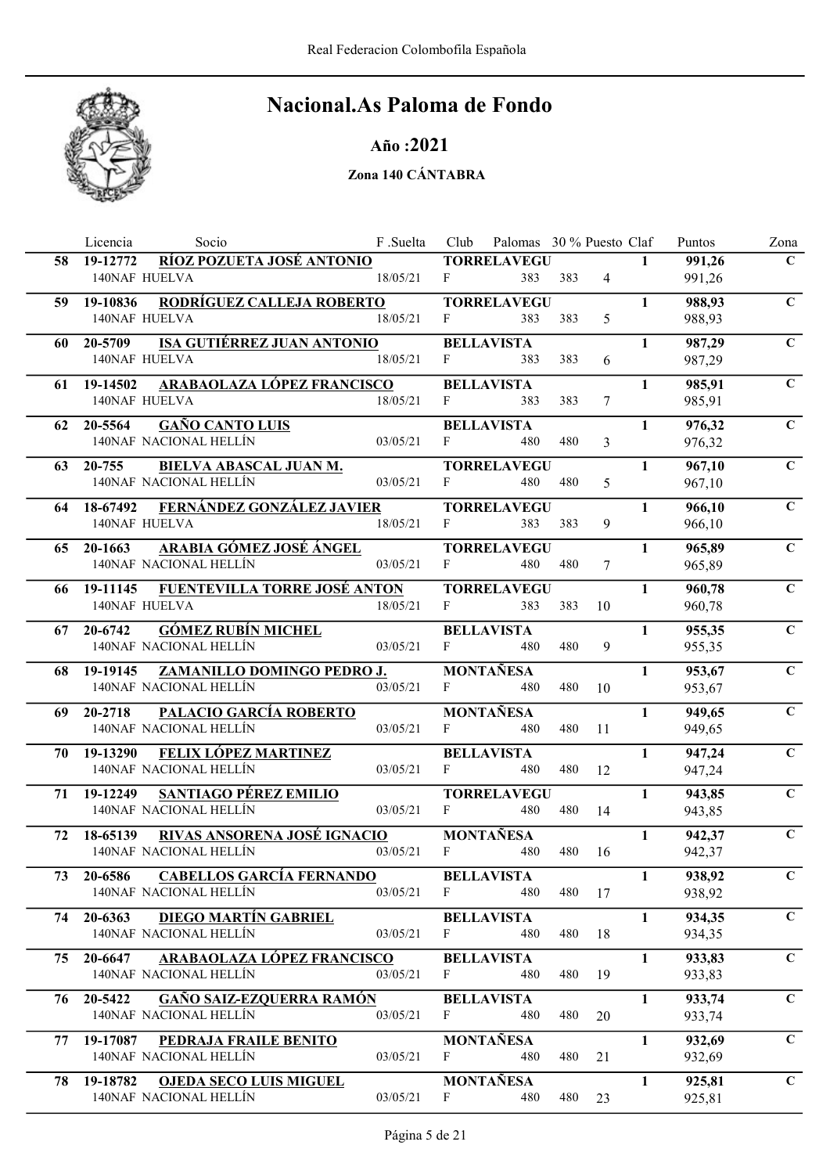

### Año :2021

|     | Licencia<br>Socio                                                   | F.Suelta | Club         | Palomas 30 % Puesto Claf  |     |                |              | Puntos           | Zona         |
|-----|---------------------------------------------------------------------|----------|--------------|---------------------------|-----|----------------|--------------|------------------|--------------|
| 58. | RÍOZ POZUETA JOSÉ ANTONIO<br>19-12772                               |          |              | <b>TORRELAVEGU</b>        |     |                | $\mathbf{1}$ | 991,26           | $\mathbf C$  |
|     | 140NAF HUELVA                                                       | 18/05/21 | F            | 383                       | 383 | $\overline{4}$ |              | 991,26           |              |
| 59  | RODRÍGUEZ CALLEJA ROBERTO<br>19-10836                               |          |              | <b>TORRELAVEGU</b>        |     |                | $\mathbf{1}$ | 988,93           | $\mathbf C$  |
|     | 140NAF HUELVA                                                       | 18/05/21 | F            | 383                       | 383 | 5              |              | 988,93           |              |
| 60  | <b>ISA GUTIÉRREZ JUAN ANTONIO</b><br>20-5709                        |          |              | <b>BELLAVISTA</b>         |     |                | $\mathbf{1}$ | 987,29           | $\mathbf C$  |
|     | 140NAF HUELVA                                                       | 18/05/21 | F            | 383                       | 383 | 6              |              | 987,29           |              |
| 61  | ARABAOLAZA LÓPEZ FRANCISCO<br>19-14502                              |          |              | <b>BELLAVISTA</b>         |     |                | $\mathbf{1}$ | 985,91           | $\mathbf C$  |
|     | <b>140NAF HUELVA</b>                                                | 18/05/21 | F            | 383                       | 383 | 7              |              | 985,91           |              |
|     | 62 20-5564<br><b>GAÑO CANTO LUIS</b>                                |          |              | <b>BELLAVISTA</b>         |     |                | $\mathbf{1}$ | 976,32           | $\mathbf C$  |
|     | 140NAF NACIONAL HELLÍN                                              | 03/05/21 | F            | 480                       | 480 | 3              |              | 976,32           |              |
|     |                                                                     |          |              |                           |     |                |              |                  | $\mathbf C$  |
| 63  | <b>BIELVA ABASCAL JUAN M.</b><br>20-755<br>140NAF NACIONAL HELLÍN   | 03/05/21 | F            | <b>TORRELAVEGU</b><br>480 | 480 | 5              | $\mathbf{1}$ | 967,10<br>967,10 |              |
|     |                                                                     |          |              |                           |     |                |              |                  |              |
| 64  | 18-67492 FERNÁNDEZ GONZÁLEZ JAVIER                                  |          |              | <b>TORRELAVEGU</b>        |     |                | $\mathbf{1}$ | 966,10           | $\mathbf C$  |
|     | 140NAF HUELVA                                                       | 18/05/21 | F            | 383                       | 383 | 9              |              | 966,10           |              |
| 65  | ARABIA GÓMEZ JOSÉ ÁNGEL<br>20-1663                                  |          |              | <b>TORRELAVEGU</b>        |     |                | $\mathbf{1}$ | 965,89           | $\mathbf C$  |
|     | 140NAF NACIONAL HELLÍN                                              | 03/05/21 | $\mathbf{F}$ | 480                       | 480 | 7              |              | 965,89           |              |
|     | 66 19-11145 FUENTEVILLA TORRE JOSÉ ANTON                            |          |              | <b>TORRELAVEGU</b>        |     |                | $\mathbf{1}$ | 960,78           | $\mathbf C$  |
|     | <b>140NAF HUELVA</b>                                                | 18/05/21 | F            | 383                       | 383 | 10             |              | 960,78           |              |
|     | <b>GÓMEZ RUBÍN MICHEL</b><br>67 20-6742                             |          |              | <b>BELLAVISTA</b>         |     |                | $\mathbf{1}$ | 955,35           | $\mathbf C$  |
|     | 140NAF NACIONAL HELLÍN                                              | 03/05/21 | $\mathbf{F}$ | 480                       | 480 | 9              |              | 955,35           |              |
|     | 68 19-19145 ZAMANILLO DOMINGO PEDRO J.                              |          |              | <b>MONTAÑESA</b>          |     |                | $\mathbf{1}$ | 953,67           | $\mathbf C$  |
|     | 140NAF NACIONAL HELLÍN                                              | 03/05/21 | F            | 480                       | 480 | 10             |              | 953,67           |              |
| 69  | <b>PALACIO GARCÍA ROBERTO</b><br>20-2718                            |          |              | <b>MONTAÑESA</b>          |     |                | $\mathbf{1}$ | 949,65           | $\mathbf C$  |
|     | 140NAF NACIONAL HELLÍN                                              | 03/05/21 | F            | 480                       | 480 | 11             |              | 949,65           |              |
|     | FELIX LÓPEZ MARTINEZ<br>70 19-13290                                 |          |              | <b>BELLAVISTA</b>         |     |                | $\mathbf{1}$ |                  | $\mathbf C$  |
|     | 140NAF NACIONAL HELLÍN                                              | 03/05/21 | F            | 480                       | 480 | 12             |              | 947,24<br>947,24 |              |
|     |                                                                     |          |              |                           |     |                |              |                  |              |
| 71  | 19-12249<br><b>SANTIAGO PÉREZ EMILIO</b><br>140NAF NACIONAL HELLÍN  | 03/05/21 | F            | <b>TORRELAVEGU</b><br>480 | 480 | 14             | $\mathbf{1}$ | 943,85<br>943,85 | $\mathbf C$  |
|     |                                                                     |          |              |                           |     |                |              |                  |              |
| 72  | RIVAS ANSORENA JOSÉ IGNACIO<br>18-65139                             |          |              | <b>MONTAÑESA</b>          |     |                | $\mathbf{1}$ | 942,37           | $\mathbf C$  |
|     | 140NAF NACIONAL HELLÍN                                              | 03/05/21 | $\mathbf{F}$ | 480                       | 480 | 16             |              | 942,37           |              |
| 73  | <b>CABELLOS GARCÍA FERNANDO</b><br>20-6586                          |          |              | <b>BELLAVISTA</b>         |     |                | $\mathbf{1}$ | 938,92           | $\mathbf{C}$ |
|     | 140NAF NACIONAL HELLÍN                                              | 03/05/21 | $\mathbf{F}$ | 480                       | 480 | 17             |              | 938,92           |              |
| 74  | <b>DIEGO MARTÍN GABRIEL</b><br>20-6363                              |          |              | <b>BELLAVISTA</b>         |     |                | $\mathbf{1}$ | 934,35           | $\mathbf C$  |
|     | 140NAF NACIONAL HELLÍN                                              | 03/05/21 | F            | 480                       | 480 | 18             |              | 934,35           |              |
| 75. | ARABAOLAZA LÓPEZ FRANCISCO<br>20-6647                               |          |              | <b>BELLAVISTA</b>         |     |                | $\mathbf{1}$ | 933,83           | $\mathbf C$  |
|     | 140NAF NACIONAL HELLÍN                                              | 03/05/21 | F            | 480                       | 480 | 19             |              | 933,83           |              |
| 76  | <b>GAÑO SAIZ-EZQUERRA RAMÓN</b><br>20-5422                          |          |              | <b>BELLAVISTA</b>         |     |                | $\mathbf{1}$ | 933,74           | $\mathbf C$  |
|     | 140NAF NACIONAL HELLÍN                                              | 03/05/21 | F            | 480                       | 480 | 20             |              | 933,74           |              |
| 77  | 19-17087<br>PEDRAJA FRAILE BENITO                                   |          |              | <b>MONTAÑESA</b>          |     |                | $\mathbf{1}$ | 932,69           | $\mathbf C$  |
|     | 140NAF NACIONAL HELLÍN                                              | 03/05/21 | F            | 480                       | 480 | 21             |              | 932,69           |              |
|     |                                                                     |          |              |                           |     |                |              |                  |              |
| 78. | 19-18782<br><b>OJEDA SECO LUIS MIGUEL</b><br>140NAF NACIONAL HELLÍN | 03/05/21 | F            | <b>MONTAÑESA</b><br>480   | 480 |                | $\mathbf{1}$ | 925,81           | $\mathbf C$  |
|     |                                                                     |          |              |                           |     | 23             |              | 925,81           |              |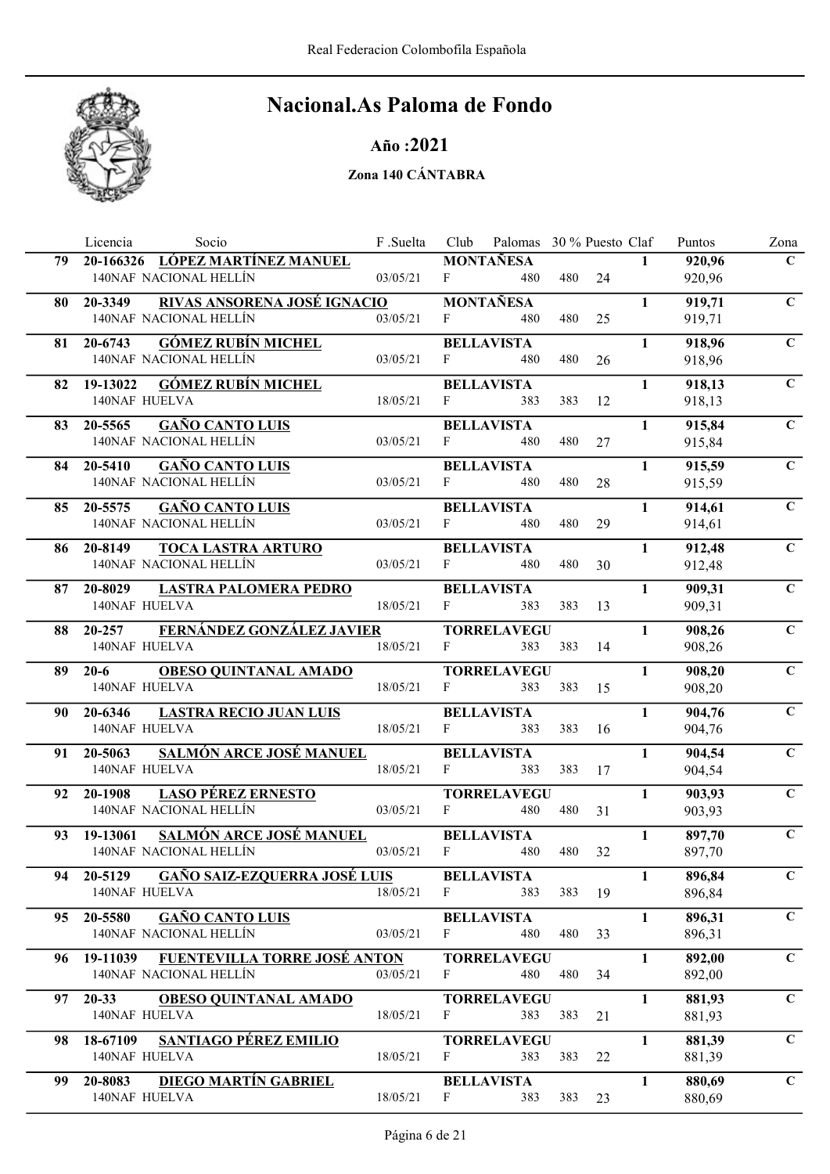

Año :2021

|     | Licencia<br>Socio                                              | F .Suelta |              | Club Palomas 30 % Puesto Claf |     |        |              | Puntos           | Zona        |
|-----|----------------------------------------------------------------|-----------|--------------|-------------------------------|-----|--------|--------------|------------------|-------------|
| 79  | 20-166326 LÓPEZ MARTÍNEZ MANUEL                                |           |              | <b>MONTAÑESA</b>              |     |        | $\mathbf{1}$ | 920,96           | $\mathbf C$ |
|     | 140NAF NACIONAL HELLÍN                                         | 03/05/21  | $F_{\perp}$  | 480                           |     | 480 24 |              | 920,96           |             |
| 80  | RIVAS ANSORENA JOSÉ IGNACIO<br>20-3349                         |           |              | <b>MONTAÑESA</b>              |     |        | $\mathbf{1}$ | 919,71           | $\mathbf C$ |
|     | 140NAF NACIONAL HELLÍN                                         | 03/05/21  | F.           | 480                           | 480 | 25     |              | 919,71           |             |
|     | <b>GÓMEZ RUBÍN MICHEL</b><br>81 20-6743                        |           |              | <b>BELLAVISTA</b>             |     |        | $\mathbf{1}$ | 918,96           | $\mathbf C$ |
|     | 140NAF NACIONAL HELLÍN                                         | 03/05/21  | F            | 480                           | 480 | 26     |              | 918,96           |             |
|     | 82 19-13022 GÓMEZ RUBÍN MICHEL                                 |           |              | <b>BELLAVISTA</b>             |     |        | $\mathbf{1}$ | 918,13           | $\mathbf C$ |
|     | <b>140NAF HUELVA</b>                                           | 18/05/21  | $\mathbf{F}$ | 383                           | 383 | 12     |              | 918,13           |             |
|     | 83 20-5565 GAÑO CANTO LUIS                                     |           |              | <b>BELLAVISTA</b>             |     |        | $\mathbf{1}$ | 915,84           | $\mathbf C$ |
|     | 140NAF NACIONAL HELLÍN                                         | 03/05/21  | F            | 480                           | 480 | 27     |              | 915,84           |             |
|     |                                                                |           |              |                               |     |        | $\mathbf{1}$ |                  | $\mathbf C$ |
|     | <b>GAÑO CANTO LUIS</b><br>84 20-5410<br>140NAF NACIONAL HELLÍN | 03/05/21  | $F \sim 1$   | <b>BELLAVISTA</b><br>480      | 480 | 28     |              | 915,59<br>915,59 |             |
|     |                                                                |           |              |                               |     |        |              |                  |             |
| 85. | 20-5575 GAÑO CANTO LUIS<br>140NAF NACIONAL HELLÍN              |           |              | <b>BELLAVISTA</b>             |     |        | $\mathbf{1}$ | 914,61           | $\mathbf C$ |
|     |                                                                | 03/05/21  | $F \sim$     | 480                           | 480 | 29     |              | 914,61           |             |
|     | <b>TOCA LASTRA ARTURO</b><br>86 20-8149                        |           |              | <b>BELLAVISTA</b>             |     |        | $\mathbf{1}$ | 912,48           | $\mathbf C$ |
|     | 140NAF NACIONAL HELLÍN                                         | 03/05/21  | F            | 480                           | 480 | 30     |              | 912,48           |             |
|     | 87 20-8029 LASTRA PALOMERA PEDRO                               |           |              | <b>BELLAVISTA</b>             |     |        | $\mathbf{1}$ | 909,31           | $\mathbf C$ |
|     | <b>140NAF HUELVA</b>                                           | 18/05/21  | F            | 383                           | 383 | 13     |              | 909,31           |             |
|     | 88 20-257 FERNÁNDEZ GONZÁLEZ JAVIER                            |           |              | <b>TORRELAVEGU</b>            |     |        | $\mathbf{1}$ | 908,26           | $\mathbf C$ |
|     | 140NAF HUELVA                                                  | 18/05/21  | F            | 383                           | 383 | 14     |              | 908,26           |             |
|     | <b>OBESO QUINTANAL AMADO</b><br>89 20-6                        |           |              | <b>TORRELAVEGU</b>            |     |        | $\mathbf{1}$ | 908,20           | $\mathbf C$ |
|     | 140NAF HUELVA                                                  | 18/05/21  | F            | 383                           | 383 | 15     |              | 908,20           |             |
|     | 90 20-6346<br><b>LASTRA RECIO JUAN LUIS</b>                    |           |              | <b>BELLAVISTA</b>             |     |        | $\mathbf{1}$ | 904,76           | $\mathbf C$ |
|     | 140NAF HUELVA                                                  | 18/05/21  | F            | 383                           | 383 | 16     |              | 904,76           |             |
|     | <b>SALMÓN ARCE JOSÉ MANUEL</b>                                 |           |              | <b>BELLAVISTA</b>             |     |        | $\mathbf{1}$ | 904,54           | $\mathbf C$ |
|     | 91 20-5063<br>140NAF HUELVA                                    | 18/05/21  | F            | 383                           | 383 | 17     |              | 904,54           |             |
|     |                                                                |           |              |                               |     |        |              |                  |             |
| 92  | <b>LASO PÉREZ ERNESTO</b><br>20-1908<br>140NAF NACIONAL HELLÍN | 03/05/21  | F            | <b>TORRELAVEGU</b><br>480     | 480 |        | $\mathbf{1}$ | 903,93           | $\mathbf C$ |
|     |                                                                |           |              |                               |     | 31     |              | 903,93           |             |
| 93  | <b>SALMÓN ARCE JOSÉ MANUEL</b><br>19-13061                     |           |              | <b>BELLAVISTA</b>             |     |        | $\mathbf{1}$ | 897,70           | $\mathbf C$ |
|     | 140NAF NACIONAL HELLÍN                                         | 03/05/21  | F            | 480                           | 480 | 32     |              | 897,70           |             |
|     | <b>GAÑO SAIZ-EZQUERRA JOSÉ LUIS</b><br>94 20-5129              |           |              | <b>BELLAVISTA</b>             |     |        | $\mathbf{1}$ | 896,84           | $\mathbf C$ |
|     | 140NAF HUELVA                                                  | 18/05/21  | $\mathbf{F}$ | 383                           | 383 | 19     |              | 896,84           |             |
| 95  | <b>GAÑO CANTO LUIS</b><br>20-5580                              |           |              | <b>BELLAVISTA</b>             |     |        | $\mathbf{1}$ | 896,31           | $\mathbf C$ |
|     | 140NAF NACIONAL HELLÍN                                         | 03/05/21  | F            | 480                           | 480 | 33     |              | 896,31           |             |
| 96  | <b>FUENTEVILLA TORRE JOSÉ ANTON</b><br>19-11039                |           |              | <b>TORRELAVEGU</b>            |     |        | $\mathbf{1}$ | 892,00           | $\mathbf C$ |
|     | 140NAF NACIONAL HELLÍN                                         | 03/05/21  | F            | 480                           | 480 | 34     |              | 892,00           |             |
| 97. | $20 - 33$<br><b>OBESO QUINTANAL AMADO</b>                      |           |              | <b>TORRELAVEGU</b>            |     |        | $\mathbf{1}$ | 881,93           | $\mathbf C$ |
|     | 140NAF HUELVA                                                  | 18/05/21  | F            | 383                           | 383 | 21     |              | 881,93           |             |
|     |                                                                |           |              |                               |     |        |              |                  |             |
| 98. | SANTIAGO PÉREZ EMILIO<br>18-67109<br>140NAF HUELVA             | 18/05/21  | F            | <b>TORRELAVEGU</b><br>383     | 383 | 22     | $\mathbf{1}$ | 881,39<br>881,39 | $\mathbf C$ |
|     |                                                                |           |              |                               |     |        |              |                  |             |
| 99. | <b>DIEGO MARTÍN GABRIEL</b><br>20-8083                         |           |              | <b>BELLAVISTA</b>             |     |        | $\mathbf{1}$ | 880,69           | $\mathbf C$ |
|     | 140NAF HUELVA                                                  | 18/05/21  | F            | 383                           | 383 | 23     |              | 880,69           |             |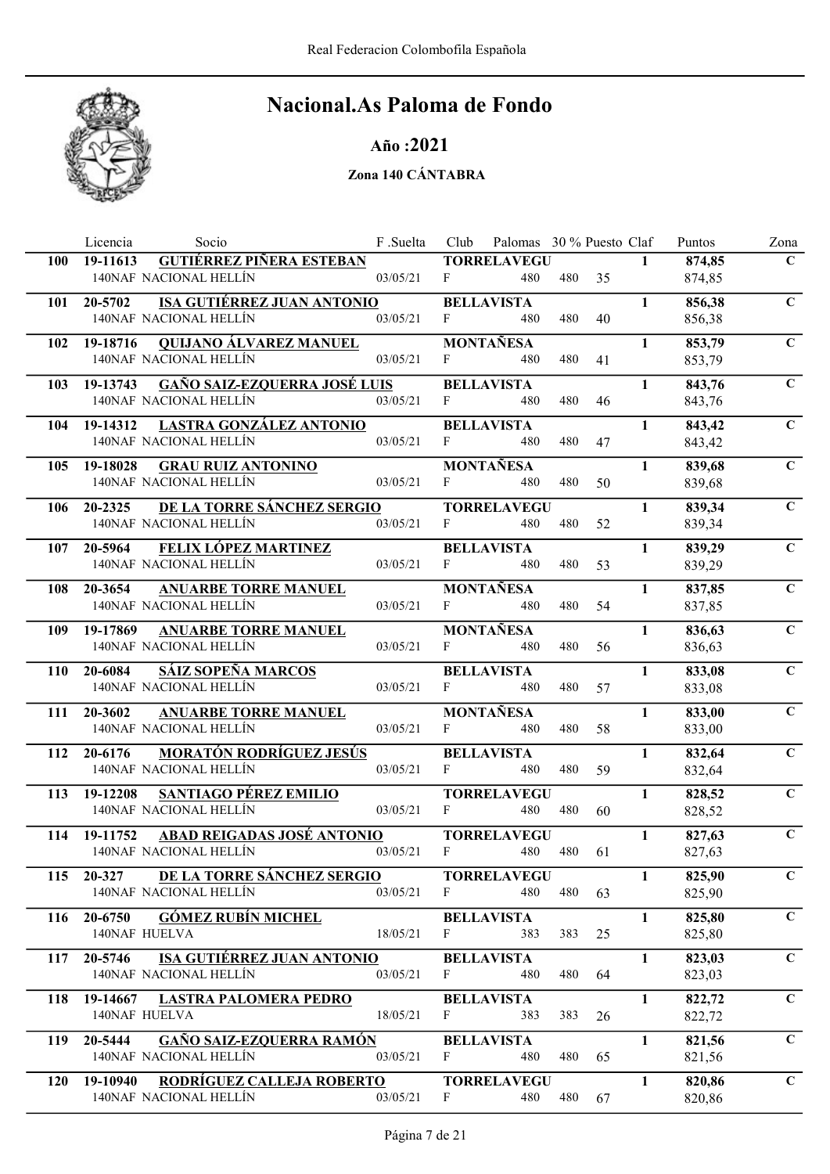

### Año :2021

|            | Licencia<br>Socio                                                | F.Suelta | Club         | Palomas 30 % Puesto Claf  |        |    |              | Puntos           | Zona         |
|------------|------------------------------------------------------------------|----------|--------------|---------------------------|--------|----|--------------|------------------|--------------|
| 100        | <b>GUTIÉRREZ PIÑERA ESTEBAN</b><br>19-11613                      |          |              | <b>TORRELAVEGU</b>        |        |    | $\mathbf{1}$ | 874,85           | $\mathbf C$  |
|            | 140NAF NACIONAL HELLÍN                                           | 03/05/21 | F            | 480                       | 480    | 35 |              | 874,85           |              |
| 101        | <b>ISA GUTIÉRREZ JUAN ANTONIO</b><br>20-5702                     |          |              | <b>BELLAVISTA</b>         |        |    | $\mathbf{1}$ | 856,38           | $\mathbf C$  |
|            | 140NAF NACIONAL HELLÍN                                           | 03/05/21 | F            | 480                       | 480    | 40 |              | 856,38           |              |
| 102        | 19-18716<br><b>QUIJANO ÁLVAREZ MANUEL</b>                        |          |              | <b>MONTAÑESA</b>          |        |    | $\mathbf{1}$ | 853,79           | $\mathbf C$  |
|            | 140NAF NACIONAL HELLÍN                                           | 03/05/21 | F            | 480                       | 480    | 41 |              | 853,79           |              |
| 103        | <b>GAÑO SAIZ-EZQUERRA JOSÉ LUIS</b><br>19-13743                  |          |              | <b>BELLAVISTA</b>         |        |    | $\mathbf{1}$ | 843,76           | $\mathbf C$  |
|            | 140NAF NACIONAL HELLÍN                                           | 03/05/21 | F            | 480                       | 480    | 46 |              | 843,76           |              |
| 104        | 19-14312 LASTRA GONZÁLEZ ANTONIO                                 |          |              | <b>BELLAVISTA</b>         |        |    | $\mathbf{1}$ | 843,42           | $\mathbf C$  |
|            | 140NAF NACIONAL HELLÍN                                           | 03/05/21 | F            | 480                       | 480    | 47 |              | 843,42           |              |
| 105        | <b>GRAU RUIZ ANTONINO</b><br>19-18028                            |          |              | <b>MONTAÑESA</b>          |        |    | $\mathbf{1}$ | 839,68           | $\mathbf C$  |
|            | 140NAF NACIONAL HELLÍN                                           | 03/05/21 | $F -$        | 480                       | 480    | 50 |              | 839,68           |              |
|            | <u>DE LA TORRE SÁNCHEZ SERGIO</u>                                |          |              |                           |        |    | $\mathbf{1}$ |                  | $\mathbf C$  |
| 106        | 20-2325<br>140NAF NACIONAL HELLÍN                                | 03/05/21 | $F_{\perp}$  | <b>TORRELAVEGU</b><br>480 | 480    | 52 |              | 839,34<br>839,34 |              |
|            |                                                                  |          |              |                           |        |    |              |                  |              |
| 107        | <b>FELIX LÓPEZ MARTINEZ</b><br>20-5964<br>140NAF NACIONAL HELLÍN | 03/05/21 | F            | <b>BELLAVISTA</b><br>480  | 480    | 53 | $\mathbf{1}$ | 839,29<br>839,29 | $\mathbf C$  |
|            |                                                                  |          |              |                           |        |    |              |                  |              |
| 108        | <b>ANUARBE TORRE MANUEL</b><br>20-3654                           |          |              | <b>MONTAÑESA</b>          |        |    | $\mathbf{1}$ | 837,85           | $\mathbf C$  |
|            | 140NAF NACIONAL HELLÍN                                           | 03/05/21 | F            | 480                       | 480    | 54 |              | 837,85           |              |
| 109        | <b>ANUARBE TORRE MANUEL</b><br>19-17869                          |          |              | <b>MONTAÑESA</b>          |        |    | $\mathbf{1}$ | 836,63           | $\mathbf C$  |
|            | 140NAF NACIONAL HELLÍN                                           | 03/05/21 | F            | 480                       | 480    | 56 |              | 836,63           |              |
| 110        | <b>SÁIZ SOPEÑA MARCOS</b><br>20-6084                             |          |              | <b>BELLAVISTA</b>         |        |    | $\mathbf{1}$ | 833,08           | $\mathbf C$  |
|            | 140NAF NACIONAL HELLÍN                                           | 03/05/21 | $F_{\perp}$  | 480                       | 480    | 57 |              | 833,08           |              |
| 111        | 20-3602<br><b>ANUARBE TORRE MANUEL</b>                           |          |              | <b>MONTAÑESA</b>          |        |    | 1            | 833,00           | $\mathbf C$  |
|            | 140NAF NACIONAL HELLÍN                                           | 03/05/21 | F            | 480                       | 480    | 58 |              | 833,00           |              |
| 112        | <b>MORATÓN RODRÍGUEZ JESÚS</b><br>20-6176                        |          |              | <b>BELLAVISTA</b>         |        |    | $\mathbf{1}$ | 832,64           | $\mathbf C$  |
|            | 140NAF NACIONAL HELLÍN                                           | 03/05/21 | F            | 480                       | 480    | 59 |              | 832,64           |              |
| 113        | 19-12208<br><b>SANTIAGO PÉREZ EMILIO</b>                         |          |              | <b>TORRELAVEGU</b>        |        |    | $\mathbf{1}$ | 828,52           | $\mathbf C$  |
|            | 140NAF NACIONAL HELLÍN                                           | 03/05/21 | F            | 480                       | 480    | 60 |              | 828,52           |              |
| 114        | ABAD REIGADAS JOSÉ ANTONIO<br>19-11752                           |          |              | <b>TORRELAVEGU</b>        |        |    | $\mathbf{1}$ | 827,63           | $\mathbf C$  |
|            | 140NAF NACIONAL HELLÍN                                           | 03/05/21 | $\mathbf{F}$ | 480                       | 480    | 61 |              | 827,63           |              |
|            | 115 20-327 DE LA TORRE SÁNCHEZ SERGIO                            |          |              | <b>TORRELAVEGU</b>        |        |    | $\mathbf{1}$ | 825,90           | $\mathbf{C}$ |
|            | 140NAF NACIONAL HELLÍN                                           | 03/05/21 | $\mathbf{F}$ | 480                       | 480 63 |    |              | 825,90           |              |
| 116        | <b>GÓMEZ RUBÍN MICHEL</b><br>20-6750                             |          |              | <b>BELLAVISTA</b>         |        |    | $\mathbf{1}$ | 825,80           | $\mathbf C$  |
|            | <b>140NAF HUELVA</b>                                             | 18/05/21 | F            | 383                       | 383    | 25 |              | 825,80           |              |
|            | <b>ISA GUTIÉRREZ JUAN ANTONIO</b><br>20-5746                     |          |              | <b>BELLAVISTA</b>         |        |    | $\mathbf{1}$ | 823,03           | $\mathbf C$  |
| 117        | 140NAF NACIONAL HELLÍN                                           | 03/05/21 | $\mathbf{F}$ | 480                       | 480    | 64 |              | 823,03           |              |
|            |                                                                  |          |              |                           |        |    |              |                  |              |
| 118        | 19-14667 LASTRA PALOMERA PEDRO                                   | 18/05/21 | F            | <b>BELLAVISTA</b>         |        |    | $\mathbf{1}$ | 822,72           | $\mathbf C$  |
|            | 140NAF HUELVA                                                    |          |              | 383                       | 383    | 26 |              | 822,72           |              |
| 119        | <b>GAÑO SAIZ-EZQUERRA RAMÓN</b><br>20-5444                       |          |              | <b>BELLAVISTA</b>         |        |    | $\mathbf{1}$ | 821,56           | $\mathbf C$  |
|            | 140NAF NACIONAL HELLÍN                                           | 03/05/21 | F            | 480                       | 480    | 65 |              | 821,56           |              |
| <b>120</b> | 19-10940 RODRÍGUEZ CALLEJA ROBERTO                               |          |              | <b>TORRELAVEGU</b>        |        |    | $\mathbf{1}$ | 820,86           | $\mathbf C$  |
|            | 140NAF NACIONAL HELLÍN                                           | 03/05/21 | $\mathbf{F}$ | 480                       | 480    | 67 |              | 820,86           |              |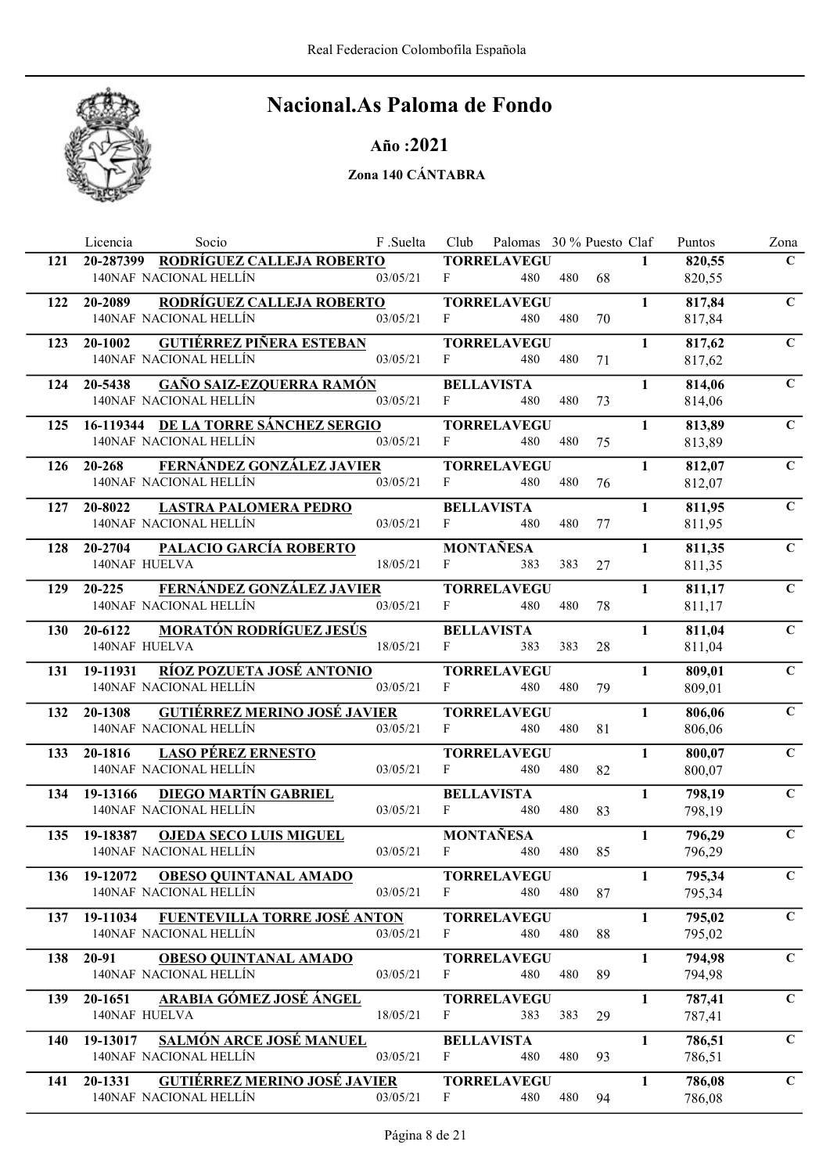

### Año :2021

|     | Licencia<br>Socio                                                        | F.Suelta | Club         | Palomas 30 % Puesto Claf  |     |    |              | Puntos           | Zona         |
|-----|--------------------------------------------------------------------------|----------|--------------|---------------------------|-----|----|--------------|------------------|--------------|
| 121 | 20-287399 RODRÍGUEZ CALLEJA ROBERTO                                      |          |              | <b>TORRELAVEGU</b>        |     |    | $\mathbf{1}$ | 820,55           | $\mathbf C$  |
|     | 140NAF NACIONAL HELLÍN                                                   | 03/05/21 | F            | 480                       | 480 | 68 |              | 820,55           |              |
| 122 | RODRÍGUEZ CALLEJA ROBERTO<br>20-2089                                     |          |              | <b>TORRELAVEGU</b>        |     |    | $\mathbf{1}$ | 817,84           | $\mathbf C$  |
|     | 140NAF NACIONAL HELLÍN                                                   | 03/05/21 | F            | 480                       | 480 | 70 |              | 817,84           |              |
| 123 | <b>GUTIÉRREZ PIÑERA ESTEBAN</b><br>20-1002                               |          |              | <b>TORRELAVEGU</b>        |     |    | $\mathbf{1}$ | 817,62           | $\mathbf C$  |
|     | 140NAF NACIONAL HELLÍN                                                   | 03/05/21 | F            | 480                       | 480 | 71 |              | 817,62           |              |
|     | <b>GAÑO SAIZ-EZQUERRA RAMÓN</b><br>124 20-5438                           |          |              | <b>BELLAVISTA</b>         |     |    | $\mathbf{1}$ | 814,06           | $\mathbf C$  |
|     | 140NAF NACIONAL HELLÍN                                                   | 03/05/21 | F            | 480                       | 480 | 73 |              | 814,06           |              |
| 125 | 16-119344 DE LA TORRE SÁNCHEZ SERGIO                                     |          |              | <b>TORRELAVEGU</b>        |     |    | $\mathbf{1}$ | 813,89           | $\mathbf C$  |
|     | 140NAF NACIONAL HELLÍN                                                   | 03/05/21 | F            | 480                       | 480 | 75 |              | 813,89           |              |
|     |                                                                          |          |              |                           |     |    | $\mathbf{1}$ |                  | $\mathbf C$  |
| 126 | FERNÁNDEZ GONZÁLEZ JAVIER<br>20-268<br>140NAF NACIONAL HELLÍN            | 03/05/21 | F            | <b>TORRELAVEGU</b><br>480 | 480 | 76 |              | 812,07<br>812,07 |              |
|     |                                                                          |          |              |                           |     |    |              |                  |              |
| 127 | 20-8022<br><b>LASTRA PALOMERA PEDRO</b><br>140NAF NACIONAL HELLÍN        |          |              | <b>BELLAVISTA</b>         |     |    | $\mathbf{1}$ | 811,95           | $\mathbf C$  |
|     |                                                                          | 03/05/21 | $\mathbf{F}$ | 480                       | 480 | 77 |              | 811,95           |              |
| 128 | PALACIO GARCÍA ROBERTO<br>20-2704                                        |          |              | <b>MONTAÑESA</b>          |     |    | $\mathbf{1}$ | 811,35           | $\mathbf C$  |
|     | 140NAF HUELVA                                                            | 18/05/21 | $\mathbf{F}$ | 383                       | 383 | 27 |              | 811,35           |              |
| 129 | FERNÁNDEZ GONZÁLEZ JAVIER<br>$20 - 225$                                  |          |              | <b>TORRELAVEGU</b>        |     |    | $\mathbf{1}$ | 811,17           | $\mathbf C$  |
|     | 140NAF NACIONAL HELLÍN                                                   | 03/05/21 | F            | 480                       | 480 | 78 |              | 811,17           |              |
| 130 | <b>MORATÓN RODRÍGUEZ JESÚS</b><br>20-6122                                |          |              | <b>BELLAVISTA</b>         |     |    | $\mathbf{1}$ | 811,04           | $\mathbf C$  |
|     | 140NAF HUELVA                                                            | 18/05/21 | $\mathbf{F}$ | 383                       | 383 | 28 |              | 811,04           |              |
| 131 | 19-11931 RÍOZ POZUETA JOSÉ ANTONIO                                       |          |              | <b>TORRELAVEGU</b>        |     |    | $\mathbf{1}$ | 809,01           | $\mathbf C$  |
|     | 140NAF NACIONAL HELLÍN                                                   | 03/05/21 | F            | 480                       | 480 | 79 |              | 809,01           |              |
| 132 | <b>GUTIÉRREZ MERINO JOSÉ JAVIER</b><br>20-1308                           |          |              | <b>TORRELAVEGU</b>        |     |    | $\mathbf{1}$ | 806,06           | $\mathbf C$  |
|     | 140NAF NACIONAL HELLÍN                                                   | 03/05/21 | F            | 480                       | 480 | 81 |              | 806,06           |              |
| 133 | <b>LASO PÉREZ ERNESTO</b><br>20-1816                                     |          |              | <b>TORRELAVEGU</b>        |     |    | $\mathbf{1}$ | 800,07           | $\mathbf C$  |
|     | 140NAF NACIONAL HELLÍN                                                   | 03/05/21 | F            | 480                       | 480 | 82 |              | 800,07           |              |
|     |                                                                          |          |              |                           |     |    |              |                  |              |
| 134 | <b>DIEGO MARTÍN GABRIEL</b><br>19-13166<br>140NAF NACIONAL HELLÍN        | 03/05/21 | F            | <b>BELLAVISTA</b><br>480  | 480 | 83 | $\mathbf{1}$ | 798,19<br>798,19 | $\mathbf C$  |
|     |                                                                          |          |              |                           |     |    |              |                  |              |
| 135 | 19-18387<br><b>OJEDA SECO LUIS MIGUEL</b>                                |          |              | <b>MONTAÑESA</b>          |     |    | $\mathbf{1}$ | 796,29           | $\mathbf C$  |
|     | 140NAF NACIONAL HELLÍN                                                   | 03/05/21 | $\mathbf{F}$ | 480                       | 480 | 85 |              | 796,29           |              |
| 136 | <b>OBESO QUINTANAL AMADO</b><br>19-12072                                 |          |              | <b>TORRELAVEGU</b>        |     |    | $\mathbf{1}$ | 795,34           | $\mathbf{C}$ |
|     | 140NAF NACIONAL HELLÍN                                                   | 03/05/21 | F            | 480                       | 480 | 87 |              | 795,34           |              |
| 137 | FUENTEVILLA TORRE JOSÉ ANTON<br>19-11034                                 |          |              | <b>TORRELAVEGU</b>        |     |    | $\mathbf{1}$ | 795,02           | $\mathbf C$  |
|     | 140NAF NACIONAL HELLÍN                                                   | 03/05/21 | F            | 480                       | 480 | 88 |              | 795,02           |              |
| 138 | <b>OBESO QUINTANAL AMADO</b><br>20-91                                    |          |              | <b>TORRELAVEGU</b>        |     |    | $\mathbf{1}$ | 794,98           | $\mathbf C$  |
|     | 140NAF NACIONAL HELLÍN                                                   | 03/05/21 | F            | 480                       | 480 | 89 |              | 794,98           |              |
| 139 | <b>ARABIA GÓMEZ JOSÉ ÁNGEL</b><br>20-1651                                |          |              | <b>TORRELAVEGU</b>        |     |    | $\mathbf{1}$ | 787,41           | $\mathbf C$  |
|     | 140NAF HUELVA                                                            | 18/05/21 | F            | 383                       | 383 | 29 |              | 787,41           |              |
| 140 | <b>SALMÓN ARCE JOSÉ MANUEL</b><br>19-13017                               |          |              | <b>BELLAVISTA</b>         |     |    | $\mathbf{1}$ | 786,51           | $\mathbf C$  |
|     | 140NAF NACIONAL HELLÍN                                                   | 03/05/21 | F            | 480                       | 480 | 93 |              | 786,51           |              |
|     |                                                                          |          |              |                           |     |    |              |                  |              |
| 141 | <b>GUTIÉRREZ MERINO JOSÉ JAVIER</b><br>20-1331<br>140NAF NACIONAL HELLÍN | 03/05/21 | F            | <b>TORRELAVEGU</b>        |     |    | $\mathbf{1}$ | 786,08           | $\mathbf C$  |
|     |                                                                          |          |              | 480                       | 480 | 94 |              | 786,08           |              |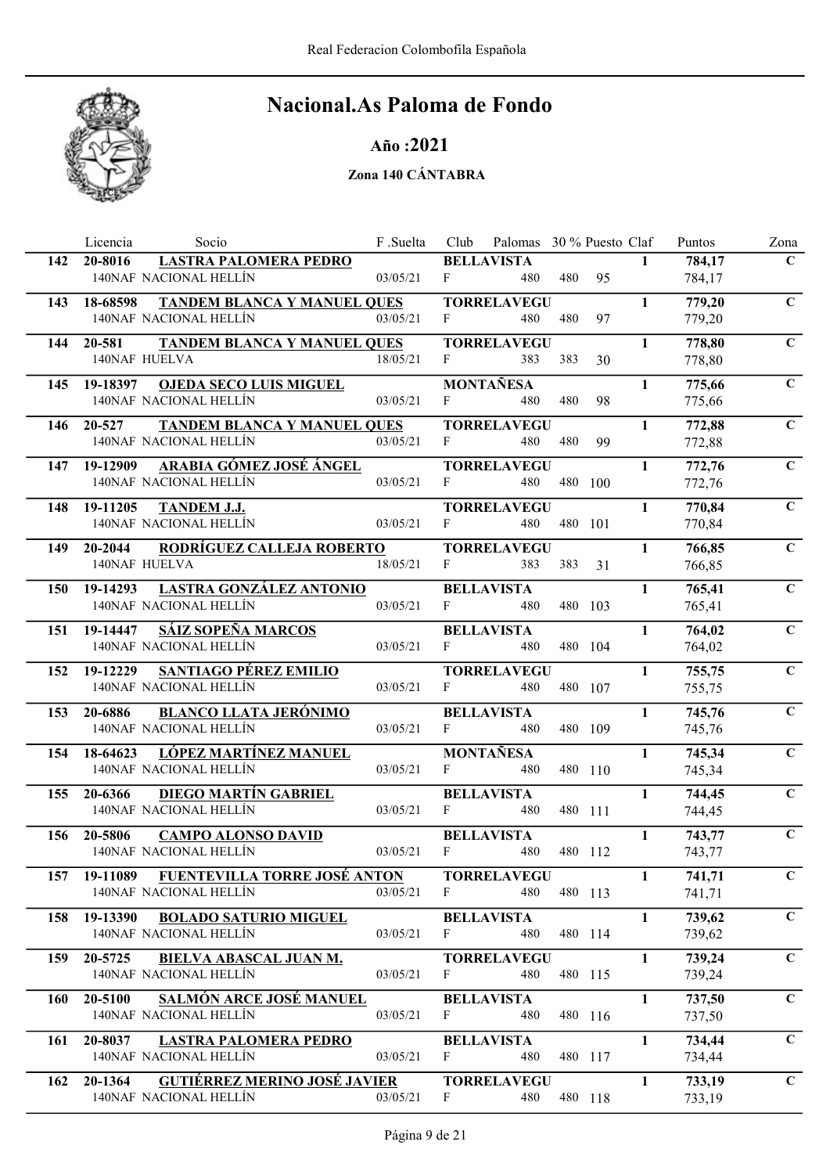

### Año :2021

|            | Licencia<br>Socio                                                   | F.Suelta | Club         | Palomas 30 % Puesto Claf  |     |         |              | Puntos           | Zona         |
|------------|---------------------------------------------------------------------|----------|--------------|---------------------------|-----|---------|--------------|------------------|--------------|
| 142        | <b>LASTRA PALOMERA PEDRO</b><br>20-8016                             |          |              | <b>BELLAVISTA</b>         |     |         | $\mathbf{1}$ | 784,17           | $\mathbf C$  |
|            | 140NAF NACIONAL HELLÍN                                              | 03/05/21 | F            | 480                       | 480 | 95      |              | 784,17           |              |
| 143        | TANDEM BLANCA Y MANUEL QUES<br>18-68598                             |          |              | <b>TORRELAVEGU</b>        |     |         | 1            | 779,20           | $\mathbf C$  |
|            | 140NAF NACIONAL HELLÍN                                              | 03/05/21 | F            | 480                       | 480 | 97      |              | 779,20           |              |
| 144        | 20-581<br><b>TANDEM BLANCA Y MANUEL QUES</b>                        |          |              | <b>TORRELAVEGU</b>        |     |         | $\mathbf{1}$ | 778,80           | $\mathbf C$  |
|            | 140NAF HUELVA                                                       | 18/05/21 | F            | 383                       | 383 | 30      |              | 778,80           |              |
| 145        | <b>OJEDA SECO LUIS MIGUEL</b><br>19-18397                           |          |              | <b>MONTAÑESA</b>          |     |         | $\mathbf{1}$ | 775,66           | $\mathbf C$  |
|            | 140NAF NACIONAL HELLÍN                                              | 03/05/21 | F            | 480                       | 480 | 98      |              | 775,66           |              |
| 146        | <b>TANDEM BLANCA Y MANUEL QUES</b><br>20-527                        |          |              | <b>TORRELAVEGU</b>        |     |         | $\mathbf{1}$ | 772,88           | $\mathbf C$  |
|            | 140NAF NACIONAL HELLÍN                                              | 03/05/21 | F            | 480                       | 480 | 99      |              | 772,88           |              |
| 147        | ARABIA GÓMEZ JOSÉ ÁNGEL<br>19-12909                                 |          |              | <b>TORRELAVEGU</b>        |     |         | $\mathbf{1}$ | 772,76           | $\mathbf C$  |
|            | 140NAF NACIONAL HELLÍN                                              | 03/05/21 | $F \sim 1$   | 480                       |     | 480 100 |              | 772,76           |              |
|            |                                                                     |          |              |                           |     |         | $\mathbf{1}$ |                  | $\mathbf C$  |
| 148        | 19-11205<br><b>TANDEM J.J.</b><br>140NAF NACIONAL HELLÍN            | 03/05/21 | F            | <b>TORRELAVEGU</b><br>480 |     | 480 101 |              | 770,84<br>770,84 |              |
|            |                                                                     |          |              |                           |     |         |              |                  |              |
| 149        | RODRÍGUEZ CALLEJA ROBERTO<br>20-2044<br>140NAF HUELVA               | 18/05/21 | $\mathbf{F}$ | <b>TORRELAVEGU</b><br>383 | 383 |         | $\mathbf{1}$ | 766,85           | $\mathbf C$  |
|            |                                                                     |          |              |                           |     | 31      |              | 766,85           |              |
| <b>150</b> | <b>LASTRA GONZÁLEZ ANTONIO</b><br>19-14293                          |          |              | <b>BELLAVISTA</b>         |     |         | $\mathbf{1}$ | 765,41           | $\mathbf C$  |
|            | 140NAF NACIONAL HELLÍN                                              | 03/05/21 | F            | 480                       |     | 480 103 |              | 765,41           |              |
| 151        | <b>SÁIZ SOPEÑA MARCOS</b><br>19-14447                               |          |              | <b>BELLAVISTA</b>         |     |         | $\mathbf{1}$ | 764,02           | $\mathbf C$  |
|            | 140NAF NACIONAL HELLÍN                                              | 03/05/21 | F            | 480                       |     | 480 104 |              | 764,02           |              |
| 152        | 19-12229<br>SANTIAGO PÉREZ EMILIO                                   |          |              | <b>TORRELAVEGU</b>        |     |         | $\mathbf{1}$ | 755,75           | $\mathbf C$  |
|            | 140NAF NACIONAL HELLÍN                                              | 03/05/21 | F            | 480                       |     | 480 107 |              | 755,75           |              |
| 153        | <b>BLANCO LLATA JERÓNIMO</b><br>20-6886                             |          |              | <b>BELLAVISTA</b>         |     |         | $\mathbf{1}$ | 745,76           | $\mathbf C$  |
|            | 140NAF NACIONAL HELLÍN                                              | 03/05/21 | F            | 480                       |     | 480 109 |              | 745,76           |              |
| 154        | LÓPEZ MARTÍNEZ MANUEL<br>18-64623                                   |          |              | <b>MONTAÑESA</b>          |     |         | $\mathbf{1}$ | 745,34           | $\mathbf C$  |
|            | 140NAF NACIONAL HELLÍN                                              | 03/05/21 | F            | 480                       |     | 480 110 |              | 745,34           |              |
| 155        | <b>DIEGO MARTÍN GABRIEL</b><br>20-6366                              |          |              | <b>BELLAVISTA</b>         |     |         | $\mathbf{1}$ | 744,45           | $\mathbf C$  |
|            | 140NAF NACIONAL HELLÍN                                              | 03/05/21 | F            | 480                       |     | 480 111 |              | 744,45           |              |
| 156        | 20-5806<br><b>CAMPO ALONSO DAVID</b>                                |          |              | <b>BELLAVISTA</b>         |     |         | $\mathbf{1}$ | 743,77           | $\mathbf C$  |
|            | 140NAF NACIONAL HELLÍN                                              | 03/05/21 | F            | 480                       |     | 480 112 |              | 743,77           |              |
|            | 157 19-11089 FUENTEVILLA TORRE JOSÉ ANTON                           |          |              | <b>TORRELAVEGU</b>        |     |         | $\mathbf{1}$ | 741,71           | $\mathbf{C}$ |
|            | 140NAF NACIONAL HELLÍN                                              | 03/05/21 | $\mathbf{F}$ | 480                       |     | 480 113 |              | 741,71           |              |
| 158        | 19-13390<br><b>BOLADO SATURIO MIGUEL</b>                            |          |              | <b>BELLAVISTA</b>         |     |         | $\mathbf{1}$ | 739,62           | $\mathbf C$  |
|            | 140NAF NACIONAL HELLÍN                                              | 03/05/21 | F            | 480                       |     | 480 114 |              | 739,62           |              |
|            |                                                                     |          |              |                           |     |         | $\mathbf{1}$ |                  | $\mathbf C$  |
| 159        | 20-5725<br>BIELVA ABASCAL JUAN M.<br>140NAF NACIONAL HELLÍN         | 03/05/21 | $\mathbf{F}$ | <b>TORRELAVEGU</b><br>480 |     | 480 115 |              | 739,24<br>739,24 |              |
|            |                                                                     |          |              |                           |     |         |              |                  |              |
| 160        | <b>SALMÓN ARCE JOSÉ MANUEL</b><br>20-5100<br>140NAF NACIONAL HELLÍN | 03/05/21 | F            | <b>BELLAVISTA</b>         |     |         | $\mathbf{1}$ | 737,50           | $\mathbf C$  |
|            |                                                                     |          |              | 480                       |     | 480 116 |              | 737,50           |              |
| 161        | 20-8037<br><b>LASTRA PALOMERA PEDRO</b>                             |          |              | <b>BELLAVISTA</b>         |     |         | $\mathbf{1}$ | 734,44           | $\mathbf C$  |
|            | 140NAF NACIONAL HELLÍN                                              | 03/05/21 | F            | 480                       |     | 480 117 |              | 734,44           |              |
| 162        | <b>GUTIÉRREZ MERINO JOSÉ JAVIER</b><br>20-1364                      |          |              | <b>TORRELAVEGU</b>        |     |         | $\mathbf{1}$ | 733,19           | $\mathbf C$  |
|            | 140NAF NACIONAL HELLÍN                                              | 03/05/21 | F            | 480                       |     | 480 118 |              | 733,19           |              |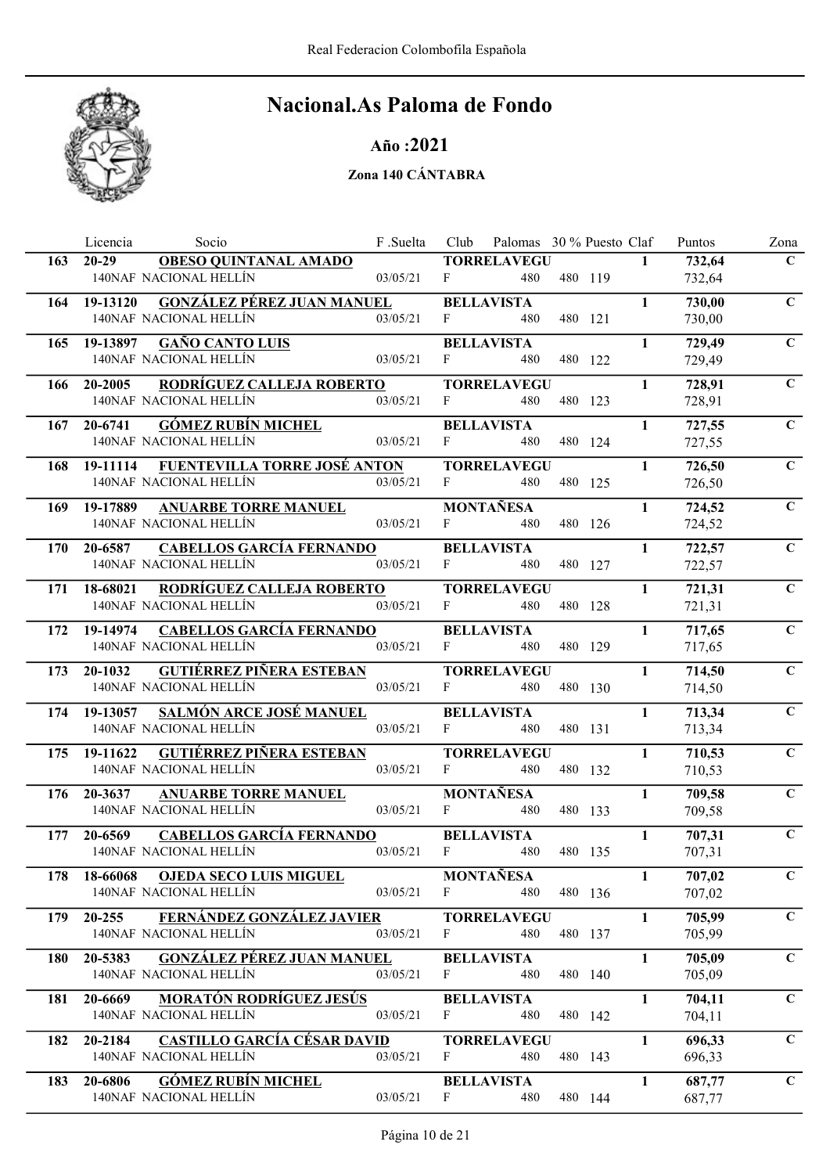

### Año :2021

|            | Licencia<br>Socio                                                      | F .Suelta    |              | Club Palomas 30 % Puesto Claf |         |              | Puntos           | Zona        |
|------------|------------------------------------------------------------------------|--------------|--------------|-------------------------------|---------|--------------|------------------|-------------|
| 163        | <b>OBESO QUINTANAL AMADO</b><br>$20-29$                                |              |              | <b>TORRELAVEGU</b>            |         | $\mathbf{1}$ | 732,64           | $\mathbf C$ |
|            | 140NAF NACIONAL HELLÍN                                                 | 03/05/21     | F            | 480                           | 480 119 |              | 732,64           |             |
|            | GONZÁLEZ PÉREZ JUAN MANUEL<br>164 19-13120                             |              |              | <b>BELLAVISTA</b>             |         | $\mathbf{1}$ | 730,00           | $\mathbf C$ |
|            | 140NAF NACIONAL HELLÍN                                                 | 03/05/21     | F            | 480                           | 480 121 |              | 730,00           |             |
|            | <b>GAÑO CANTO LUIS</b><br>165 19-13897                                 |              |              | <b>BELLAVISTA</b>             |         | $\mathbf{1}$ | 729,49           | $\mathbf C$ |
|            | 140NAF NACIONAL HELLÍN                                                 | 03/05/21     | $\mathbf{F}$ | 480                           | 480 122 |              | 729,49           |             |
|            | <b>RODRÍGUEZ CALLEJA ROBERTO</b><br>166 20-2005                        |              |              | <b>TORRELAVEGU</b>            |         | $\mathbf{1}$ | 728,91           | $\mathbf C$ |
|            | 140NAF NACIONAL HELLÍN                                                 | 03/05/21     | F            | 480                           | 480 123 |              | 728,91           |             |
|            | 167 20-6741 GÓMEZ RUBÍN MICHEL                                         |              |              | <b>BELLAVISTA</b>             |         | $\mathbf{1}$ | 727,55           | $\mathbf C$ |
|            | 140NAF NACIONAL HELLÍN                                                 | 03/05/21     | $\mathbf{F}$ | 480                           | 480 124 |              | 727,55           |             |
|            | 168 19-11114 FUENTEVILLA TORRE JOSÉ ANTON                              |              |              | <b>TORRELAVEGU</b>            |         | $\mathbf{1}$ | 726,50           | $\mathbf C$ |
|            | 140NAF NACIONAL HELLÍN                                                 | 03/05/21     | $F$ and $F$  | 480                           | 480 125 |              | 726,50           |             |
|            |                                                                        |              |              |                               |         |              |                  |             |
| 169        | 19-17889 ANUARBE TORRE MANUEL<br>140NAF NACIONAL HELLÍN                | 03/05/21     | $F \sim$     | MONTAÑESA<br>480              | 480 126 | $\mathbf{1}$ | 724,52<br>724,52 | $\mathbf C$ |
|            |                                                                        |              |              |                               |         |              |                  |             |
| 170        | <b>CABELLOS GARCÍA FERNANDO</b><br>20-6587<br>140NAF NACIONAL HELLÍN   | 03/05/21     |              | <b>BELLAVISTA</b>             |         | $\mathbf{1}$ | 722,57           | $\mathbf C$ |
|            |                                                                        |              | $F \sim 1$   | 480                           | 480 127 |              | 722,57           |             |
|            | 171 18-68021 RODRÍGUEZ CALLEJA ROBERTO                                 |              |              | <b>TORRELAVEGU</b>            |         | $\mathbf{1}$ | 721,31           | $\mathbf C$ |
|            | 140NAF NACIONAL HELLÍN                                                 | 03/05/21     | $F -$        | 480                           | 480 128 |              | 721,31           |             |
|            | <b>CABELLOS GARCÍA FERNANDO</b><br>172 19-14974                        |              |              | <b>BELLAVISTA</b>             |         | $\mathbf{1}$ | 717,65           | $\mathbf C$ |
|            | 140NAF NACIONAL HELLÍN                                                 | 03/05/21     | F            | 480                           | 480 129 |              | 717,65           |             |
|            | GUTIÉRREZ PIÑERA ESTEBAN<br>173 20-1032                                |              |              | <b>TORRELAVEGU</b>            |         | $\mathbf{1}$ | 714,50           | $\mathbf C$ |
|            | 140NAF NACIONAL HELLÍN                                                 | 03/05/21     | $F$ and $F$  | 480                           | 480 130 |              | 714,50           |             |
|            | <b>SALMÓN ARCE JOSÉ MANUEL</b><br>174 19-13057                         |              |              | <b>BELLAVISTA</b>             |         | $\mathbf{1}$ | 713,34           | $\mathbf C$ |
|            | 140NAF NACIONAL HELLÍN                                                 | 03/05/21     | F            | 480                           | 480 131 |              | 713,34           |             |
|            | 175 19-11622 GUTIÉRREZ PIÑERA ESTEBAN                                  |              |              | <b>TORRELAVEGU</b>            |         | $\mathbf{1}$ | 710,53           | $\mathbf C$ |
|            | 140NAF NACIONAL HELLÍN                                                 | 03/05/21     | $F \sim$     | 480                           | 480 132 |              | 710,53           |             |
|            | 176 20-3637<br><b>ANUARBE TORRE MANUEL</b>                             |              |              | <b>MONTAÑESA</b>              |         | $\mathbf{1}$ | 709,58           | $\mathbf C$ |
|            | 140NAF NACIONAL HELLÍN                                                 | 03/05/21     | F.           | 480                           | 480 133 |              | 709,58           |             |
| 177        | <b>CABELLOS GARCÍA FERNANDO</b><br>20-6569                             |              |              | <b>BELLAVISTA</b>             |         | $\mathbf{1}$ | 707,31           | $\mathbf C$ |
|            | 140NAF NACIONAL HELLÍN                                                 | 03/05/21     | $F$ and $F$  | 480                           | 480 135 |              | 707,31           |             |
|            | 178 18-66068 OJEDA SECO LUIS MIGUEL                                    |              |              | MONTAÑESA                     |         | $\mathbf{1}$ | 707,02           | $\mathbf C$ |
|            | 140NAF NACIONAL HELLÍN                                                 | $03/05/21$ F |              | 480                           | 480 136 |              | 707,02           |             |
|            | 179 20-255 FERNÁNDEZ GONZÁLEZ JAVIER                                   |              |              |                               |         | $\mathbf{1}$ | 705,99           | $\mathbf C$ |
|            | 140NAF NACIONAL HELLÍN                                                 | 03/05/21     | $F \sim$     | <b>TORRELAVEGU</b><br>480     | 480 137 |              | 705,99           |             |
|            |                                                                        |              |              |                               |         |              |                  |             |
| <b>180</b> | <b>GONZÁLEZ PÉREZ JUAN MANUEL</b><br>20-5383<br>140NAF NACIONAL HELLÍN | 03/05/21     | F            | <b>BELLAVISTA</b><br>480      |         | $\mathbf{1}$ | 705,09           | $\mathbf C$ |
|            |                                                                        |              |              |                               | 480 140 |              | 705,09           |             |
| 181        | <b>MORATÓN RODRÍGUEZ JESÚS</b><br>20-6669                              |              |              | <b>BELLAVISTA</b>             |         | $\mathbf{1}$ | 704,11           | $\mathbf C$ |
|            | 140NAF NACIONAL HELLÍN                                                 | 03/05/21     | F            | 480                           | 480 142 |              | 704,11           |             |
|            | CASTILLO GARCÍA CÉSAR DAVID<br>182 20-2184                             |              |              | <b>TORRELAVEGU</b>            |         | $\mathbf{1}$ | 696,33           | $\mathbf C$ |
|            | 140NAF NACIONAL HELLÍN                                                 | 03/05/21     | F            | 480                           | 480 143 |              | 696,33           |             |
| 183        | <b>GÓMEZ RUBÍN MICHEL</b><br>20-6806                                   |              |              | <b>BELLAVISTA</b>             |         | $\mathbf{1}$ | 687,77           | $\mathbf C$ |
|            | 140NAF NACIONAL HELLÍN                                                 | 03/05/21     | F            | 480                           | 480 144 |              | 687,77           |             |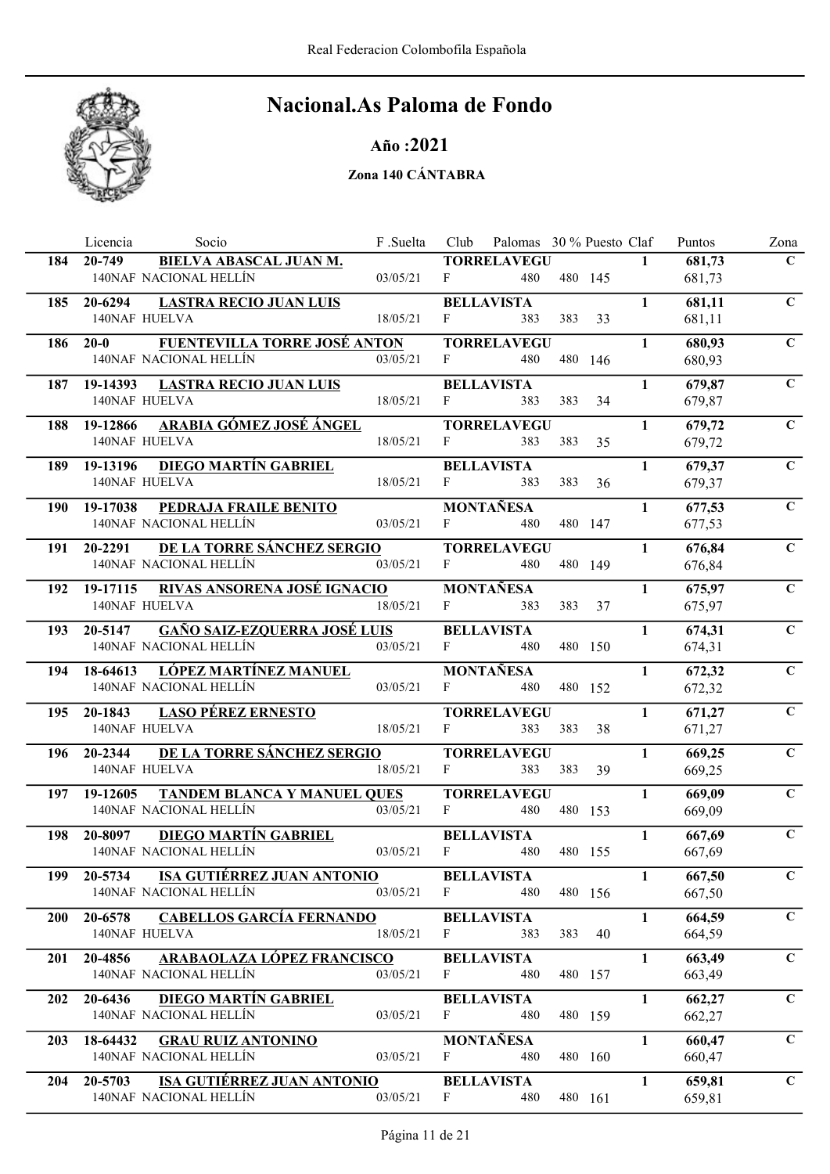

### Año :2021

|            | Socio<br>Licencia                                                | F.Suelta | Club         | Palomas 30 % Puesto Claf  |         |    |              | Puntos           | Zona           |
|------------|------------------------------------------------------------------|----------|--------------|---------------------------|---------|----|--------------|------------------|----------------|
| 184        | <b>BIELVA ABASCAL JUAN M.</b><br>20-749                          |          |              | <b>TORRELAVEGU</b>        |         |    | $\mathbf{1}$ | 681,73           | $\mathbf C$    |
|            | 140NAF NACIONAL HELLÍN                                           | 03/05/21 | $\mathbf{F}$ | 480                       | 480 145 |    |              | 681,73           |                |
| 185        | 20-6294<br><b>LASTRA RECIO JUAN LUIS</b>                         |          |              | <b>BELLAVISTA</b>         |         |    | $\mathbf{1}$ | 681,11           | $\mathbf C$    |
|            | <b>140NAF HUELVA</b>                                             | 18/05/21 | F            | 383                       | 383     | 33 |              | 681,11           |                |
| 186        | <b>FUENTEVILLA TORRE JOSÉ ANTON</b><br>$20 - 0$                  |          |              | <b>TORRELAVEGU</b>        |         |    | $\mathbf{1}$ | 680,93           | $\mathbf C$    |
|            | 140NAF NACIONAL HELLÍN                                           | 03/05/21 | F            | 480                       | 480 146 |    |              | 680,93           |                |
|            | 187 19-14393<br><b>LASTRA RECIO JUAN LUIS</b>                    |          |              | <b>BELLAVISTA</b>         |         |    | $\mathbf{1}$ | 679,87           | $\mathbf C$    |
|            | 140NAF HUELVA                                                    | 18/05/21 | F            | 383                       | 383     | 34 |              | 679,87           |                |
| 188        | 19-12866 ARABIA GÓMEZ JOSÉ ÁNGEL                                 |          |              | <b>TORRELAVEGU</b>        |         |    | $\mathbf{1}$ | 679,72           | $\mathbf C$    |
|            | 140NAF HUELVA                                                    | 18/05/21 | F            | 383                       | 383     | 35 |              | 679,72           |                |
| 189        | <u>DIEGO MARTÍN GABRIEL</u><br>19-13196                          |          |              | <b>BELLAVISTA</b>         |         |    | $\mathbf{1}$ | 679,37           | $\overline{C}$ |
|            | <b>140NAF HUELVA</b>                                             | 18/05/21 | $F$ and $F$  | 383                       | 383     | 36 |              | 679,37           |                |
| <b>190</b> | <b>PEDRAJA FRAILE BENITO</b><br>19-17038                         |          |              | <b>MONTAÑESA</b>          |         |    | $\mathbf{1}$ | 677,53           | $\mathbf C$    |
|            | 140NAF NACIONAL HELLÍN                                           | 03/05/21 | $\mathbf{F}$ | 480                       | 480 147 |    |              | 677,53           |                |
|            |                                                                  |          |              |                           |         |    |              |                  |                |
| 191        | DE LA TORRE SÁNCHEZ SERGIO<br>20-2291<br>140NAF NACIONAL HELLÍN  | 03/05/21 | F            | <b>TORRELAVEGU</b><br>480 | 480 149 |    | $\mathbf{1}$ | 676,84<br>676,84 | $\mathbf C$    |
|            |                                                                  |          |              |                           |         |    |              |                  |                |
| 192        | RIVAS ANSORENA JOSÉ IGNACIO<br>19-17115                          |          | F            | <b>MONTAÑESA</b>          |         |    | $\mathbf{1}$ | 675,97           | $\mathbf C$    |
|            | 140NAF HUELVA                                                    | 18/05/21 |              | 383                       | 383     | 37 |              | 675,97           |                |
| 193        | <b>GAÑO SAIZ-EZQUERRA JOSÉ LUIS</b><br>20-5147                   |          |              | <b>BELLAVISTA</b>         |         |    | $\mathbf{1}$ | 674,31           | $\mathbf C$    |
|            | 140NAF NACIONAL HELLÍN                                           | 03/05/21 | F            | 480                       | 480 150 |    |              | 674,31           |                |
| 194        | 18-64613 LÓPEZ MARTÍNEZ MANUEL                                   |          |              | <b>MONTAÑESA</b>          |         |    | $\mathbf{1}$ | 672,32           | $\mathbf C$    |
|            | 140NAF NACIONAL HELLÍN                                           | 03/05/21 | $F -$        | 480                       | 480 152 |    |              | 672,32           |                |
| 195        | <b>LASO PÉREZ ERNESTO</b><br>20-1843                             |          |              | <b>TORRELAVEGU</b>        |         |    | $\mathbf{1}$ | 671,27           | $\mathbf C$    |
|            | 140NAF HUELVA                                                    | 18/05/21 | F            | 383                       | 383     | 38 |              | 671,27           |                |
| 196        | DE LA TORRE SÁNCHEZ SERGIO<br>20-2344                            |          |              | <b>TORRELAVEGU</b>        |         |    | $\mathbf{1}$ | 669,25           | $\mathbf C$    |
|            | 140NAF HUELVA                                                    | 18/05/21 | $\mathbf{F}$ | 383                       | 383     | 39 |              | 669,25           |                |
| 197        | <b>TANDEM BLANCA Y MANUEL QUES</b><br>19-12605                   |          |              | <b>TORRELAVEGU</b>        |         |    | $\mathbf{1}$ | 669,09           | $\mathbf C$    |
|            | 140NAF NACIONAL HELLÍN                                           | 03/05/21 | F            | 480                       | 480 153 |    |              | 669,09           |                |
| 198        | 20-8097<br><b>DIEGO MARTÍN GABRIEL</b>                           |          |              | <b>BELLAVISTA</b>         |         |    | $\mathbf{1}$ | 667,69           | $\mathbf C$    |
|            | 140NAF NACIONAL HELLÍN                                           | 03/05/21 | $\mathbf{F}$ | 480                       | 480 155 |    |              | 667,69           |                |
| 199        | 20-5734 ISA GUTIÉRREZ JUAN ANTONIO                               |          |              | <b>BELLAVISTA</b>         |         |    | $\mathbf{1}$ | 667,50           | $\mathbf C$    |
|            | 140NAF NACIONAL HELLÍN                                           | 03/05/21 | $\mathbf{F}$ | 480                       | 480 156 |    |              | 667,50           |                |
| <b>200</b> | <b>CABELLOS GARCÍA FERNANDO</b><br>20-6578                       |          |              | <b>BELLAVISTA</b>         |         |    | $\mathbf{1}$ | 664,59           | $\mathbf C$    |
|            | 140NAF HUELVA                                                    | 18/05/21 | F            | 383                       | 383     | 40 |              | 664,59           |                |
| 201        | ARABAOLAZA LÓPEZ FRANCISCO<br>20-4856                            |          |              | <b>BELLAVISTA</b>         |         |    | $\mathbf{1}$ | 663,49           | $\mathbf C$    |
|            | 140NAF NACIONAL HELLÍN                                           | 03/05/21 | $\mathbf{F}$ | 480                       | 480 157 |    |              | 663,49           |                |
|            |                                                                  |          |              |                           |         |    |              |                  | $\mathbf C$    |
| 202        | 20-6436<br><b>DIEGO MARTÍN GABRIEL</b><br>140NAF NACIONAL HELLÍN | 03/05/21 | F            | <b>BELLAVISTA</b><br>480  | 480 159 |    | $\mathbf{1}$ | 662,27<br>662,27 |                |
|            |                                                                  |          |              |                           |         |    |              |                  |                |
| <b>203</b> | 18-64432<br><b>GRAU RUIZ ANTONINO</b><br>140NAF NACIONAL HELLÍN  | 03/05/21 | F            | <b>MONTAÑESA</b><br>480   | 480 160 |    | $\mathbf{1}$ | 660,47           | $\mathbf C$    |
|            |                                                                  |          |              |                           |         |    |              | 660,47           |                |
| 204        | <b>ISA GUTIÉRREZ JUAN ANTONIO</b><br>20-5703                     |          |              | <b>BELLAVISTA</b>         |         |    | $\mathbf{1}$ | 659,81           | $\mathbf C$    |
|            | 140NAF NACIONAL HELLÍN                                           | 03/05/21 | F            | 480                       | 480 161 |    |              | 659,81           |                |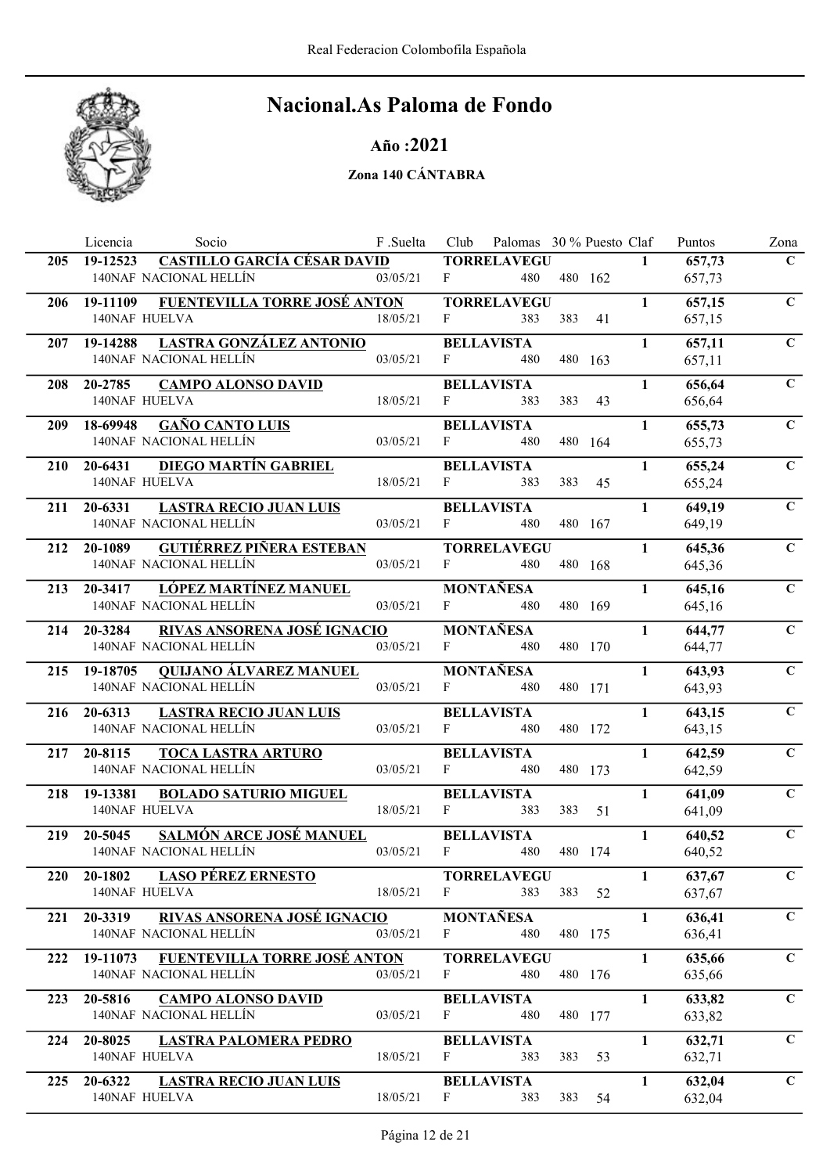

### Año :2021

|            | Licencia<br>Socio                                                       | F .Suelta | Club         | Palomas 30 % Puesto Claf  |     |         |              | Puntos           | Zona        |
|------------|-------------------------------------------------------------------------|-----------|--------------|---------------------------|-----|---------|--------------|------------------|-------------|
| 205        | <b>CASTILLO GARCÍA CÉSAR DAVID</b><br>19-12523                          |           |              | <b>TORRELAVEGU</b>        |     |         | $\mathbf{1}$ | 657,73           | $\mathbf C$ |
|            | 140NAF NACIONAL HELLÍN                                                  | 03/05/21  | F            | 480                       |     | 480 162 |              | 657,73           |             |
|            | <b>FUENTEVILLA TORRE JOSÉ ANTON</b><br>206 19-11109                     |           |              | <b>TORRELAVEGU</b>        |     |         | $\mathbf{1}$ | 657,15           | $\mathbf C$ |
|            | 140NAF HUELVA                                                           | 18/05/21  | F            | 383                       | 383 | 41      |              | 657,15           |             |
| 207        | LASTRA GONZÁLEZ ANTONIO<br>19-14288                                     |           |              | <b>BELLAVISTA</b>         |     |         | $\mathbf{1}$ | 657,11           | $\mathbf C$ |
|            | 140NAF NACIONAL HELLÍN                                                  | 03/05/21  | F            | 480                       |     | 480 163 |              | 657,11           |             |
|            | 208 20-2785<br><b>CAMPO ALONSO DAVID</b>                                |           |              | <b>BELLAVISTA</b>         |     |         | $\mathbf{1}$ | 656,64           | $\mathbf C$ |
|            | 140NAF HUELVA                                                           | 18/05/21  | $\mathbf{F}$ | 383                       | 383 | 43      |              | 656,64           |             |
| <b>209</b> | 18-69948 GAÑO CANTO LUIS                                                |           |              | <b>BELLAVISTA</b>         |     |         | $\mathbf{1}$ | 655,73           | $\mathbf C$ |
|            | 140NAF NACIONAL HELLÍN                                                  | 03/05/21  | F            | 480                       |     | 480 164 |              | 655,73           |             |
| <b>210</b> | DIEGO MARTÍN GABRIEL<br>20-6431                                         |           |              | <b>BELLAVISTA</b>         |     |         | $\mathbf{1}$ | 655,24           | $\mathbf C$ |
|            | 140NAF HUELVA                                                           | 18/05/21  | $F \sim$     | 383                       | 383 | 45      |              | 655,24           |             |
| 211        | 20-6331 LASTRA RECIO JUAN LUIS                                          |           |              | <b>BELLAVISTA</b>         |     |         | $\mathbf{1}$ | 649,19           | $\mathbf C$ |
|            | 140NAF NACIONAL HELLÍN                                                  | 03/05/21  | F            | 480                       |     | 480 167 |              | 649,19           |             |
| 212        | <b>GUTIÉRREZ PIÑERA ESTEBAN</b><br>20-1089                              |           |              | <b>TORRELAVEGU</b>        |     |         | $\mathbf{1}$ | 645,36           | $\mathbf C$ |
|            | 140NAF NACIONAL HELLÍN                                                  | 03/05/21  | F            | 480                       |     | 480 168 |              | 645,36           |             |
| 213        | 20-3417 LÓPEZ MARTÍNEZ MANUEL                                           |           |              | <b>MONTAÑESA</b>          |     |         | $\mathbf{1}$ | 645,16           | $\mathbf C$ |
|            | 140NAF NACIONAL HELLÍN                                                  | 03/05/21  | F.           | 480                       |     | 480 169 |              | 645,16           |             |
| 214        | <b>RIVAS ANSORENA JOSÉ IGNACIO</b><br>20-3284                           |           |              | <b>MONTAÑESA</b>          |     |         | $\mathbf{1}$ | 644,77           | $\mathbf C$ |
|            | 140NAF NACIONAL HELLÍN                                                  | 03/05/21  | F            | 480                       |     | 480 170 |              | 644,77           |             |
|            | <b>QUIJANO ÁLVAREZ MANUEL</b><br>215 19-18705                           |           |              | <b>MONTAÑESA</b>          |     |         | $\mathbf{1}$ | 643,93           | $\mathbf C$ |
|            | 140NAF NACIONAL HELLÍN                                                  | 03/05/21  | $F -$        | 480                       |     | 480 171 |              | 643,93           |             |
| 216        | 20-6313<br><b>LASTRA RECIO JUAN LUIS</b>                                |           |              | <b>BELLAVISTA</b>         |     |         | $\mathbf{1}$ | 643,15           | $\mathbf C$ |
|            | 140NAF NACIONAL HELLÍN                                                  | 03/05/21  | F            | 480                       |     | 480 172 |              | 643,15           |             |
|            |                                                                         |           |              | <b>BELLAVISTA</b>         |     |         | $\mathbf{1}$ |                  | $\mathbf C$ |
| 217        | 20-8115<br><b>TOCA LASTRA ARTURO</b><br>140NAF NACIONAL HELLÍN          | 03/05/21  | F            | 480                       |     | 480 173 |              | 642,59<br>642,59 |             |
|            |                                                                         |           |              |                           |     |         |              |                  |             |
| 218        | 19-13381<br><b>BOLADO SATURIO MIGUEL</b><br>140NAF HUELVA               | 18/05/21  | $\mathbf{F}$ | <b>BELLAVISTA</b><br>383  | 383 | 51      | $\mathbf{1}$ | 641,09<br>641,09 | $\mathbf C$ |
|            |                                                                         |           |              |                           |     |         |              |                  |             |
| 219        | <b>SALMÓN ARCE JOSÉ MANUEL</b><br>20-5045<br>140NAF NACIONAL HELLÍN     | 03/05/21  | F            | <b>BELLAVISTA</b><br>480  |     | 480 174 | $\mathbf{1}$ | 640,52<br>640,52 | $\mathbf C$ |
|            |                                                                         |           |              |                           |     |         |              |                  |             |
| <b>220</b> | 20-1802 LASO PÉREZ ERNESTO<br>140NAF HUELVA                             | 18/05/21  | $\mathbf{F}$ | <b>TORRELAVEGU</b><br>383 |     | 383 52  | $\mathbf{1}$ | 637,67           | $\mathbf C$ |
|            |                                                                         |           |              |                           |     |         |              | 637,67           |             |
| 221        | <u>RIVAS ANSORENA JOSÉ IGNACIO</u><br>20-3319<br>140NAF NACIONAL HELLÍN |           |              | MONTAÑESA                 |     |         | $\mathbf{1}$ | 636,41           | $\mathbf C$ |
|            |                                                                         | 03/05/21  | F            | 480                       |     | 480 175 |              | 636,41           |             |
| 222        | 19-11073 FUENTEVILLA TORRE JOSÉ ANTON                                   |           |              | <b>TORRELAVEGU</b>        |     |         | $\mathbf{1}$ | 635,66           | $\mathbf C$ |
|            | 140NAF NACIONAL HELLÍN                                                  | 03/05/21  | F            | 480                       |     | 480 176 |              | 635,66           |             |
| 223        | 20-5816<br><b>CAMPO ALONSO DAVID</b>                                    |           |              | <b>BELLAVISTA</b>         |     |         | $\mathbf{1}$ | 633,82           | $\mathbf C$ |
|            | 140NAF NACIONAL HELLÍN                                                  | 03/05/21  | $\mathbf{F}$ | 480                       |     | 480 177 |              | 633,82           |             |
| 224        | 20-8025<br><b>LASTRA PALOMERA PEDRO</b>                                 |           |              | <b>BELLAVISTA</b>         |     |         | $\mathbf{1}$ | 632,71           | $\mathbf C$ |
|            | 140NAF HUELVA                                                           | 18/05/21  | F            | 383                       | 383 | 53      |              | 632,71           |             |
| 225        | 20-6322 LASTRA RECIO JUAN LUIS                                          |           |              | <b>BELLAVISTA</b>         |     |         | $\mathbf{1}$ | 632,04           | $\mathbf C$ |
|            | 140NAF HUELVA                                                           | 18/05/21  | F            | 383                       | 383 | 54      |              | 632,04           |             |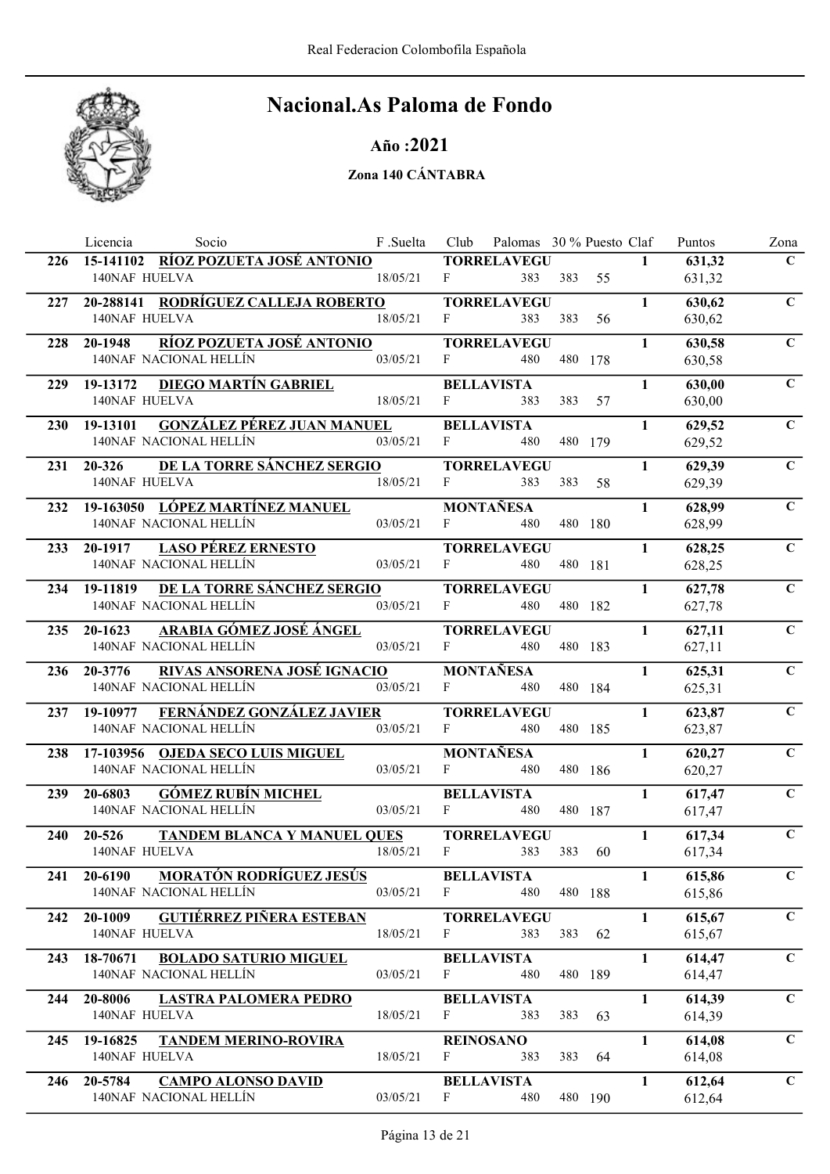

### Año :2021

|            | Socio<br>Licencia                                                  | F .Suelta | Club         | Palomas 30 % Puesto Claf  |         |    |              | Puntos           | Zona           |
|------------|--------------------------------------------------------------------|-----------|--------------|---------------------------|---------|----|--------------|------------------|----------------|
| 226        | 15-141102 RÍOZ POZUETA JOSÉ ANTONIO                                |           |              | <b>TORRELAVEGU</b>        |         |    | $\mathbf{1}$ | 631,32           | $\mathbf C$    |
|            | 140NAF HUELVA                                                      | 18/05/21  | $\mathbf{F}$ | 383                       | 383     | 55 |              | 631,32           |                |
| 227        | 20-288141 RODRÍGUEZ CALLEJA ROBERTO                                |           |              | <b>TORRELAVEGU</b>        |         |    | $\mathbf{1}$ | 630,62           | $\mathbf C$    |
|            | <b>140NAF HUELVA</b>                                               | 18/05/21  | F            | 383                       | 383     | 56 |              | 630,62           |                |
| 228        | RÍOZ POZUETA JOSÉ ANTONIO<br>20-1948                               |           |              | <b>TORRELAVEGU</b>        |         |    | $\mathbf{1}$ | 630,58           | $\mathbf C$    |
|            | 140NAF NACIONAL HELLÍN                                             | 03/05/21  | F            | 480                       | 480 178 |    |              | 630,58           |                |
| 229        | <u>DIEGO MARTÍN GABRIEL</u><br>19-13172                            |           |              | <b>BELLAVISTA</b>         |         |    | $\mathbf{1}$ | 630,00           | $\mathbf C$    |
|            | <b>140NAF HUELVA</b>                                               | 18/05/21  | F            | 383                       | 383     | 57 |              | 630,00           |                |
| <b>230</b> | <b>GONZÁLEZ PÉREZ JUAN MANUEL</b><br>19-13101                      |           |              | <b>BELLAVISTA</b>         |         |    | $\mathbf{1}$ | 629,52           | $\mathbf C$    |
|            | 140NAF NACIONAL HELLÍN                                             | 03/05/21  | $\mathbf{F}$ | 480                       | 480 179 |    |              | 629,52           |                |
| 231        | DE LA TORRE SÁNCHEZ SERGIO<br>20-326                               |           |              | <b>TORRELAVEGU</b>        |         |    | $\mathbf{1}$ | 629,39           | $\overline{C}$ |
|            | 140NAF HUELVA                                                      | 18/05/21  | F            | 383                       | 383     | 58 |              | 629,39           |                |
|            |                                                                    |           |              |                           |         |    | $\mathbf{1}$ |                  | $\mathbf C$    |
| 232        | 19-163050 LÓPEZ MARTÍNEZ MANUEL<br>140NAF NACIONAL HELLÍN          | 03/05/21  | $\mathbf{F}$ | <b>MONTAÑESA</b><br>480   | 480 180 |    |              | 628,99<br>628,99 |                |
|            |                                                                    |           |              |                           |         |    |              |                  |                |
| 233        | <b>LASO PÉREZ ERNESTO</b><br>20-1917<br>140NAF NACIONAL HELLÍN     | 03/05/21  | $\mathbf{F}$ | <b>TORRELAVEGU</b><br>480 | 480 181 |    | $\mathbf{1}$ | 628,25           | $\mathbf C$    |
|            |                                                                    |           |              |                           |         |    |              | 628,25           |                |
| 234        | DE LA TORRE SÁNCHEZ SERGIO<br>19-11819                             |           |              | <b>TORRELAVEGU</b>        |         |    | $\mathbf{1}$ | 627,78           | $\mathbf C$    |
|            | 140NAF NACIONAL HELLÍN                                             | 03/05/21  | F            | 480                       | 480 182 |    |              | 627,78           |                |
| 235        | ARABIA GÓMEZ JOSÉ ÁNGEL<br>$20 - 1623$                             |           |              | <b>TORRELAVEGU</b>        |         |    | $\mathbf{1}$ | 627,11           | $\mathbf C$    |
|            | 140NAF NACIONAL HELLÍN                                             | 03/05/21  | $\mathbf{F}$ | 480                       | 480 183 |    |              | 627,11           |                |
| 236        | RIVAS ANSORENA JOSÉ IGNACIO<br>20-3776                             |           |              | <b>MONTAÑESA</b>          |         |    | $\mathbf{1}$ | 625,31           | $\mathbf C$    |
|            | 140NAF NACIONAL HELLÍN                                             | 03/05/21  | F            | 480                       | 480 184 |    |              | 625,31           |                |
| 237        | FERNÁNDEZ GONZÁLEZ JAVIER<br>19-10977                              |           |              | <b>TORRELAVEGU</b>        |         |    | $\mathbf{1}$ | 623,87           | $\mathbf C$    |
|            | 140NAF NACIONAL HELLÍN                                             | 03/05/21  | F            | 480                       | 480 185 |    |              | 623,87           |                |
| 238        | 17-103956 OJEDA SECO LUIS MIGUEL                                   |           |              | <b>MONTAÑESA</b>          |         |    | $\mathbf{1}$ | 620,27           | $\mathbf C$    |
|            | 140NAF NACIONAL HELLÍN                                             | 03/05/21  | F            | 480                       | 480 186 |    |              | 620,27           |                |
| 239        | <b>GÓMEZ RUBÍN MICHEL</b><br>20-6803                               |           |              | <b>BELLAVISTA</b>         |         |    | $\mathbf{1}$ | 617,47           | $\mathbf C$    |
|            | 140NAF NACIONAL HELLÍN                                             | 03/05/21  | F            | 480                       | 480 187 |    |              | 617,47           |                |
| <b>240</b> | <b>TANDEM BLANCA Y MANUEL QUES</b><br>$20 - 526$                   |           |              | <b>TORRELAVEGU</b>        |         |    | $\mathbf{1}$ | 617,34           | $\mathbf C$    |
|            | <b>140NAF HUELVA</b>                                               | 18/05/21  | $\mathbf{F}$ | 383                       | 383     | 60 |              | 617,34           |                |
|            | <b>MORATÓN RODRÍGUEZ JESÚS</b><br>20-6190                          |           |              | <b>BELLAVISTA</b>         |         |    | $\mathbf{1}$ | 615,86           | $\mathbf C$    |
| 241        | 140NAF NACIONAL HELLÍN                                             | 03/05/21  | $\mathbf{F}$ | 480                       | 480 188 |    |              | 615,86           |                |
|            |                                                                    |           |              |                           |         |    |              |                  |                |
| 242        | <b>GUTIÉRREZ PIÑERA ESTEBAN</b><br>20-1009<br><b>140NAF HUELVA</b> | 18/05/21  | $\mathbf{F}$ | <b>TORRELAVEGU</b><br>383 | 383 62  |    | $\mathbf{1}$ | 615,67           | $\mathbf{C}$   |
|            |                                                                    |           |              |                           |         |    |              | 615,67           |                |
| 243        | <b>BOLADO SATURIO MIGUEL</b><br>18-70671                           |           |              | <b>BELLAVISTA</b>         |         |    | $\mathbf{1}$ | 614,47           | $\mathbf C$    |
|            | 140NAF NACIONAL HELLÍN                                             | 03/05/21  | $\mathbf{F}$ | 480                       | 480 189 |    |              | 614,47           |                |
| 244        | 20-8006<br><b>LASTRA PALOMERA PEDRO</b>                            |           |              | <b>BELLAVISTA</b>         |         |    | $\mathbf{1}$ | 614,39           | $\mathbf C$    |
|            | 140NAF HUELVA                                                      | 18/05/21  | $\mathbf{F}$ | 383                       | 383     | 63 |              | 614,39           |                |
| 245        | 19-16825 TANDEM MERINO-ROVIRA                                      |           |              | <b>REINOSANO</b>          |         |    | $\mathbf{1}$ | 614,08           | $\mathbf C$    |
|            | 140NAF HUELVA                                                      | 18/05/21  | $\mathbf{F}$ | 383                       | 383     | 64 |              | 614,08           |                |
| 246        | 20-5784<br><b>CAMPO ALONSO DAVID</b>                               |           |              | <b>BELLAVISTA</b>         |         |    | $\mathbf{1}$ | 612,64           | $\mathbf C$    |
|            | 140NAF NACIONAL HELLÍN                                             | 03/05/21  | $\mathbf{F}$ | 480                       | 480 190 |    |              | 612,64           |                |
|            |                                                                    |           |              |                           |         |    |              |                  |                |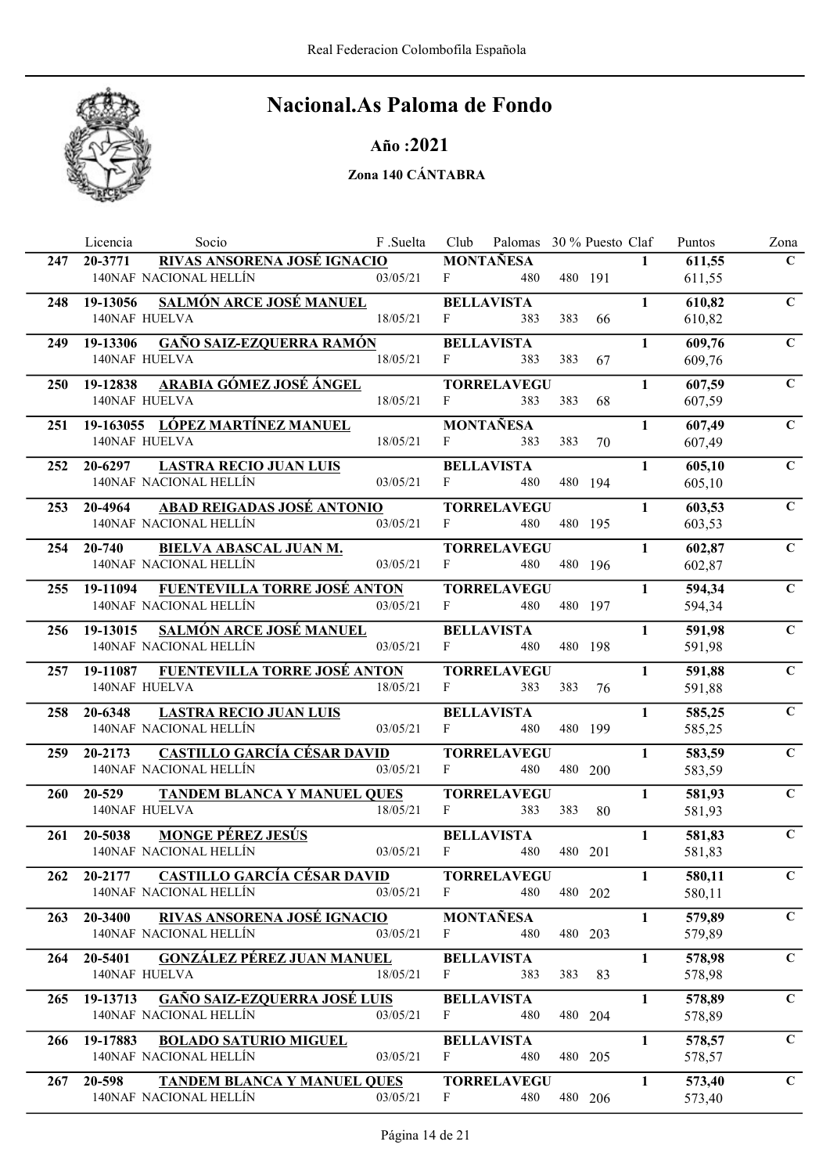

### Año :2021

|            | Socio<br>Licencia                                                  | F .Suelta | Club         | Palomas 30 % Puesto Claf  |     |         |              | Puntos           | Zona           |
|------------|--------------------------------------------------------------------|-----------|--------------|---------------------------|-----|---------|--------------|------------------|----------------|
| 247        | RIVAS ANSORENA JOSÉ IGNACIO<br>20-3771                             |           |              | <b>MONTAÑESA</b>          |     |         | $\mathbf{1}$ | 611,55           | $\mathbf C$    |
|            | 140NAF NACIONAL HELLÍN                                             | 03/05/21  | F            | 480                       |     | 480 191 |              | 611,55           |                |
| 248        | <b>SALMÓN ARCE JOSÉ MANUEL</b><br>19-13056                         |           |              | <b>BELLAVISTA</b>         |     |         | $\mathbf{1}$ | 610,82           | $\mathbf C$    |
|            | <b>140NAF HUELVA</b>                                               | 18/05/21  | F            | 383                       | 383 | 66      |              | 610,82           |                |
| 249.       | <b>GAÑO SAIZ-EZQUERRA RAMÓN</b><br>19-13306                        |           |              | <b>BELLAVISTA</b>         |     |         | $\mathbf{1}$ | 609,76           | $\mathbf C$    |
|            | 140NAF HUELVA                                                      | 18/05/21  | F            | 383                       | 383 | 67      |              | 609,76           |                |
| <b>250</b> | ARABIA GÓMEZ JOSÉ ÁNGEL<br>19-12838                                |           |              | <b>TORRELAVEGU</b>        |     |         | $\mathbf{1}$ | 607,59           | $\mathbf C$    |
|            | 140NAF HUELVA                                                      | 18/05/21  | F            | 383                       | 383 | 68      |              | 607,59           |                |
| 251        | 19-163055 LÓPEZ MARTÍNEZ MANUEL                                    |           |              | <b>MONTAÑESA</b>          |     |         | $\mathbf{1}$ | 607,49           | $\mathbf C$    |
|            | 140NAF HUELVA                                                      | 18/05/21  | F            | 383                       | 383 | 70      |              | 607,49           |                |
| 252        | <b>LASTRA RECIO JUAN LUIS</b><br>20-6297                           |           |              | <b>BELLAVISTA</b>         |     |         | $\mathbf{1}$ | 605,10           | $\overline{C}$ |
|            | 140NAF NACIONAL HELLÍN                                             | 03/05/21  | $F$ and $F$  | 480                       |     | 480 194 |              | 605,10           |                |
| 253        | ABAD REIGADAS JOSÉ ANTONIO<br>20-4964                              |           |              | <b>TORRELAVEGU</b>        |     |         | $\mathbf{1}$ | 603,53           | $\mathbf C$    |
|            | 140NAF NACIONAL HELLÍN                                             | 03/05/21  | $\mathbf{F}$ | 480                       |     | 480 195 |              | 603,53           |                |
| 254        | <b>BIELVA ABASCAL JUAN M.</b><br>20-740                            |           |              | <b>TORRELAVEGU</b>        |     |         | $\mathbf{1}$ | 602,87           | $\mathbf C$    |
|            | 140NAF NACIONAL HELLÍN                                             | 03/05/21  | $\mathbf{F}$ | 480                       |     | 480 196 |              | 602,87           |                |
| 255        | FUENTEVILLA TORRE JOSÉ ANTON<br>19-11094                           |           |              | <b>TORRELAVEGU</b>        |     |         | $\mathbf{1}$ | 594,34           | $\mathbf C$    |
|            | 140NAF NACIONAL HELLÍN                                             | 03/05/21  | $\mathbf{F}$ | 480                       |     | 480 197 |              | 594,34           |                |
|            | <b>SALMÓN ARCE JOSÉ MANUEL</b><br>19-13015                         |           |              | <b>BELLAVISTA</b>         |     |         | $\mathbf{1}$ | 591,98           | $\mathbf C$    |
| 256        | 140NAF NACIONAL HELLÍN                                             | 03/05/21  | F            | 480                       |     | 480 198 |              | 591,98           |                |
|            |                                                                    |           |              |                           |     |         |              |                  | $\mathbf C$    |
| 257        | 19-11087 FUENTEVILLA TORRE JOSÉ ANTON<br>140NAF HUELVA             | 18/05/21  | F            | <b>TORRELAVEGU</b><br>383 | 383 | 76      | $\mathbf{1}$ | 591,88<br>591,88 |                |
|            |                                                                    |           |              |                           |     |         |              |                  |                |
| 258        | 20-6348<br><b>LASTRA RECIO JUAN LUIS</b><br>140NAF NACIONAL HELLÍN | 03/05/21  | F            | <b>BELLAVISTA</b><br>480  |     | 480 199 | 1            | 585,25<br>585,25 | $\mathbf C$    |
|            |                                                                    |           |              |                           |     |         |              |                  |                |
| <b>259</b> | CASTILLO GARCÍA CÉSAR DAVID<br>20-2173<br>140NAF NACIONAL HELLÍN   |           | F            | <b>TORRELAVEGU</b>        |     |         | $\mathbf{1}$ | 583,59           | $\mathbf C$    |
|            |                                                                    | 03/05/21  |              | 480                       |     | 480 200 |              | 583,59           |                |
| <b>260</b> | 20-529<br><b>TANDEM BLANCA Y MANUEL QUES</b>                       |           |              | <b>TORRELAVEGU</b>        |     |         | $\mathbf{1}$ | 581,93           | $\mathbf C$    |
|            | <b>140NAF HUELVA</b>                                               | 18/05/21  | F            | 383                       | 383 | 80      |              | 581,93           |                |
| 261        | <b>MONGE PÉREZ JESÚS</b><br>20-5038                                |           |              | <b>BELLAVISTA</b>         |     |         | $\mathbf{1}$ | 581,83           | $\mathbf C$    |
|            | 140NAF NACIONAL HELLÍN                                             | 03/05/21  | F            | 480                       |     | 480 201 |              | 581,83           |                |
| 262        | <b>CASTILLO GARCÍA CÉSAR DAVID</b><br>20-2177                      |           |              | <b>TORRELAVEGU</b>        |     |         | $\mathbf{1}$ | 580,11           | $\mathbf{C}$   |
|            | 140NAF NACIONAL HELLÍN                                             | 03/05/21  | $\mathbf{F}$ | 480                       |     | 480 202 |              | 580,11           |                |
| 263        | RIVAS ANSORENA JOSÉ IGNACIO<br>20-3400                             |           |              | <b>MONTAÑESA</b>          |     |         | $\mathbf{1}$ | 579,89           | $\mathbf C$    |
|            | 140NAF NACIONAL HELLÍN                                             | 03/05/21  | F            | 480                       |     | 480 203 |              | 579,89           |                |
| 264        | <b>GONZÁLEZ PÉREZ JUAN MANUEL</b><br>20-5401                       |           |              | <b>BELLAVISTA</b>         |     |         | $\mathbf{1}$ | 578,98           | $\mathbf C$    |
|            | 140NAF HUELVA                                                      | 18/05/21  | $\mathbf{F}$ | 383                       | 383 | 83      |              | 578,98           |                |
| 265        | <b>GAÑO SAIZ-EZQUERRA JOSÉ LUIS</b><br>19-13713                    |           |              | <b>BELLAVISTA</b>         |     |         | $\mathbf{1}$ | 578,89           | $\mathbf C$    |
|            | 140NAF NACIONAL HELLÍN                                             | 03/05/21  | F            | 480                       |     | 480 204 |              | 578,89           |                |
| 266        | 19-17883<br><b>BOLADO SATURIO MIGUEL</b>                           |           |              | <b>BELLAVISTA</b>         |     |         | $\mathbf{1}$ | 578,57           | $\mathbf C$    |
|            | 140NAF NACIONAL HELLÍN                                             | 03/05/21  | F            | 480                       |     | 480 205 |              | 578,57           |                |
|            | 20-598                                                             |           |              | <b>TORRELAVEGU</b>        |     |         | $\mathbf{1}$ |                  | $\mathbf C$    |
| 267        | <b>TANDEM BLANCA Y MANUEL QUES</b><br>140NAF NACIONAL HELLÍN       | 03/05/21  | F            | 480                       |     | 480 206 |              | 573,40<br>573,40 |                |
|            |                                                                    |           |              |                           |     |         |              |                  |                |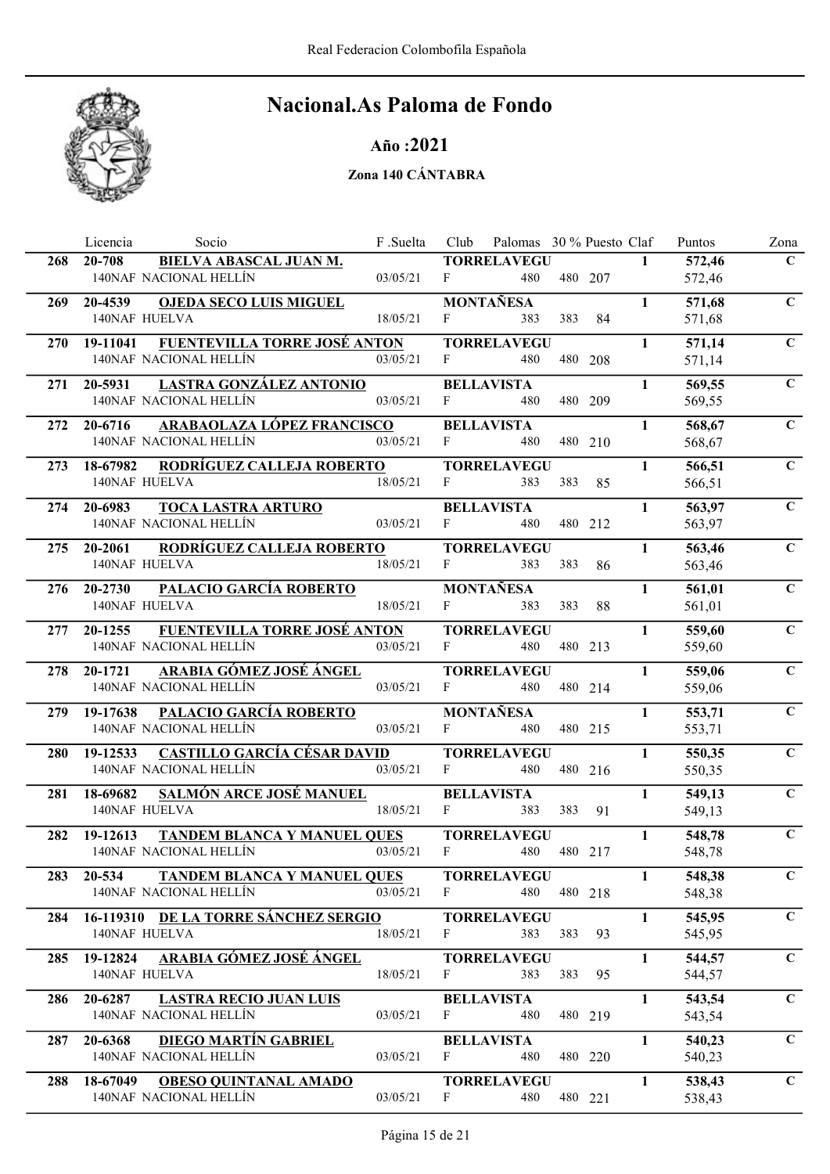

### Año :2021

|            | Licencia                          | Socio                                | F.Suelta | Club         | Palomas 30 % Puesto Claf  |     |         |              | Puntos           | Zona           |
|------------|-----------------------------------|--------------------------------------|----------|--------------|---------------------------|-----|---------|--------------|------------------|----------------|
| 268        | 20-708                            | <b>BIELVA ABASCAL JUAN M.</b>        |          |              | <b>TORRELAVEGU</b>        |     |         | $\mathbf{1}$ | 572,46           | $\mathbf C$    |
|            | 140NAF NACIONAL HELLÍN            |                                      | 03/05/21 | F            | 480                       |     | 480 207 |              | 572,46           |                |
| 269        | 20-4539                           | <b>OJEDA SECO LUIS MIGUEL</b>        |          |              | <b>MONTAÑESA</b>          |     |         | $\mathbf{1}$ | 571,68           | $\mathbf C$    |
|            | <b>140NAF HUELVA</b>              |                                      | 18/05/21 | F            | 383                       | 383 | 84      |              | 571,68           |                |
| <b>270</b> | 19-11041                          | <b>FUENTEVILLA TORRE JOSÉ ANTON</b>  |          |              | <b>TORRELAVEGU</b>        |     |         | $\mathbf{1}$ | 571,14           | $\mathbf C$    |
|            | 140NAF NACIONAL HELLÍN            |                                      | 03/05/21 | F            | 480                       |     | 480 208 |              | 571,14           |                |
| 271        | 20-5931                           | LASTRA GONZÁLEZ ANTONIO              |          |              | <b>BELLAVISTA</b>         |     |         | $\mathbf{1}$ | 569,55           | $\mathbf C$    |
|            | 140NAF NACIONAL HELLÍN            |                                      | 03/05/21 | F            | 480                       |     | 480 209 |              | 569,55           |                |
| 272        | 20-6716                           | ARABAOLAZA LÓPEZ FRANCISCO           |          |              | <b>BELLAVISTA</b>         |     |         | $\mathbf{1}$ | 568,67           | $\mathbf C$    |
|            | 140NAF NACIONAL HELLÍN            |                                      | 03/05/21 | F            | 480                       |     | 480 210 |              | 568,67           |                |
| 273        | 18-67982                          | RODRÍGUEZ CALLEJA ROBERTO            |          |              | <b>TORRELAVEGU</b>        |     |         | $\mathbf{1}$ | 566,51           | $\overline{C}$ |
|            | 140NAF HUELVA                     |                                      | 18/05/21 | F            | 383                       | 383 | 85      |              | 566,51           |                |
|            |                                   |                                      |          |              |                           |     |         |              |                  |                |
| 274        | 20-6983<br>140NAF NACIONAL HELLÍN | <b>TOCA LASTRA ARTURO</b>            | 03/05/21 | F            | <b>BELLAVISTA</b><br>480  |     | 480 212 | $\mathbf{1}$ | 563,97<br>563,97 | $\mathbf C$    |
|            |                                   |                                      |          |              |                           |     |         |              |                  |                |
| 275        | 20-2061                           | RODRÍGUEZ CALLEJA ROBERTO            |          |              | <b>TORRELAVEGU</b>        |     |         | $\mathbf{1}$ | 563,46           | $\mathbf C$    |
|            | 140NAF HUELVA                     |                                      | 18/05/21 | $\mathbf{F}$ | 383                       | 383 | 86      |              | 563,46           |                |
| 276        | 20-2730                           | <b>PALACIO GARCÍA ROBERTO</b>        |          |              | <b>MONTAÑESA</b>          |     |         | $\mathbf{1}$ | 561,01           | $\mathbf C$    |
|            | <b>140NAF HUELVA</b>              |                                      | 18/05/21 | F            | 383                       | 383 | 88      |              | 561,01           |                |
| 277        | 20-1255                           | <b>FUENTEVILLA TORRE JOSÉ ANTON</b>  |          |              | <b>TORRELAVEGU</b>        |     |         | $\mathbf{1}$ | 559,60           | $\mathbf C$    |
|            | 140NAF NACIONAL HELLÍN            |                                      | 03/05/21 | F            | 480                       |     | 480 213 |              | 559,60           |                |
| 278        | 20-1721                           | <b>ARABIA GÓMEZ JOSÉ ÁNGEL</b>       |          |              | <b>TORRELAVEGU</b>        |     |         | $\mathbf{1}$ | 559,06           | $\mathbf C$    |
|            | 140NAF NACIONAL HELLÍN            |                                      | 03/05/21 | F            | 480                       |     | 480 214 |              | 559,06           |                |
| 279        | 19-17638                          | <b>PALACIO GARCÍA ROBERTO</b>        |          |              | <b>MONTAÑESA</b>          |     |         | $\mathbf{1}$ | 553,71           | $\mathbf C$    |
|            | 140NAF NACIONAL HELLÍN            |                                      | 03/05/21 | F            | 480                       |     | 480 215 |              | 553,71           |                |
| <b>280</b> | 19-12533                          | CASTILLO GARCÍA CÉSAR DAVID          |          |              | <b>TORRELAVEGU</b>        |     |         | $\mathbf{1}$ | 550,35           | $\mathbf C$    |
|            | 140NAF NACIONAL HELLÍN            |                                      | 03/05/21 | F            | 480                       |     | 480 216 |              | 550,35           |                |
| 281        | 18-69682                          | <b>SALMÓN ARCE JOSÉ MANUEL</b>       |          |              | <b>BELLAVISTA</b>         |     |         | $\mathbf{1}$ | 549,13           | $\mathbf C$    |
|            | <b>140NAF HUELVA</b>              |                                      | 18/05/21 | F            | 383                       | 383 | 91      |              | 549,13           |                |
| 282        | 19-12613                          | <b>TANDEM BLANCA Y MANUEL QUES</b>   |          |              | <b>TORRELAVEGU</b>        |     |         | $\mathbf{1}$ | 548,78           | $\mathbf C$    |
|            | 140NAF NACIONAL HELLÍN            |                                      | 03/05/21 | $\mathbf{F}$ | 480                       |     | 480 217 |              | 548,78           |                |
| 283        | 20-534                            | TANDEM BLANCA Y MANUEL QUES          |          |              | <b>TORRELAVEGU</b>        |     |         | $\mathbf{1}$ | 548,38           | $\mathbf{C}$   |
|            | 140NAF NACIONAL HELLÍN            |                                      | 03/05/21 | F            | 480                       |     | 480 218 |              | 548,38           |                |
|            |                                   | 16-119310 DE LA TORRE SÁNCHEZ SERGIO |          |              |                           |     |         | $\mathbf{1}$ |                  | $\mathbf C$    |
| 284        | 140NAF HUELVA                     |                                      | 18/05/21 | F            | <b>TORRELAVEGU</b><br>383 | 383 | 93      |              | 545,95<br>545,95 |                |
|            |                                   |                                      |          |              |                           |     |         |              |                  |                |
| 285.       | 19-12824<br>140NAF HUELVA         | ARABIA GÓMEZ JOSÉ ÁNGEL              | 18/05/21 | $\mathbf{F}$ | <b>TORRELAVEGU</b><br>383 | 383 |         | $\mathbf{1}$ | 544,57           | $\mathbf C$    |
|            |                                   |                                      |          |              |                           |     | 95      |              | 544,57           |                |
| 286        | 20-6287                           | <b>LASTRA RECIO JUAN LUIS</b>        |          |              | <b>BELLAVISTA</b>         |     |         | $\mathbf{1}$ | 543,54           | $\mathbf C$    |
|            | 140NAF NACIONAL HELLÍN            |                                      | 03/05/21 | F            | 480                       |     | 480 219 |              | 543,54           |                |
| 287        | 20-6368                           | <b>DIEGO MARTÍN GABRIEL</b>          |          |              | <b>BELLAVISTA</b>         |     |         | $\mathbf{1}$ | 540,23           | $\mathbf C$    |
|            | 140NAF NACIONAL HELLÍN            |                                      | 03/05/21 | F            | 480                       |     | 480 220 |              | 540,23           |                |
| 288        | 18-67049                          | <b>OBESO QUINTANAL AMADO</b>         |          |              | <b>TORRELAVEGU</b>        |     |         | $\mathbf{1}$ | 538,43           | $\mathbf C$    |
|            | 140NAF NACIONAL HELLÍN            |                                      | 03/05/21 | F            | 480                       |     | 480 221 |              | 538,43           |                |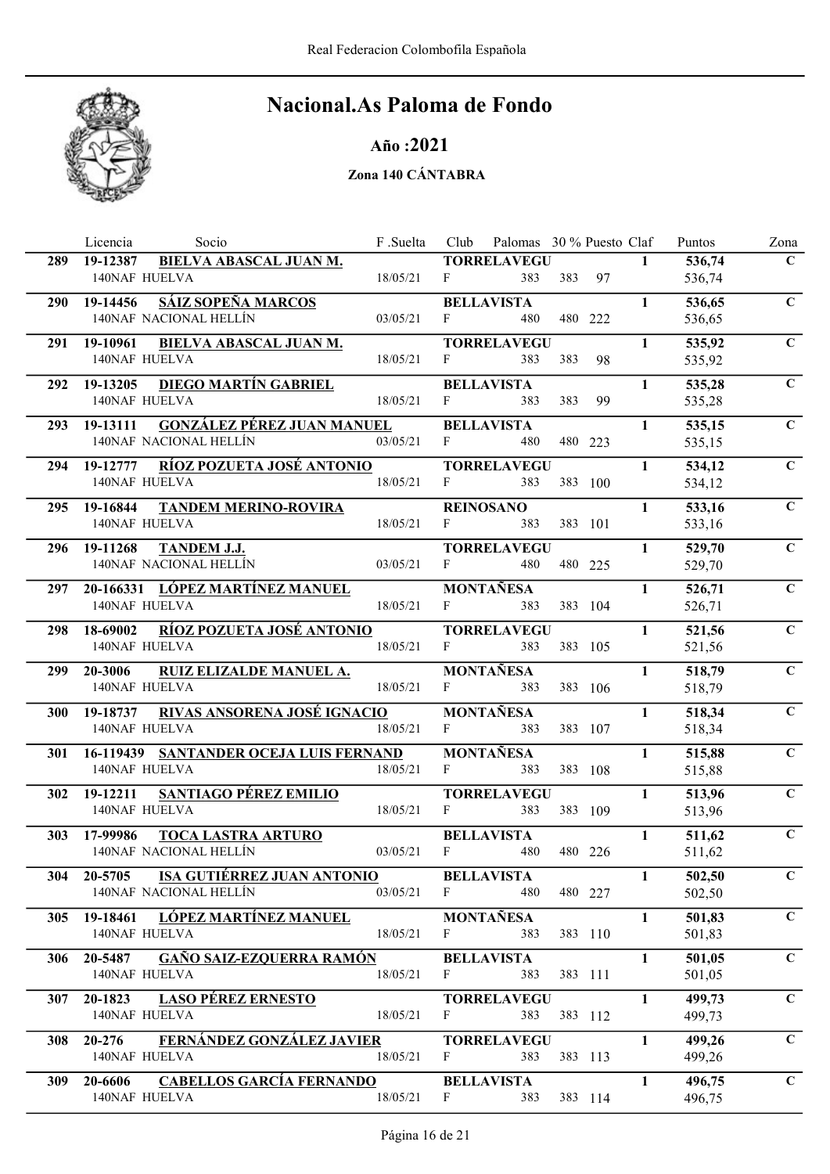

Año :2021

|            | Socio<br>Licencia                                        | F .Suelta | Club         | Palomas 30 % Puesto Claf |         |    |              | Puntos           | Zona           |
|------------|----------------------------------------------------------|-----------|--------------|--------------------------|---------|----|--------------|------------------|----------------|
| 289        | BIELVA ABASCAL JUAN M.<br>19-12387                       |           |              | <b>TORRELAVEGU</b>       |         |    | $\mathbf{1}$ | 536,74           | $\mathbf C$    |
|            | 140NAF HUELVA                                            | 18/05/21  | F            | 383                      | 383     | 97 |              | 536,74           |                |
| <b>290</b> | <b>SÁIZ SOPEÑA MARCOS</b><br>$\overline{19} - 14456$     |           |              | <b>BELLAVISTA</b>        |         |    | $\mathbf{1}$ | 536,65           | $\mathbf C$    |
|            | 140NAF NACIONAL HELLÍN                                   | 03/05/21  | F            | 480                      | 480 222 |    |              | 536,65           |                |
| 291        | 19-10961<br><b>BIELVA ABASCAL JUAN M.</b>                |           |              | <b>TORRELAVEGU</b>       |         |    | $\mathbf{1}$ | 535,92           | $\mathbf C$    |
|            | 140NAF HUELVA                                            | 18/05/21  | F            | 383                      | 383     | 98 |              | 535,92           |                |
| 292        | <b>DIEGO MARTÍN GABRIEL</b><br>19-13205                  |           |              | <b>BELLAVISTA</b>        |         |    | $\mathbf{1}$ | 535,28           | $\mathbf C$    |
|            | 140NAF HUELVA                                            | 18/05/21  | $\mathbf{F}$ | 383                      | 383     | 99 |              | 535,28           |                |
| 293        | <u>GONZÁLEZ PÉREZ JUAN MANUEL</u><br>19-13111            |           |              | <b>BELLAVISTA</b>        |         |    | $\mathbf{1}$ | 535,15           | $\mathbf{C}$   |
|            | 140NAF NACIONAL HELLÍN                                   | 03/05/21  | F            | 480                      | 480 223 |    |              | 535,15           |                |
| 294        | <b>RÍOZ POZUETA JOSÉ ANTONIO</b><br>19-12777             |           |              | <b>TORRELAVEGU</b>       |         |    | $\mathbf{1}$ | 534,12           | $\overline{C}$ |
|            | 140NAF HUELVA                                            | 18/05/21  | $F \sim 1$   | 383                      | 383 100 |    |              | 534,12           |                |
|            |                                                          |           |              |                          |         |    |              |                  |                |
| 295        | 19-16844<br><b>TANDEM MERINO-ROVIRA</b><br>140NAF HUELVA | 18/05/21  | F            | <b>REINOSANO</b><br>383  | 383 101 |    | $\mathbf{1}$ | 533,16<br>533,16 | $\mathbf C$    |
|            |                                                          |           |              |                          |         |    |              |                  |                |
| 296        | 19-11268<br>TANDEM J.J.<br>140NAF NACIONAL HELLÍN        |           |              | <b>TORRELAVEGU</b>       |         |    | $\mathbf{1}$ | 529,70           | $\mathbf C$    |
|            |                                                          | 03/05/21  | $\mathbf{F}$ | 480                      | 480 225 |    |              | 529,70           |                |
| 297        | 20-166331 LÓPEZ MARTÍNEZ MANUEL                          |           |              | <b>MONTAÑESA</b>         |         |    | $\mathbf{1}$ | 526,71           | $\mathbf C$    |
|            | 140NAF HUELVA                                            | 18/05/21  | F            | 383                      | 383 104 |    |              | 526,71           |                |
| 298        | RÍOZ POZUETA JOSÉ ANTONIO<br>18-69002                    |           |              | <b>TORRELAVEGU</b>       |         |    | $\mathbf{1}$ | 521,56           | $\mathbf C$    |
|            | 140NAF HUELVA                                            | 18/05/21  | $\mathbf{F}$ | 383                      | 383 105 |    |              | 521,56           |                |
| <b>299</b> | 20-3006<br>RUIZ ELIZALDE MANUEL A.                       |           |              | <b>MONTAÑESA</b>         |         |    | $\mathbf{1}$ | 518,79           | $\mathbf C$    |
|            | 140NAF HUELVA                                            | 18/05/21  | F            | 383                      | 383 106 |    |              | 518,79           |                |
| 300        | <b>RIVAS ANSORENA JOSÉ IGNACIO</b><br>19-18737           |           |              | <b>MONTAÑESA</b>         |         |    | $\mathbf{1}$ | 518,34           | $\mathbf C$    |
|            | 140NAF HUELVA                                            | 18/05/21  | F            | 383                      | 383 107 |    |              | 518,34           |                |
| 301        | <b>16-119439 SANTANDER OCEJA LUIS FERNAND</b>            |           |              | <b>MONTAÑESA</b>         |         |    | $\mathbf{1}$ | 515,88           | $\mathbf C$    |
|            | <b>140NAF HUELVA</b>                                     | 18/05/21  | $\mathbf{F}$ | 383                      | 383 108 |    |              | 515,88           |                |
| 302        | 19-12211<br><b>SANTIAGO PÉREZ EMILIO</b>                 |           |              | <b>TORRELAVEGU</b>       |         |    | $\mathbf{1}$ | 513,96           | $\mathbf C$    |
|            | 140NAF HUELVA                                            | 18/05/21  | F            | 383                      | 383 109 |    |              | 513,96           |                |
| <b>303</b> | 17-99986<br><b>TOCA LASTRA ARTURO</b>                    |           |              | <b>BELLAVISTA</b>        |         |    | $\mathbf{1}$ | 511,62           | $\mathbf C$    |
|            | 140NAF NACIONAL HELLÍN                                   | 03/05/21  | $\mathbf{F}$ | 480                      | 480 226 |    |              | 511,62           |                |
|            | 304 20-5705 ISA GUTIÉRREZ JUAN ANTONIO                   |           |              | <b>BELLAVISTA</b>        |         |    | $\mathbf{1}$ | 502,50           | $\mathbf{C}$   |
|            | 140NAF NACIONAL HELLÍN                                   | 03/05/21  | F            | 480                      | 480 227 |    |              | 502,50           |                |
|            |                                                          |           |              |                          |         |    | $\mathbf{1}$ |                  | $\mathbf C$    |
| <b>305</b> | 19-18461 LÓPEZ MARTÍNEZ MANUEL<br>140NAF HUELVA          | 18/05/21  | F            | <b>MONTAÑESA</b><br>383  | 383 110 |    |              | 501,83<br>501,83 |                |
|            |                                                          |           |              |                          |         |    |              |                  |                |
|            | 306 20-5487 GAÑO SAIZ-EZQUERRA RAMÓN<br>140NAF HUELVA    | 18/05/21  |              | <b>BELLAVISTA</b>        |         |    | $\mathbf{1}$ | 501,05           | $\mathbf C$    |
|            |                                                          |           | F            | 383                      | 383 111 |    |              | 501,05           |                |
| 307        | 20-1823 LASO PÉREZ ERNESTO                               |           |              | <b>TORRELAVEGU</b>       |         |    | $\mathbf{1}$ | 499,73           | $\mathbf{C}$   |
|            | <b>140NAF HUELVA</b>                                     | 18/05/21  | $\mathbf{F}$ | 383                      | 383 112 |    |              | 499,73           |                |
| 308        | FERNÁNDEZ GONZÁLEZ JAVIER<br>20-276                      |           |              | <b>TORRELAVEGU</b>       |         |    | $\mathbf{1}$ | 499,26           | $\mathbf C$    |
|            | 140NAF HUELVA                                            | 18/05/21  | $\mathbf{F}$ | 383                      | 383 113 |    |              | 499,26           |                |
| <b>309</b> | <b>CABELLOS GARCÍA FERNANDO</b><br>20-6606               |           |              | <b>BELLAVISTA</b>        |         |    | $\mathbf{1}$ | 496,75           | $\mathbf C$    |
|            | 140NAF HUELVA                                            | 18/05/21  | $\mathbf{F}$ | 383                      | 383 114 |    |              | 496,75           |                |
|            |                                                          |           |              |                          |         |    |              |                  |                |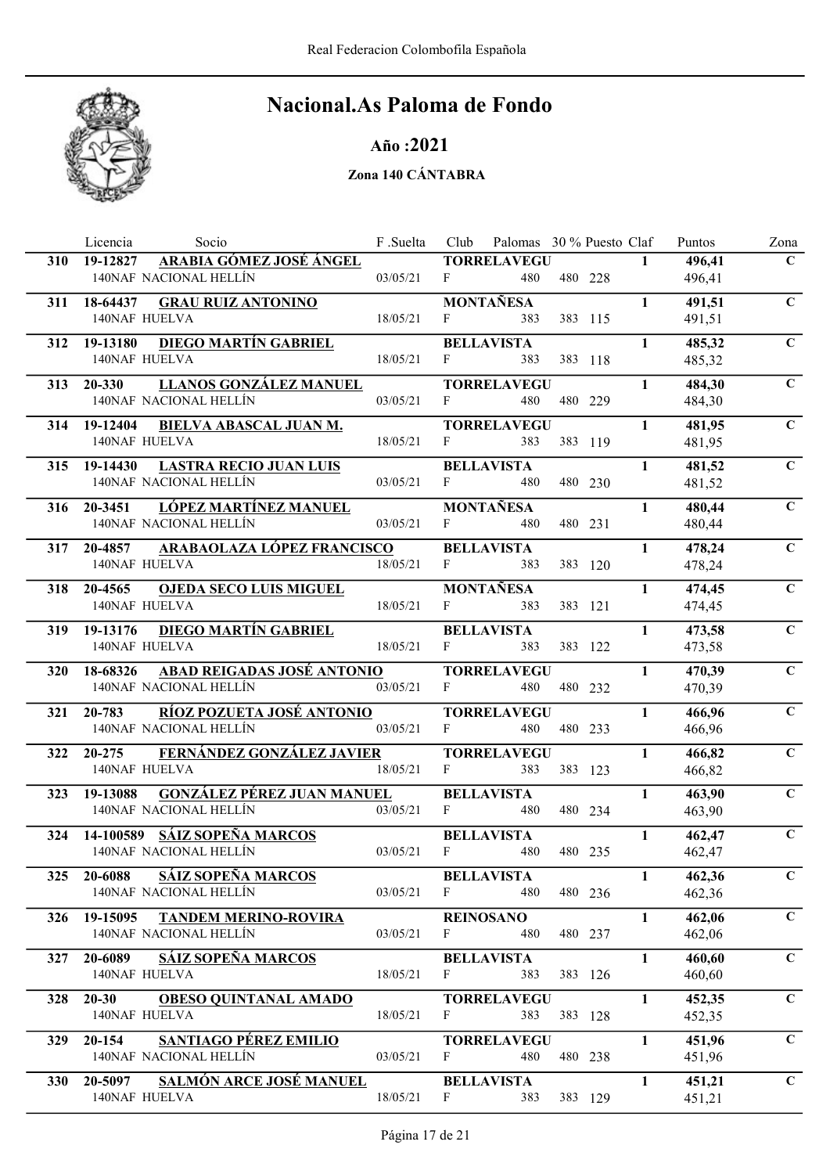

### Año :2021

|            | Socio<br>Licencia                                             | F.Suelta | Club         | Palomas 30 % Puesto Claf |         |              | Puntos           | Zona        |
|------------|---------------------------------------------------------------|----------|--------------|--------------------------|---------|--------------|------------------|-------------|
| <b>310</b> | ARABIA GÓMEZ JOSÉ ÁNGEL<br>19-12827<br>140NAF NACIONAL HELLÍN | 03/05/21 | F            | <b>TORRELAVEGU</b>       |         | $\mathbf{1}$ | 496,41           | $\mathbf C$ |
|            |                                                               |          |              | 480                      | 480 228 |              | 496,41           |             |
| 311        | 18-64437<br><b>GRAU RUIZ ANTONINO</b>                         |          |              | <b>MONTAÑESA</b>         |         | $\mathbf{1}$ | 491,51           | $\mathbf C$ |
|            | 140NAF HUELVA                                                 | 18/05/21 | F            | 383                      | 383 115 |              | 491,51           |             |
| 312        | <b>DIEGO MARTÍN GABRIEL</b><br>19-13180                       |          |              | <b>BELLAVISTA</b>        |         | $\mathbf{1}$ | 485,32           | $\mathbf C$ |
|            | 140NAF HUELVA                                                 | 18/05/21 | F            | 383                      | 383 118 |              | 485,32           |             |
|            | LLANOS GONZÁLEZ MANUEL<br>313 20-330                          |          |              | <b>TORRELAVEGU</b>       |         | $\mathbf{1}$ | 484,30           | $\mathbf C$ |
|            | 140NAF NACIONAL HELLÍN                                        | 03/05/21 | $\mathbf{F}$ | 480                      | 480 229 |              | 484,30           |             |
| 314        | 19-12404<br><b>BIELVA ABASCAL JUAN M.</b>                     |          |              | <b>TORRELAVEGU</b>       |         | $\mathbf{1}$ | 481,95           | $\mathbf C$ |
|            | 140NAF HUELVA                                                 | 18/05/21 | F            | 383                      | 383 119 |              | 481,95           |             |
| 315        | <b>LASTRA RECIO JUAN LUIS</b><br>19-14430                     |          |              | <b>BELLAVISTA</b>        |         | $\mathbf{1}$ | 481,52           | $\mathbf C$ |
|            | 140NAF NACIONAL HELLÍN                                        | 03/05/21 | $F$ and $F$  | 480                      | 480 230 |              | 481,52           |             |
| 316        | <u>LÓPEZ MARTÍNEZ MANUEL</u><br>20-3451                       |          |              | <b>MONTAÑESA</b>         |         | $\mathbf{1}$ | 480,44           | $\mathbf C$ |
|            | 140NAF NACIONAL HELLÍN                                        | 03/05/21 | F            | 480                      | 480 231 |              | 480,44           |             |
|            | <b>ARABAOLAZA LÓPEZ FRANCISCO</b>                             |          |              | <b>BELLAVISTA</b>        |         | $\mathbf{1}$ |                  | $\mathbf C$ |
| 317        | 20-4857<br>140NAF HUELVA                                      | 18/05/21 | F            | 383                      | 383 120 |              | 478,24<br>478,24 |             |
|            |                                                               |          |              |                          |         |              |                  |             |
|            | <b>OJEDA SECO LUIS MIGUEL</b><br>318 20-4565<br>140NAF HUELVA | 18/05/21 | $F_{\perp}$  | <b>MONTAÑESA</b><br>383  |         | $\mathbf{1}$ | 474,45           | $\mathbf C$ |
|            |                                                               |          |              |                          | 383 121 |              | 474,45           |             |
| 319        | <b>DIEGO MARTÍN GABRIEL</b><br>19-13176                       |          |              | <b>BELLAVISTA</b>        |         | $\mathbf{1}$ | 473,58           | $\mathbf C$ |
|            | 140NAF HUELVA                                                 | 18/05/21 | $\mathbf{F}$ | 383                      | 383 122 |              | 473,58           |             |
| <b>320</b> | 18-68326 ABAD REIGADAS JOSÉ ANTONIO                           |          |              | <b>TORRELAVEGU</b>       |         | $\mathbf{1}$ | 470,39           | $\mathbf C$ |
|            | 140NAF NACIONAL HELLÍN                                        | 03/05/21 | F            | 480                      | 480 232 |              | 470,39           |             |
| 321        | RÍOZ POZUETA JOSÉ ANTONIO<br>20-783                           |          |              | <b>TORRELAVEGU</b>       |         | $\mathbf{1}$ | 466,96           | $\mathbf C$ |
|            | 140NAF NACIONAL HELLÍN                                        | 03/05/21 | F            | 480                      | 480 233 |              | 466,96           |             |
| 322        | FERNÁNDEZ GONZÁLEZ JAVIER<br>$20 - 275$                       |          |              | <b>TORRELAVEGU</b>       |         | $\mathbf{1}$ | 466,82           | $\mathbf C$ |
|            | 140NAF HUELVA                                                 | 18/05/21 | $\mathbf{F}$ | 383                      | 383 123 |              | 466,82           |             |
| 323        | <b>GONZÁLEZ PÉREZ JUAN MANUEL</b><br>19-13088                 |          |              | <b>BELLAVISTA</b>        |         | $\mathbf{1}$ | 463,90           | $\mathbf C$ |
|            | 140NAF NACIONAL HELLÍN                                        | 03/05/21 | F            | 480                      | 480 234 |              | 463,90           |             |
| 324        | 14-100589 SÁIZ SOPEÑA MARCOS                                  |          |              | <b>BELLAVISTA</b>        |         | $\mathbf{1}$ | 462,47           | $\mathbf C$ |
|            | 140NAF NACIONAL HELLÍN                                        | 03/05/21 | $\mathbf{F}$ | 480                      | 480 235 |              | 462,47           |             |
|            | 325 20-6088 SÁIZ SOPEÑA MARCOS                                |          |              | <b>BELLAVISTA</b>        |         | $\mathbf{1}$ | 462,36           | $\mathbf C$ |
|            | 140NAF NACIONAL HELLÍN                                        | 03/05/21 | $\mathbf{F}$ | 480                      | 480 236 |              | 462,36           |             |
|            |                                                               |          |              | <b>REINOSANO</b>         |         | $\mathbf{1}$ |                  | $\mathbf C$ |
| 326        | 19-15095 TANDEM MERINO-ROVIRA<br>140NAF NACIONAL HELLÍN       | 03/05/21 | F            | 480                      | 480 237 |              | 462,06<br>462,06 |             |
|            |                                                               |          |              |                          |         |              |                  |             |
| 327        | <b>SÁIZ SOPEÑA MARCOS</b><br>20-6089<br>140NAF HUELVA         | 18/05/21 | F            | <b>BELLAVISTA</b><br>383 |         | $\mathbf{1}$ | 460,60           | $\mathbf C$ |
|            |                                                               |          |              |                          | 383 126 |              | 460,60           |             |
| 328        | $20 - 30$<br><b>OBESO QUINTANAL AMADO</b>                     |          |              | <b>TORRELAVEGU</b>       |         | $\mathbf{1}$ | 452,35           | $\mathbf C$ |
|            | <b>140NAF HUELVA</b>                                          | 18/05/21 | F            | 383                      | 383 128 |              | 452,35           |             |
| 329        | SANTIAGO PÉREZ EMILIO<br>20-154                               |          |              | <b>TORRELAVEGU</b>       |         | $\mathbf{1}$ | 451,96           | $\mathbf C$ |
|            | 140NAF NACIONAL HELLÍN                                        | 03/05/21 | F            | 480                      | 480 238 |              | 451,96           |             |
| <b>330</b> | 20-5097 SALMÓN ARCE JOSÉ MANUEL                               |          |              | <b>BELLAVISTA</b>        |         | $\mathbf{1}$ | 451,21           | $\mathbf C$ |
|            | 140NAF HUELVA                                                 | 18/05/21 | $\mathbf{F}$ | 383                      | 383 129 |              | 451,21           |             |
|            |                                                               |          |              |                          |         |              |                  |             |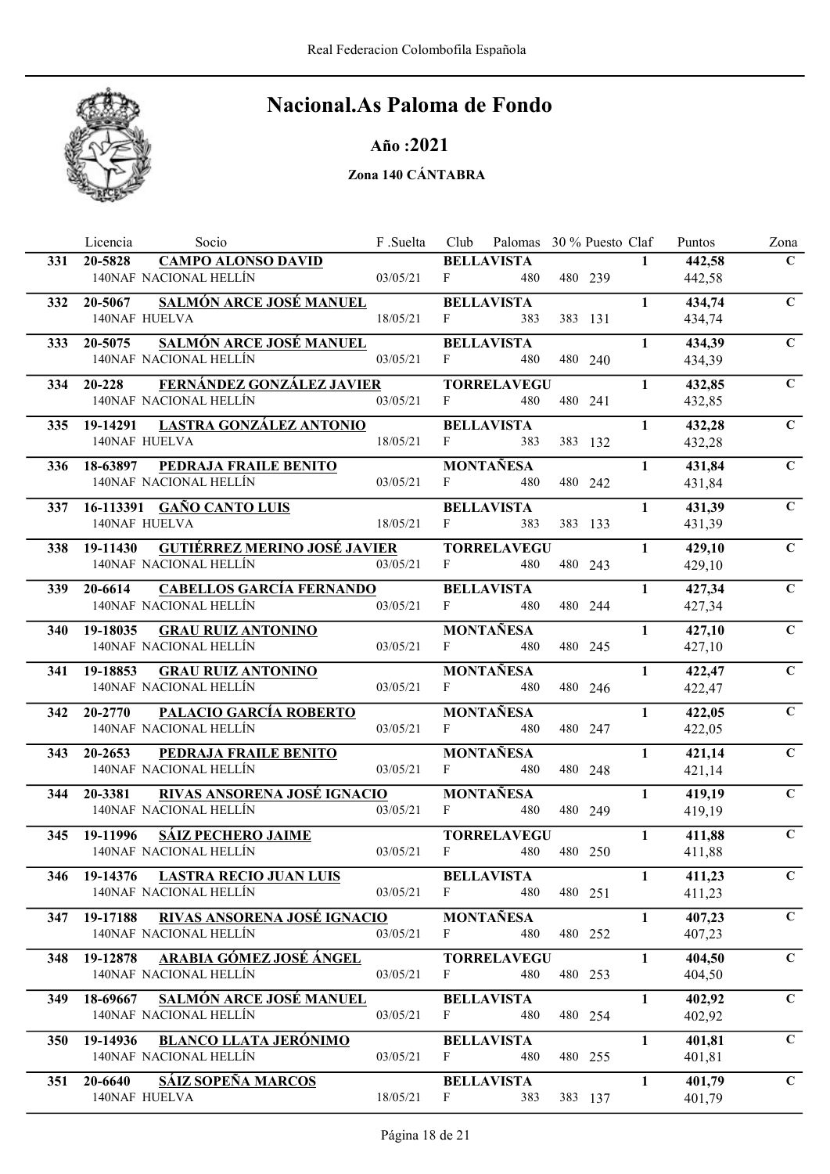

Año :2021

|            | Licencia                                          | Socio                                | F .Suelta | Club         | Palomas 30 % Puesto Claf |         |              | Puntos           | Zona           |
|------------|---------------------------------------------------|--------------------------------------|-----------|--------------|--------------------------|---------|--------------|------------------|----------------|
| 331        | 20-5828                                           | <b>CAMPO ALONSO DAVID</b>            |           |              | <b>BELLAVISTA</b>        |         | $\mathbf{1}$ | 442,58           | $\mathbf{C}$   |
|            | 140NAF NACIONAL HELLÍN                            |                                      | 03/05/21  | F            | 480                      | 480 239 |              | 442,58           |                |
| 332        | 20-5067                                           | SALMÓN ARCE JOSÉ MANUEL              |           |              | <b>BELLAVISTA</b>        |         | $\mathbf{1}$ | 434,74           | $\mathbf C$    |
|            | <b>140NAF HUELVA</b>                              |                                      | 18/05/21  | $\mathbf{F}$ | 383                      | 383 131 |              | 434,74           |                |
| 333        | 20-5075                                           | <b>SALMÓN ARCE JOSÉ MANUEL</b>       |           |              | <b>BELLAVISTA</b>        |         | $\mathbf{1}$ | 434,39           | $\mathbf C$    |
|            | 140NAF NACIONAL HELLÍN                            |                                      | 03/05/21  | F            | 480                      | 480 240 |              | 434,39           |                |
| 334        | 20-228                                            | FERNÁNDEZ GONZÁLEZ JAVIER            |           |              | <b>TORRELAVEGU</b>       |         | $\mathbf{1}$ | 432,85           | $\mathbf C$    |
|            | 140NAF NACIONAL HELLÍN                            |                                      | 03/05/21  | $\mathbf{F}$ | 480                      | 480 241 |              | 432,85           |                |
| 335        |                                                   | 19-14291 LASTRA GONZÁLEZ ANTONIO     |           |              | <b>BELLAVISTA</b>        |         | $\mathbf{1}$ | 432,28           | $\mathbf C$    |
|            | 140NAF HUELVA                                     |                                      | 18/05/21  | F            | 383                      | 383 132 |              | 432,28           |                |
|            |                                                   | 18-63897 PEDRAJA FRAILE BENITO       |           |              | <b>MONTAÑESA</b>         |         | $\mathbf{1}$ | 431,84           | $\overline{C}$ |
| <b>336</b> | 140NAF NACIONAL HELLÍN                            |                                      | 03/05/21  | $F \sim 1$   | 480                      | 480 242 |              | 431,84           |                |
|            |                                                   |                                      |           |              |                          |         |              |                  |                |
| 337        | 16-113391 GAÑO CANTO LUIS<br><b>140NAF HUELVA</b> |                                      | 18/05/21  | $\mathbf{F}$ | <b>BELLAVISTA</b><br>383 | 383 133 | $\mathbf{1}$ | 431,39           | $\mathbf C$    |
|            |                                                   |                                      |           |              |                          |         |              | 431,39           |                |
| 338        | 19-11430                                          | <b>GUTIÉRREZ MERINO JOSÉ JAVIER</b>  |           |              | <b>TORRELAVEGU</b>       |         | $\mathbf{1}$ | 429,10           | $\mathbf{C}$   |
|            | 140NAF NACIONAL HELLÍN                            |                                      | 03/05/21  | F            | 480                      | 480 243 |              | 429,10           |                |
| <b>339</b> | 20-6614                                           | <b>CABELLOS GARCÍA FERNANDO</b>      |           |              | <b>BELLAVISTA</b>        |         | $\mathbf{1}$ | 427,34           | $\mathbf C$    |
|            | 140NAF NACIONAL HELLÍN                            |                                      | 03/05/21  | F            | 480                      | 480 244 |              | 427,34           |                |
| <b>340</b> | 19-18035                                          | <b>GRAU RUIZ ANTONINO</b>            |           |              | <b>MONTAÑESA</b>         |         | $\mathbf{1}$ | 427,10           | $\mathbf C$    |
|            | 140NAF NACIONAL HELLÍN                            |                                      | 03/05/21  | F            | 480                      | 480 245 |              | 427,10           |                |
| 341        | 19-18853                                          | <b>GRAU RUIZ ANTONINO</b>            |           |              | <b>MONTAÑESA</b>         |         | $\mathbf{1}$ | 422,47           | $\mathbf C$    |
|            | 140NAF NACIONAL HELLÍN                            |                                      | 03/05/21  | $F -$        | 480                      | 480 246 |              | 422,47           |                |
| 342        | 20-2770                                           | <b>PALACIO GARCÍA ROBERTO</b>        |           |              | MONTAÑESA                |         | $\mathbf{1}$ | 422,05           | $\mathbf C$    |
|            | 140NAF NACIONAL HELLÍN                            |                                      | 03/05/21  | F            | 480                      | 480 247 |              | 422,05           |                |
| 343        | 20-2653                                           | PEDRAJA FRAILE BENITO                |           |              | <b>MONTAÑESA</b>         |         | $\mathbf{1}$ | 421,14           | $\mathbf C$    |
|            | 140NAF NACIONAL HELLÍN                            |                                      | 03/05/21  | F            | 480                      | 480 248 |              | 421,14           |                |
| 344        | 20-3381                                           | <b>RIVAS ANSORENA JOSÉ IGNACIO</b>   |           |              | <b>MONTAÑESA</b>         |         | $\mathbf{1}$ | 419,19           | $\mathbf C$    |
|            | 140NAF NACIONAL HELLÍN                            |                                      | 03/05/21  | F            | 480                      | 480 249 |              | 419,19           |                |
|            |                                                   |                                      |           |              | <b>TORRELAVEGU</b>       |         | $\mathbf{1}$ |                  | $\mathbf C$    |
| 345        | 19-11996<br>140NAF NACIONAL HELLÍN                | <b>SÁIZ PECHERO JAIME</b>            | 03/05/21  | $\mathbf{F}$ | 480                      | 480 250 |              | 411,88<br>411,88 |                |
|            |                                                   |                                      |           |              |                          |         |              |                  |                |
|            | 140NAF NACIONAL HELLÍN                            | 346 19-14376 LASTRA RECIO JUAN LUIS  | 03/05/21  | F            | <b>BELLAVISTA</b><br>480 | 480 251 | $\mathbf{1}$ | 411,23           | $\mathbf{C}$   |
|            |                                                   |                                      |           |              |                          |         |              | 411,23           |                |
| 347        |                                                   | 19-17188 RIVAS ANSORENA JOSÉ IGNACIO |           |              | <b>MONTAÑESA</b>         |         | $\mathbf{1}$ | 407,23           | $\mathbf{C}$   |
|            | 140NAF NACIONAL HELLÍN                            |                                      | 03/05/21  | F            | 480                      | 480 252 |              | 407,23           |                |
| 348        |                                                   | 19-12878 ARABIA GÓMEZ JOSÉ ÁNGEL     |           |              | <b>TORRELAVEGU</b>       |         | $\mathbf{1}$ | 404,50           | $\mathbf C$    |
|            | 140NAF NACIONAL HELLÍN                            |                                      | 03/05/21  | $\mathbf{F}$ | 480                      | 480 253 |              | 404,50           |                |
| 349        | 18-69667                                          | <b>SALMÓN ARCE JOSÉ MANUEL</b>       |           |              | <b>BELLAVISTA</b>        |         | $\mathbf{1}$ | 402,92           | $\mathbf C$    |
|            | 140NAF NACIONAL HELLÍN                            |                                      | 03/05/21  | $\mathbf{F}$ | 480                      | 480 254 |              | 402,92           |                |
| <b>350</b> | 19-14936                                          | <b>BLANCO LLATA JERÓNIMO</b>         |           |              | <b>BELLAVISTA</b>        |         | $\mathbf{1}$ | 401,81           | $\mathbf C$    |
|            | 140NAF NACIONAL HELLÍN                            |                                      | 03/05/21  | F            | 480                      | 480 255 |              | 401,81           |                |
| 351        | 20-6640 SÁIZ SOPEÑA MARCOS                        |                                      |           |              | <b>BELLAVISTA</b>        |         | $\mathbf{1}$ | 401,79           | $\mathbf C$    |
|            | 140NAF HUELVA                                     |                                      | 18/05/21  | $\mathbf{F}$ | 383                      | 383 137 |              | 401,79           |                |
|            |                                                   |                                      |           |              |                          |         |              |                  |                |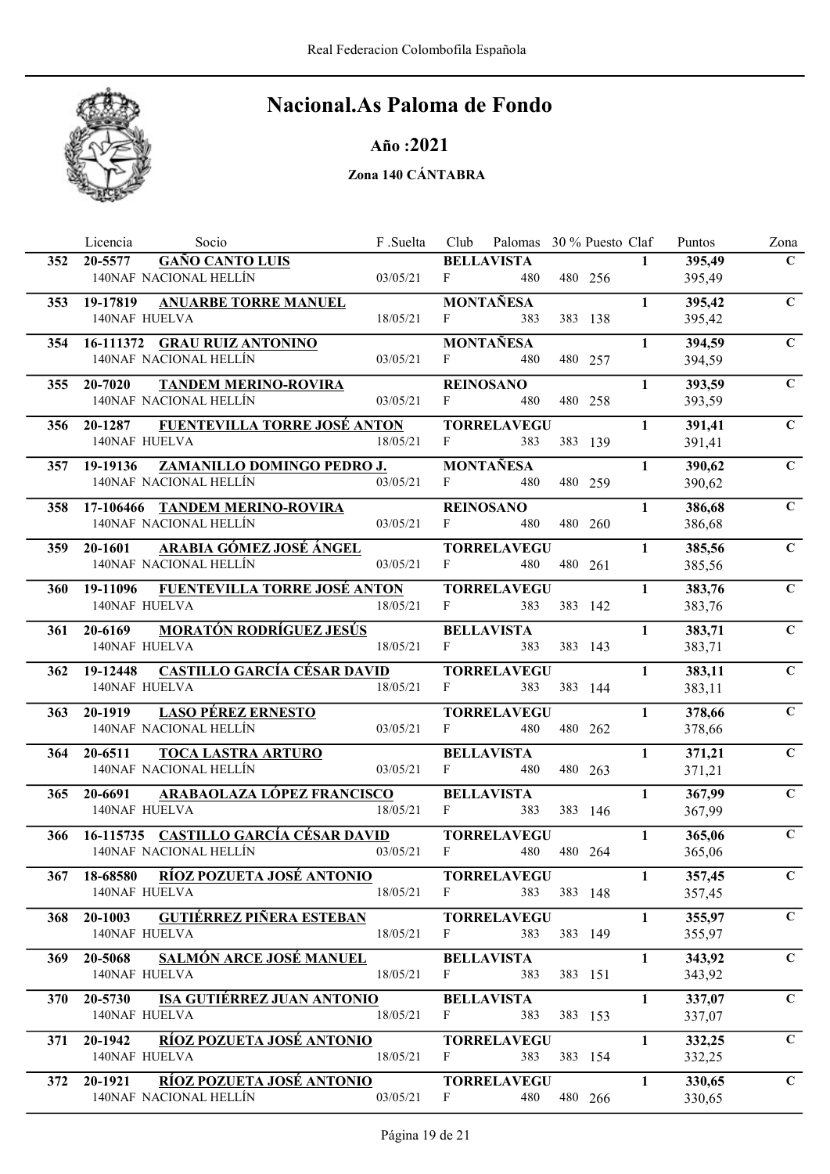

Año :2021

|            | Licencia<br>Socio                                                    | F .Suelta | Club         | Palomas 30 % Puesto Claf |             |         |              | Puntos           | Zona           |
|------------|----------------------------------------------------------------------|-----------|--------------|--------------------------|-------------|---------|--------------|------------------|----------------|
| 352        | <b>GAÑO CANTO LUIS</b><br>20-5577                                    |           |              | <b>BELLAVISTA</b>        |             |         | $\mathbf{1}$ | 395,49           | $\mathbf C$    |
|            | 140NAF NACIONAL HELLÍN                                               | 03/05/21  | F            | 480                      |             | 480 256 |              | 395,49           |                |
| 353        | <b>ANUARBE TORRE MANUEL</b><br>19-17819                              |           |              | <b>MONTAÑESA</b>         |             |         | $\mathbf{1}$ | 395,42           | $\mathbf{C}$   |
|            | 140NAF HUELVA                                                        | 18/05/21  | $\mathbf{F}$ | 383                      |             | 383 138 |              | 395,42           |                |
| 354        | 16-111372 GRAU RUIZ ANTONINO                                         |           |              | MONTAÑESA                |             |         | $\mathbf{1}$ | 394,59           | $\mathbf C$    |
|            | 140NAF NACIONAL HELLÍN                                               | 03/05/21  | F            | 480                      |             | 480 257 |              | 394,59           |                |
|            | 355 20-7020<br><b>TANDEM MERINO-ROVIRA</b>                           |           |              | <b>REINOSANO</b>         |             |         | $\mathbf{1}$ | 393,59           | $\mathbf C$    |
|            | 140NAF NACIONAL HELLÍN                                               | 03/05/21  | $\mathbf{F}$ | 480                      |             | 480 258 |              | 393,59           |                |
| 356        | FUENTEVILLA TORRE JOSÉ ANTON<br>20-1287                              |           |              | <b>TORRELAVEGU</b>       |             |         | $\mathbf{1}$ | 391,41           | $\mathbf C$    |
|            | 140NAF HUELVA                                                        | 18/05/21  | $\mathbf{F}$ | 383                      |             | 383 139 |              | 391,41           |                |
|            |                                                                      |           |              | <b>MONTAÑESA</b>         |             |         | $\mathbf{1}$ | 390,62           | $\overline{C}$ |
|            | ZAMANILLO DOMINGO PEDRO J.<br>357 19-19136<br>140NAF NACIONAL HELLÍN | 03/05/21  | $F \sim 1$   | 480                      |             | 480 259 |              | 390,62           |                |
|            |                                                                      |           |              |                          |             |         |              |                  |                |
| 358        | 17-106466 TANDEM MERINO-ROVIRA                                       |           |              | <b>REINOSANO</b>         |             |         | $\mathbf{1}$ | 386,68           | $\mathbf C$    |
|            | 140NAF NACIONAL HELLÍN                                               | 03/05/21  | $\mathbf{F}$ | 480                      |             | 480 260 |              | 386,68           |                |
| 359        | ARABIA GÓMEZ JOSÉ ÁNGEL<br>20-1601                                   |           |              | <b>TORRELAVEGU</b>       |             |         | $\mathbf{1}$ | 385,56           | $\mathbf C$    |
|            | 140NAF NACIONAL HELLÍN                                               | 03/05/21  | $\mathbf{F}$ | 480                      |             | 480 261 |              | 385,56           |                |
| <b>360</b> | 19-11096 FUENTEVILLA TORRE JOSÉ ANTON                                |           |              | <b>TORRELAVEGU</b>       |             |         | $\mathbf{1}$ | 383,76           | $\mathbf C$    |
|            | 140NAF HUELVA                                                        | 18/05/21  | F            | 383                      |             | 383 142 |              | 383,76           |                |
| 361        | <b>MORATÓN RODRÍGUEZ JESÚS</b><br>20-6169                            |           |              | <b>BELLAVISTA</b>        |             |         | $\mathbf{1}$ | 383,71           | $\mathbf C$    |
|            | 140NAF HUELVA                                                        | 18/05/21  | $\mathbf{F}$ | 383                      |             | 383 143 |              | 383,71           |                |
|            | 362 19-12448 CASTILLO GARCÍA CÉSAR DAVID                             |           |              | <b>TORRELAVEGU</b>       |             |         | $\mathbf{1}$ | 383,11           | $\mathbf C$    |
|            | 140NAF HUELVA                                                        | 18/05/21  | F            | 383                      |             | 383 144 |              | 383,11           |                |
| 363        | <b>LASO PÉREZ ERNESTO</b><br>20-1919                                 |           |              | <b>TORRELAVEGU</b>       |             |         | $\mathbf{1}$ | 378,66           | $\mathbf C$    |
|            | 140NAF NACIONAL HELLÍN                                               | 03/05/21  | F            | 480                      |             | 480 262 |              | 378,66           |                |
| 364        | 20-6511<br><b>TOCA LASTRA ARTURO</b>                                 |           |              | <b>BELLAVISTA</b>        |             |         | $\mathbf{1}$ | 371,21           | $\mathbf C$    |
|            | 140NAF NACIONAL HELLÍN                                               | 03/05/21  | F            | 480                      |             | 480 263 |              | 371,21           |                |
|            |                                                                      |           |              |                          |             |         |              |                  |                |
| 365        | <u>ARABAOLAZA LÓPEZ FRANCISCO</u><br>20-6691<br><b>140NAF HUELVA</b> | 18/05/21  | $\mathbf{F}$ | <b>BELLAVISTA</b><br>383 |             | 383 146 | $\mathbf{1}$ | 367,99<br>367,99 | $\mathbf C$    |
|            |                                                                      |           |              |                          |             |         |              |                  |                |
|            | 366 – 16-115735 – CASTILLO GARCÍA CÉSAR DAVID                        | 03/05/21  | F            | <b>TORRELAVEGU</b>       |             | 480 264 | $\mathbf{1}$ | 365,06           | $\mathbf C$    |
|            | 140NAF NACIONAL HELLÍN                                               |           |              | 480                      |             |         |              | 365,06           |                |
|            | 367 18-68580 RÍOZ POZUETA JOSÉ ANTONIO                               |           |              | <b>TORRELAVEGU</b>       |             |         | $\mathbf{1}$ | 357,45           | $\mathbf C$    |
|            | 140NAF HUELVA                                                        | 18/05/21  | $\mathbf{F}$ |                          | 383 383 148 |         |              | 357,45           |                |
| 368        | 20-1003 GUTIÉRREZ PIÑERA ESTEBAN                                     |           |              | <b>TORRELAVEGU</b>       |             |         | $\mathbf{1}$ | 355,97           | $\mathbf C$    |
|            | 140NAF HUELVA                                                        | 18/05/21  | F            | 383                      |             | 383 149 |              | 355,97           |                |
| 369        | <b>SALMÓN ARCE JOSÉ MANUEL</b><br>20-5068                            |           |              | <b>BELLAVISTA</b>        |             |         | $\mathbf{1}$ | 343,92           | $\mathbf C$    |
|            | 140NAF HUELVA                                                        | 18/05/21  | $\mathbf{F}$ | 383                      |             | 383 151 |              | 343,92           |                |
| 370        | <u>ISA GUTIÉRREZ JUAN ANTONIO</u><br>20-5730                         |           |              | <b>BELLAVISTA</b>        |             |         | $\mathbf{1}$ | 337,07           | $\mathbf C$    |
|            | <b>140NAF HUELVA</b>                                                 | 18/05/21  | $\mathbf{F}$ | 383                      |             | 383 153 |              | 337,07           |                |
| 371        | RÍOZ POZUETA JOSÉ ANTONIO<br>20-1942                                 |           |              | <b>TORRELAVEGU</b>       |             |         | $\mathbf{1}$ | 332,25           | $\mathbf C$    |
|            | 140NAF HUELVA                                                        | 18/05/21  | $\mathbf{F}$ | 383                      |             | 383 154 |              | 332,25           |                |
|            |                                                                      |           |              |                          |             |         |              |                  |                |
| 372        | 20-1921 RÍOZ POZUETA JOSÉ ANTONIO<br>140NAF NACIONAL HELLÍN          | 03/05/21  | $\mathbf{F}$ | <b>TORRELAVEGU</b>       |             |         | $\mathbf{1}$ | 330,65           | $\mathbf C$    |
|            |                                                                      |           |              | 480                      |             | 480 266 |              | 330,65           |                |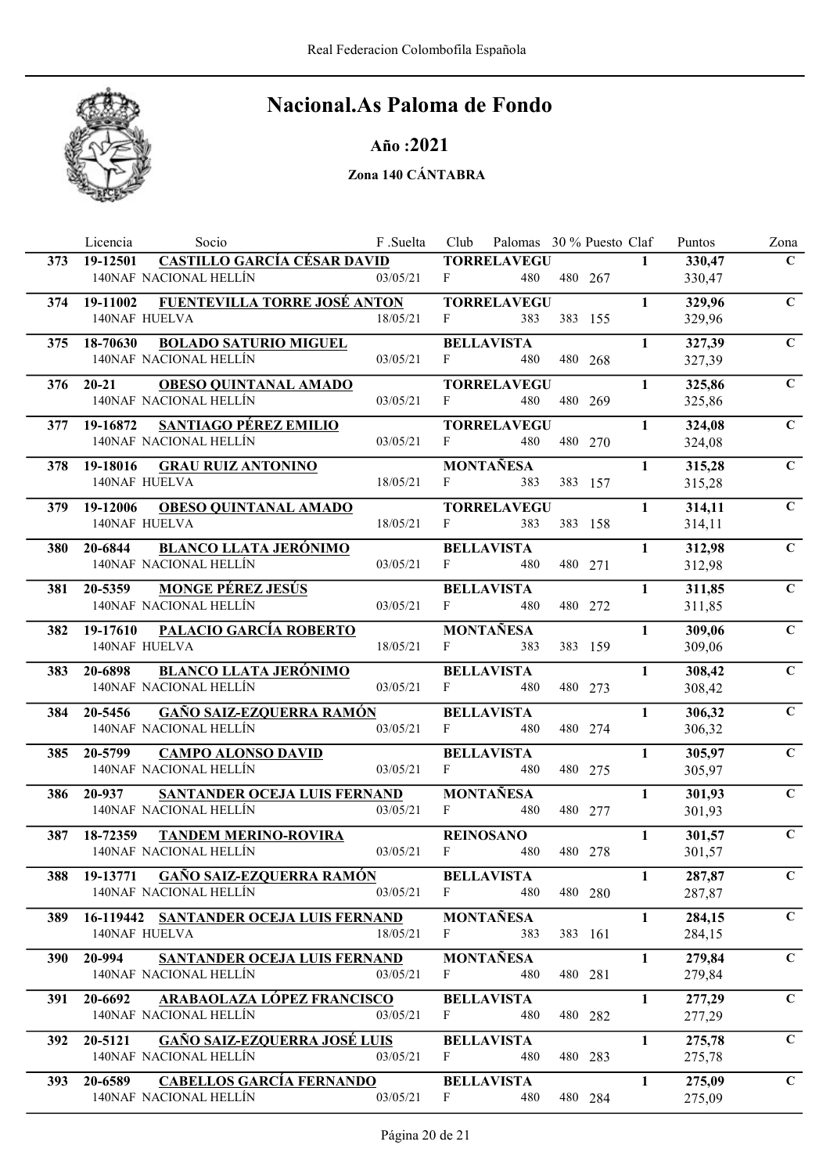

### Año :2021

|            | Socio<br>Licencia                                                 | F .Suelta | Club         | Palomas 30 % Puesto Claf |         |              | Puntos           | Zona           |
|------------|-------------------------------------------------------------------|-----------|--------------|--------------------------|---------|--------------|------------------|----------------|
| 373        | <b>CASTILLO GARCÍA CÉSAR DAVID</b><br>19-12501                    |           |              | <b>TORRELAVEGU</b>       |         | $\mathbf{1}$ | 330,47           | $\mathbf C$    |
|            | 140NAF NACIONAL HELLÍN                                            | 03/05/21  | F            | 480                      | 480 267 |              | 330,47           |                |
| 374        | FUENTEVILLA TORRE JOSÉ ANTON<br>19-11002                          |           |              | <b>TORRELAVEGU</b>       |         | $\mathbf{1}$ | 329,96           | $\mathbf C$    |
|            | <b>140NAF HUELVA</b>                                              | 18/05/21  | F            | 383                      | 383 155 |              | 329,96           |                |
| 375        | 18-70630<br><b>BOLADO SATURIO MIGUEL</b>                          |           |              | <b>BELLAVISTA</b>        |         | $\mathbf{1}$ | 327,39           | $\mathbf C$    |
|            | 140NAF NACIONAL HELLÍN                                            | 03/05/21  | F            | 480                      | 480 268 |              | 327,39           |                |
|            | 376 20-21<br><b>OBESO QUINTANAL AMADO</b>                         |           |              | <b>TORRELAVEGU</b>       |         | $\mathbf{1}$ | 325,86           | $\mathbf C$    |
|            | 140NAF NACIONAL HELLÍN                                            | 03/05/21  | F            | 480                      | 480 269 |              | 325,86           |                |
| 377        | <b>SANTIAGO PÉREZ EMILIO</b><br>19-16872                          |           |              | <b>TORRELAVEGU</b>       |         | $\mathbf{1}$ | 324,08           | $\mathbf C$    |
|            | 140NAF NACIONAL HELLÍN                                            | 03/05/21  | F            | 480                      | 480 270 |              | 324,08           |                |
| 378        | 19-18016<br><b>GRAU RUIZ ANTONINO</b>                             |           |              | <b>MONTAÑESA</b>         |         | $\mathbf{1}$ | 315,28           | $\overline{C}$ |
|            | 140NAF HUELVA                                                     | 18/05/21  | $F$ and $F$  | 383                      | 383 157 |              | 315,28           |                |
| 379        | <b>OBESO QUINTANAL AMADO</b><br>19-12006                          |           |              | <b>TORRELAVEGU</b>       |         | $\mathbf{1}$ | 314,11           | $\mathbf C$    |
|            | 140NAF HUELVA                                                     | 18/05/21  | F            | 383                      | 383 158 |              | 314,11           |                |
| 380        | <b>BLANCO LLATA JERÓNIMO</b><br>20-6844                           |           |              | <b>BELLAVISTA</b>        |         | $\mathbf{1}$ | 312,98           | $\mathbf C$    |
|            | 140NAF NACIONAL HELLÍN                                            | 03/05/21  | F            | 480                      | 480 271 |              | 312,98           |                |
| 381        | <b>MONGE PÉREZ JESÚS</b><br>20-5359                               |           |              | <b>BELLAVISTA</b>        |         | $\mathbf{1}$ | 311,85           | $\mathbf C$    |
|            | 140NAF NACIONAL HELLÍN                                            | 03/05/21  | F            | 480                      | 480 272 |              | 311,85           |                |
| 382        | PALACIO GARCÍA ROBERTO<br>19-17610                                |           |              | <b>MONTAÑESA</b>         |         | $\mathbf{1}$ | 309,06           | $\mathbf C$    |
|            | 140NAF HUELVA                                                     | 18/05/21  | F            | 383                      | 383 159 |              | 309,06           |                |
| <b>383</b> | <b>BLANCO LLATA JERÓNIMO</b><br>20-6898                           |           |              | <b>BELLAVISTA</b>        |         | $\mathbf{1}$ | 308,42           | $\mathbf C$    |
|            | 140NAF NACIONAL HELLÍN                                            | 03/05/21  | F            | 480                      | 480 273 |              | 308,42           |                |
| 384        | <b>GAÑO SAIZ-EZQUERRA RAMÓN</b><br>20-5456                        |           |              | <b>BELLAVISTA</b>        |         | 1            | 306,32           | $\mathbf C$    |
|            | 140NAF NACIONAL HELLÍN                                            | 03/05/21  | F            | 480                      | 480 274 |              | 306,32           |                |
| 385        | 20-5799<br><b>CAMPO ALONSO DAVID</b>                              |           |              | <b>BELLAVISTA</b>        |         | $\mathbf{1}$ | 305,97           | $\mathbf C$    |
|            | 140NAF NACIONAL HELLÍN                                            | 03/05/21  | F            | 480                      | 480 275 |              | 305,97           |                |
|            | 20-937                                                            |           |              | <b>MONTAÑESA</b>         |         |              |                  |                |
| 386        | <b>SANTANDER OCEJA LUIS FERNAND</b><br>140NAF NACIONAL HELLÍN     | 03/05/21  | F            | 480                      | 480 277 | $\mathbf{1}$ | 301,93<br>301,93 | $\mathbf C$    |
|            |                                                                   |           |              |                          |         |              |                  | $\mathbf C$    |
| 387        | <b>TANDEM MERINO-ROVIRA</b><br>18-72359<br>140NAF NACIONAL HELLÍN | 03/05/21  | F            | <b>REINOSANO</b><br>480  | 480 278 | $\mathbf{1}$ | 301,57<br>301,57 |                |
|            |                                                                   |           |              |                          |         |              |                  |                |
| 388        | 19-13771       GAÑO SAIZ-EZQUERRA RAMÓN<br>140NAF NACIONAL HELLÍN | 03/05/21  | $\mathbf{F}$ | <b>BELLAVISTA</b><br>480 | 480 280 | $\mathbf{1}$ | 287,87<br>287,87 | $\mathbf{C}$   |
|            |                                                                   |           |              |                          |         |              |                  |                |
| <b>389</b> | 16-119442 SANTANDER OCEJA LUIS FERNAND<br>140NAF HUELVA           | 18/05/21  | F            | <b>MONTAÑESA</b><br>383  | 383 161 | $\mathbf{1}$ | 284,15<br>284,15 | $\mathbf C$    |
|            |                                                                   |           |              |                          |         |              |                  |                |
| 390 I      | SANTANDER OCEJA LUIS FERNAND<br>20-994<br>140NAF NACIONAL HELLÍN  | 03/05/21  | F            | <b>MONTAÑESA</b><br>480  |         | $\mathbf{1}$ | 279,84           | $\mathbf C$    |
|            |                                                                   |           |              |                          | 480 281 |              | 279,84           |                |
| 391        | <b>ARABAOLAZA LÓPEZ FRANCISCO</b><br>20-6692                      |           |              | <b>BELLAVISTA</b>        |         | $\mathbf{1}$ | 277,29           | $\mathbf C$    |
|            | 140NAF NACIONAL HELLÍN                                            | 03/05/21  | F            | 480                      | 480 282 |              | 277,29           |                |
| 392 I      | <b>GAÑO SAIZ-EZQUERRA JOSÉ LUIS</b><br>20-5121                    |           |              | <b>BELLAVISTA</b>        |         | $\mathbf{1}$ | 275,78           | $\mathbf C$    |
|            | 140NAF NACIONAL HELLÍN                                            | 03/05/21  | F            | 480                      | 480 283 |              | 275,78           |                |
| <b>393</b> | <b>CABELLOS GARCÍA FERNANDO</b><br>20-6589                        |           |              | <b>BELLAVISTA</b>        |         | $\mathbf{1}$ | 275,09           | $\mathbf C$    |
|            | 140NAF NACIONAL HELLÍN                                            | 03/05/21  | $\mathbf{F}$ | 480                      | 480 284 |              | 275,09           |                |